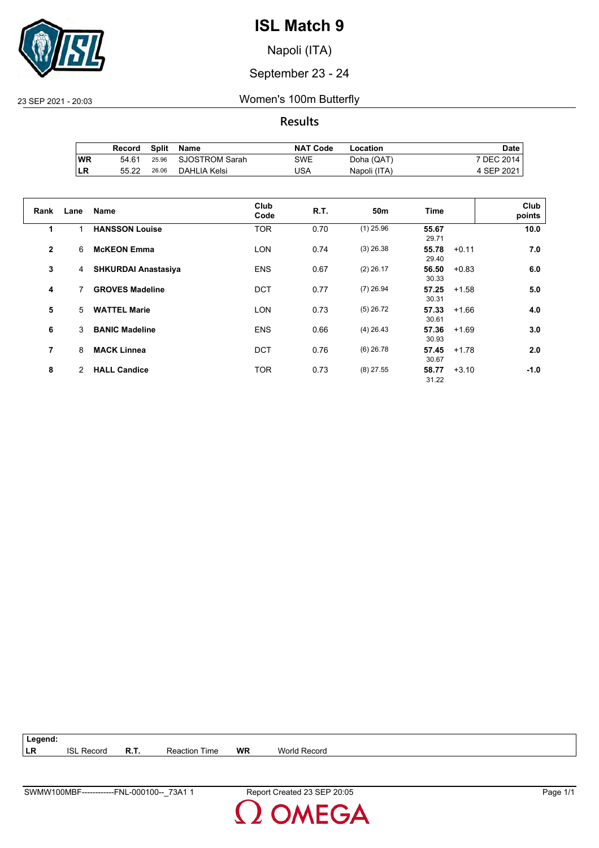

Napoli (ITA)

#### September 23 - 24

23 SEP 2021 - 20:03 Women's 100m Butterfly

**Results**

|    | Record | Split | Name                 | <b>NAT Code</b> | Location     | Date       |
|----|--------|-------|----------------------|-----------------|--------------|------------|
| WR | 54.61  |       | 25.96 SJOSTROM Sarah | SWE             | Doha (QAT)   | 7 DEC 2014 |
| LR | 55.22  | 26.06 | DAHLIA Kelsi         | USA             | Napoli (ITA) | 4 SEP 2021 |

| Rank           | Lane | Name                       | Club<br>Code | <b>R.T.</b> | 50m         | <b>Time</b>    |         | Club<br>points |
|----------------|------|----------------------------|--------------|-------------|-------------|----------------|---------|----------------|
| 1              |      | <b>HANSSON Louise</b>      | <b>TOR</b>   | 0.70        | $(1)$ 25.96 | 55.67<br>29.71 |         | 10.0           |
| $\overline{2}$ | 6    | <b>McKEON Emma</b>         | <b>LON</b>   | 0.74        | $(3)$ 26.38 | 55.78<br>29.40 | $+0.11$ | 7.0            |
| 3              | 4    | <b>SHKURDAI Anastasiya</b> | <b>ENS</b>   | 0.67        | $(2)$ 26.17 | 56.50<br>30.33 | $+0.83$ | 6.0            |
| 4              | 7    | <b>GROVES Madeline</b>     | <b>DCT</b>   | 0.77        | $(7)$ 26.94 | 57.25<br>30.31 | $+1.58$ | 5.0            |
| 5              | 5    | <b>WATTEL Marie</b>        | <b>LON</b>   | 0.73        | $(5)$ 26.72 | 57.33<br>30.61 | $+1.66$ | 4.0            |
| 6              | 3    | <b>BANIC Madeline</b>      | <b>ENS</b>   | 0.66        | $(4)$ 26.43 | 57.36<br>30.93 | $+1.69$ | 3.0            |
| 7              | 8    | <b>MACK Linnea</b>         | <b>DCT</b>   | 0.76        | $(6)$ 26.78 | 57.45<br>30.67 | $+1.78$ | 2.0            |
| 8              | 2    | <b>HALL Candice</b>        | <b>TOR</b>   | 0.73        | $(8)$ 27.55 | 58.77<br>31.22 | $+3.10$ | -1.0           |

| $\vert$ Legend: |                   |             |                      |           |                     |  |
|-----------------|-------------------|-------------|----------------------|-----------|---------------------|--|
| LR              | <b>ISL Record</b> | <b>R.T.</b> | <b>Reaction Time</b> | <b>WR</b> | <b>World Record</b> |  |

**OMEGA**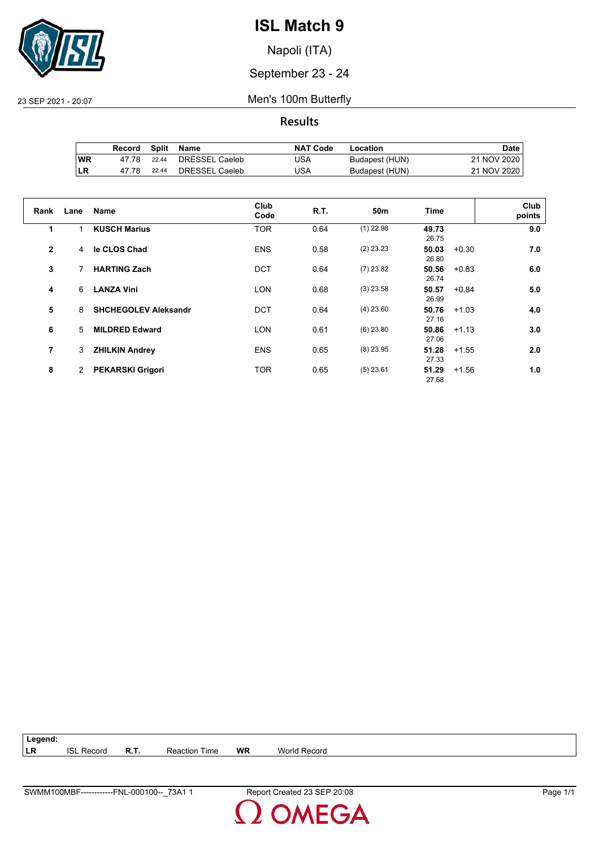

Napoli (ITA)

September 23 - 24

23 SEP 2021 - 20:07 Men's 100m Butterfly

**Results**

|           | Record | Split | Name           | <b>NAT Code</b> | Location       | Date i      |
|-----------|--------|-------|----------------|-----------------|----------------|-------------|
| <b>WR</b> | 47 78  | 22.44 | DRESSEL Caeleb | JSA             | Budapest (HUN) | 21 NOV 2020 |
| LR        | 47 78  | 22.44 | DRESSEL Caeleb | JSA             | Budapest (HUN) | 21 NOV 2020 |

| Rank           | Lane | <b>Name</b>                 | Club<br>Code | R.T. | 50 <sub>m</sub> | <b>Time</b>    | Club<br>points |
|----------------|------|-----------------------------|--------------|------|-----------------|----------------|----------------|
| 1              |      | <b>KUSCH Marius</b>         | <b>TOR</b>   | 0.64 | $(1)$ 22.98     | 49.73<br>26.75 | 9.0            |
| $\overline{2}$ | 4    | le CLOS Chad                | <b>ENS</b>   | 0.58 | $(2)$ 23.23     | 50.03<br>26.80 | 7.0<br>$+0.30$ |
| 3              | 7    | <b>HARTING Zach</b>         | <b>DCT</b>   | 0.64 | $(7)$ 23.82     | 50.56<br>26.74 | $+0.83$<br>6.0 |
| 4              | 6    | <b>LANZA Vini</b>           | <b>LON</b>   | 0.68 | $(3)$ 23.58     | 50.57<br>26.99 | $+0.84$<br>5.0 |
| 5              | 8    | <b>SHCHEGOLEV Aleksandr</b> | <b>DCT</b>   | 0.64 | $(4)$ 23.60     | 50.76<br>27.16 | 4.0<br>$+1.03$ |
| 6              | 5    | <b>MILDRED Edward</b>       | <b>LON</b>   | 0.61 | $(6)$ 23.80     | 50.86<br>27.06 | 3.0<br>$+1.13$ |
| 7              | 3    | <b>ZHILKIN Andrey</b>       | <b>ENS</b>   | 0.65 | $(8)$ 23.95     | 51.28<br>27.33 | 2.0<br>$+1.55$ |
| 8              | 2    | <b>PEKARSKI Grigori</b>     | <b>TOR</b>   | 0.65 | $(5)$ 23.61     | 51.29<br>27.68 | $+1.56$<br>1.0 |

**Legend: LR** ISL Record **R.T.** Reaction Time **WR** World Record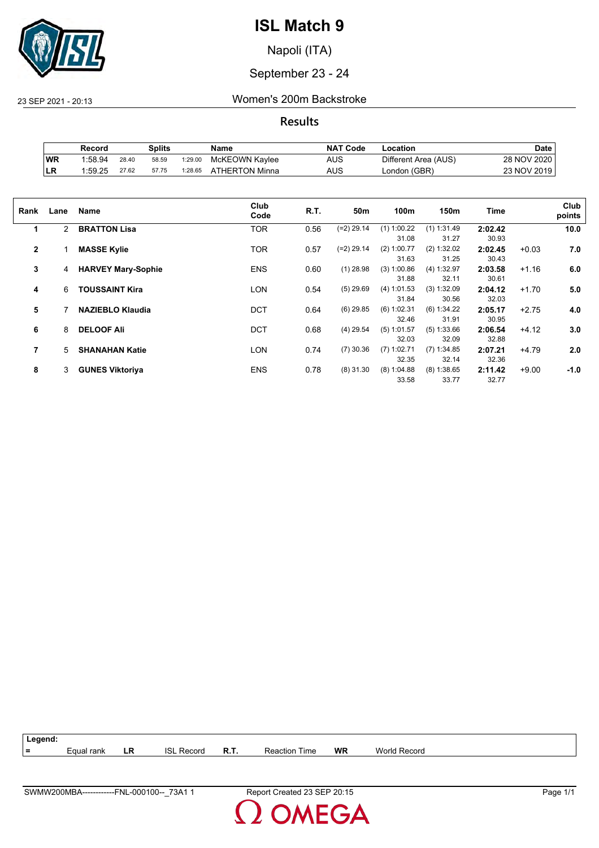

Napoli (ITA)

September 23 - 24

23 SEP 2021 - 20:13 Women's 200m Backstroke

**Results**

|           | Record  |       | Splits |         | Name           | <b>NAT Code</b> | -ocation             | Date        |
|-----------|---------|-------|--------|---------|----------------|-----------------|----------------------|-------------|
| WR        | 1:58.94 | 28.40 | 58.59  | 1:29.00 | McKEOWN Kaylee | AUS             | Different Area (AUS) | 28 NOV 2020 |
| <b>LR</b> | 1:59.25 | 27.62 | 57.75  | 1:28.65 | ATHERTON Minna | AUS             | London (GBR)         | 23 NOV 2019 |

| Rank         | Lane           | <b>Name</b>               | Club<br>Code | R.T. | 50m          | 100m          | 150m          | Time    |         | Club<br>points |
|--------------|----------------|---------------------------|--------------|------|--------------|---------------|---------------|---------|---------|----------------|
| 1            | $\overline{2}$ | <b>BRATTON Lisa</b>       | TOR          | 0.56 | $(=2)$ 29.14 | $(1)$ 1:00.22 | $(1)$ 1:31.49 | 2:02.42 |         | 10.0           |
|              |                |                           |              |      |              | 31.08         | 31.27         | 30.93   |         |                |
| $\mathbf{2}$ |                | <b>MASSE Kylie</b>        | <b>TOR</b>   | 0.57 | $(=2)$ 29.14 | $(2)$ 1:00.77 | (2) 1:32.02   | 2:02.45 | $+0.03$ | 7.0            |
|              |                |                           |              |      |              | 31.63         | 31.25         | 30.43   |         |                |
| 3            | 4              | <b>HARVEY Mary-Sophie</b> | <b>ENS</b>   | 0.60 | $(1)$ 28.98  | (3) 1:00.86   | (4) 1:32.97   | 2:03.58 | $+1.16$ | 6.0            |
|              |                |                           |              |      |              | 31.88         | 32.11         | 30.61   |         |                |
| 4            | 6              | <b>TOUSSAINT Kira</b>     | LON          | 0.54 | $(5)$ 29.69  | (4) 1:01.53   | (3) 1:32.09   | 2:04.12 | $+1.70$ | 5.0            |
|              |                |                           |              |      |              | 31.84         | 30.56         | 32.03   |         |                |
| 5            |                | <b>NAZIEBLO Klaudia</b>   | <b>DCT</b>   | 0.64 | $(6)$ 29.85  | $(6)$ 1:02.31 | (6) 1:34.22   | 2:05.17 | $+2.75$ | 4.0            |
|              |                |                           |              |      |              | 32.46         | 31.91         | 30.95   |         |                |
| 6            | 8              | <b>DELOOF Ali</b>         | <b>DCT</b>   | 0.68 | $(4)$ 29.54  | $(5)$ 1:01.57 | (5) 1:33.66   | 2:06.54 | $+4.12$ | 3.0            |
|              |                |                           |              |      |              | 32.03         | 32.09         | 32.88   |         |                |
| 7            | 5              | <b>SHANAHAN Katie</b>     | LON          | 0.74 | $(7)$ 30.36  | $(7)$ 1:02.71 | $(7)$ 1:34.85 | 2:07.21 | $+4.79$ | 2.0            |
|              |                |                           |              |      |              | 32.35         | 32.14         | 32.36   |         |                |
| 8            | 3              | <b>GUNES Viktoriya</b>    | <b>ENS</b>   | 0.78 | $(8)$ 31.30  | $(8)$ 1:04.88 | $(8)$ 1:38.65 | 2:11.42 | $+9.00$ | $-1.0$         |
|              |                |                           |              |      |              | 33.58         | 33.77         | 32.77   |         |                |
|              |                |                           |              |      |              |               |               |         |         |                |

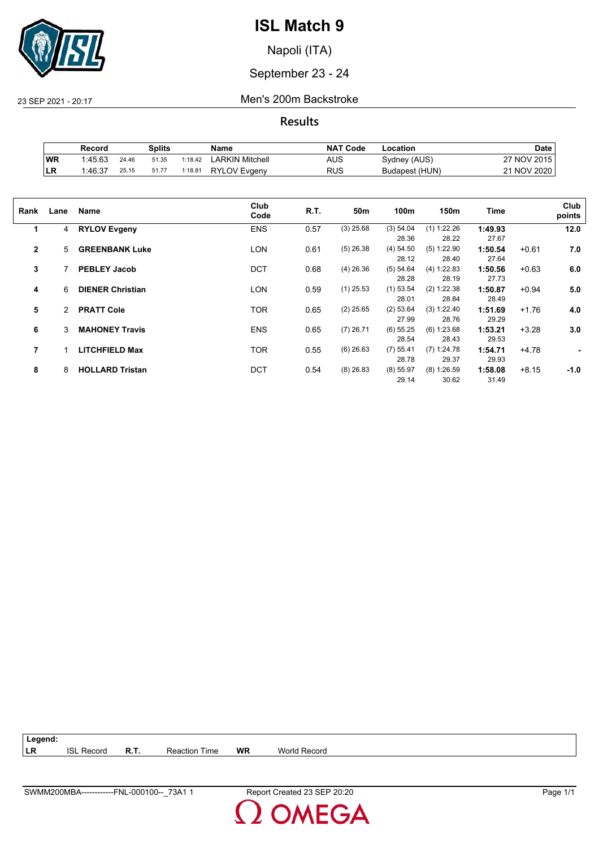

Napoli (ITA)

September 23 - 24

23 SEP 2021 - 20:17 Men's 200m Backstroke

**Results**

|            | Record  |       | Splits |         | Name            | <b>NAT Code</b> | ∟ocation       | Date          |
|------------|---------|-------|--------|---------|-----------------|-----------------|----------------|---------------|
| WR         | 1:45.63 | 24.46 | 51.35  | 1:18.42 | ∟ARKIN Mitchell | AUS             | Sydney (AUS)   | 27 NOV 2015   |
| <b>ILR</b> | 1:46.37 | 25.15 | 51.77  | 1:18.81 | RYLOV Evaenv    | RUS             | Budapest (HUN) | 21 NOV 2020 L |

| Rank           | Lane           | Name                    | Club<br>Code | R.T. | 50m         | 100m        | 150m          | Time    |         | Club<br>points |
|----------------|----------------|-------------------------|--------------|------|-------------|-------------|---------------|---------|---------|----------------|
| 1              | 4              | <b>RYLOV Evgeny</b>     | <b>ENS</b>   | 0.57 | $(3)$ 25.68 | (3) 54.04   | (1) 1:22.26   | 1:49.93 |         | 12.0           |
|                |                |                         |              |      |             | 28.36       | 28.22         | 27.67   |         |                |
| $\overline{2}$ | 5              | <b>GREENBANK Luke</b>   | <b>LON</b>   | 0.61 | $(5)$ 26.38 | (4) 54.50   | $(5)$ 1:22.90 | 1:50.54 | $+0.61$ | 7.0            |
|                |                |                         |              |      |             | 28.12       | 28.40         | 27.64   |         |                |
| 3              |                | <b>PEBLEY Jacob</b>     | <b>DCT</b>   | 0.68 | $(4)$ 26.36 | (5) 54.64   | (4) 1:22.83   | 1:50.56 | $+0.63$ | 6.0            |
|                |                |                         |              |      |             | 28.28       | 28.19         | 27.73   |         |                |
| 4              | 6              | <b>DIENER Christian</b> | <b>LON</b>   | 0.59 | $(1)$ 25.53 | $(1)$ 53.54 | (2) 1:22.38   | 1:50.87 | $+0.94$ | 5.0            |
|                |                |                         |              |      |             | 28.01       | 28.84         | 28.49   |         |                |
| 5              | $\overline{2}$ | <b>PRATT Cole</b>       | <b>TOR</b>   | 0.65 | $(2)$ 25.65 | (2) 53.64   | (3) 1:22.40   | 1:51.69 | $+1.76$ | 4.0            |
|                |                |                         |              |      |             | 27.99       | 28.76         | 29.29   |         |                |
| 6              | 3              | <b>MAHONEY Travis</b>   | <b>ENS</b>   | 0.65 | $(7)$ 26.71 | $(6)$ 55.25 | (6) 1:23.68   | 1:53.21 | $+3.28$ | 3.0            |
|                |                |                         |              |      |             | 28.54       | 28.43         | 29.53   |         |                |
| 7              |                | <b>LITCHFIELD Max</b>   | <b>TOR</b>   | 0.55 | $(6)$ 26.63 | $(7)$ 55.41 | $(7)$ 1:24.78 | 1:54.71 | $+4.78$ | ٠              |
|                |                |                         |              |      |             | 28.78       | 29.37         | 29.93   |         |                |
| 8              | 8              | <b>HOLLARD Tristan</b>  | <b>DCT</b>   | 0.54 | $(8)$ 26.83 | $(8)$ 55.97 | $(8)$ 1:26.59 | 1:58.08 | $+8.15$ | $-1.0$         |
|                |                |                         |              |      |             | 29.14       | 30.62         | 31.49   |         |                |
|                |                |                         |              |      |             |             |               |         |         |                |

| Legend: |                   |             |                      |    |              |
|---------|-------------------|-------------|----------------------|----|--------------|
| LR      | <b>ISL Record</b> | <b>R.T.</b> | <b>Reaction Time</b> | WR | World Record |

**OMEGA**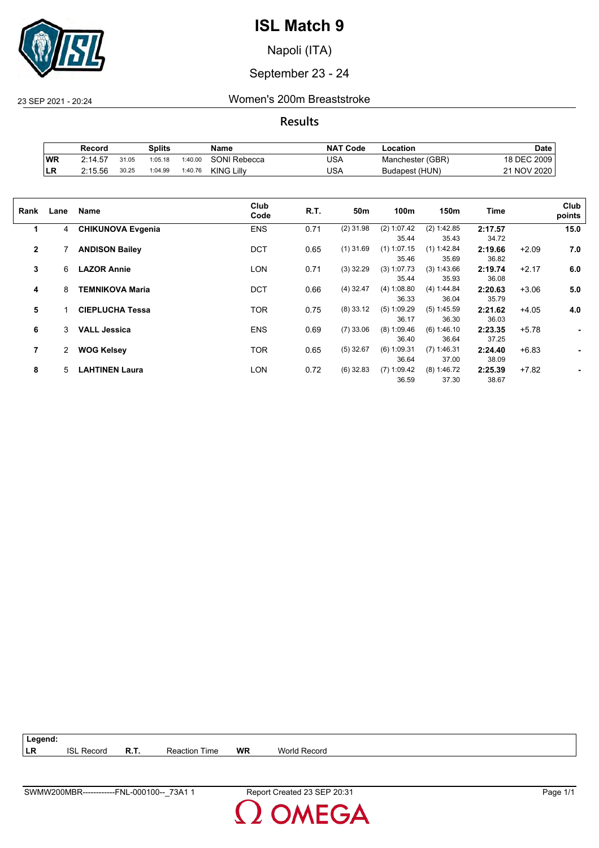

Napoli (ITA)

September 23 - 24

23 SEP 2021 - 20:24 Women's 200m Breaststroke

**Results**

|           | Record  |       | Splits  |         | Name                | <b>NAT Code</b> | Location         | <b>Date</b> |
|-----------|---------|-------|---------|---------|---------------------|-----------------|------------------|-------------|
| <b>WR</b> | 2:14.57 | 31.05 | 1:05.18 | 1:40.00 | <b>SONI Rebecca</b> | USA             | Manchester (GBR) | 18 DEC 2009 |
| ILR       | 2:15.56 | 30.25 | 1:04.99 | 1:40.76 | <b>KING Lilly</b>   | USA             | Budapest (HUN)   | 21 NOV 2020 |

| Rank           | Lane | Name                     | Club<br>Code | R.T. | 50m         | 100m                   | 150m                   | Time             |         | Club<br>points |
|----------------|------|--------------------------|--------------|------|-------------|------------------------|------------------------|------------------|---------|----------------|
| 1              | 4    | <b>CHIKUNOVA Evgenia</b> | <b>ENS</b>   | 0.71 | $(2)$ 31.98 | (2) 1:07.42<br>35.44   | (2) 1:42.85<br>35.43   | 2:17.57<br>34.72 |         | 15.0           |
| $\overline{2}$ |      | <b>ANDISON Bailey</b>    | <b>DCT</b>   | 0.65 | $(1)$ 31.69 | $(1)$ 1:07.15<br>35.46 | $(1)$ 1:42.84<br>35.69 | 2:19.66<br>36.82 | $+2.09$ | 7.0            |
| 3              | 6    | <b>LAZOR Annie</b>       | LON          | 0.71 | $(3)$ 32.29 | $(3)$ 1:07.73<br>35.44 | (3) 1:43.66<br>35.93   | 2:19.74<br>36.08 | $+2.17$ | 6.0            |
| 4              | 8    | <b>TEMNIKOVA Maria</b>   | <b>DCT</b>   | 0.66 | $(4)$ 32.47 | (4) 1:08.80<br>36.33   | (4) 1:44.84<br>36.04   | 2:20.63<br>35.79 | $+3.06$ | 5.0            |
| 5              |      | <b>CIEPLUCHA Tessa</b>   | <b>TOR</b>   | 0.75 | $(8)$ 33.12 | $(5)$ 1:09.29<br>36.17 | $(5)$ 1:45.59<br>36.30 | 2:21.62<br>36.03 | $+4.05$ | 4.0            |
| 6              | 3    | <b>VALL Jessica</b>      | <b>ENS</b>   | 0.69 | $(7)$ 33.06 | $(8)$ 1:09.46<br>36.40 | (6) 1:46.10<br>36.64   | 2:23.35<br>37.25 | $+5.78$ | ۰              |
| 7              | 2    | <b>WOG Kelsey</b>        | <b>TOR</b>   | 0.65 | $(5)$ 32.67 | $(6)$ 1:09.31<br>36.64 | $(7)$ 1:46.31<br>37.00 | 2:24.40<br>38.09 | $+6.83$ |                |
| 8              | 5    | <b>LAHTINEN Laura</b>    | LON          | 0.72 | $(6)$ 32.83 | $(7)$ 1:09.42<br>36.59 | $(8)$ 1:46.72<br>37.30 | 2:25.39<br>38.67 | $+7.82$ |                |

| $\vert$ Legend: |                   |                      |    |                     |
|-----------------|-------------------|----------------------|----|---------------------|
| LR              | <b>ISL Record</b> | <b>Reaction Time</b> | WR | <b>World Record</b> |

**OMEGA**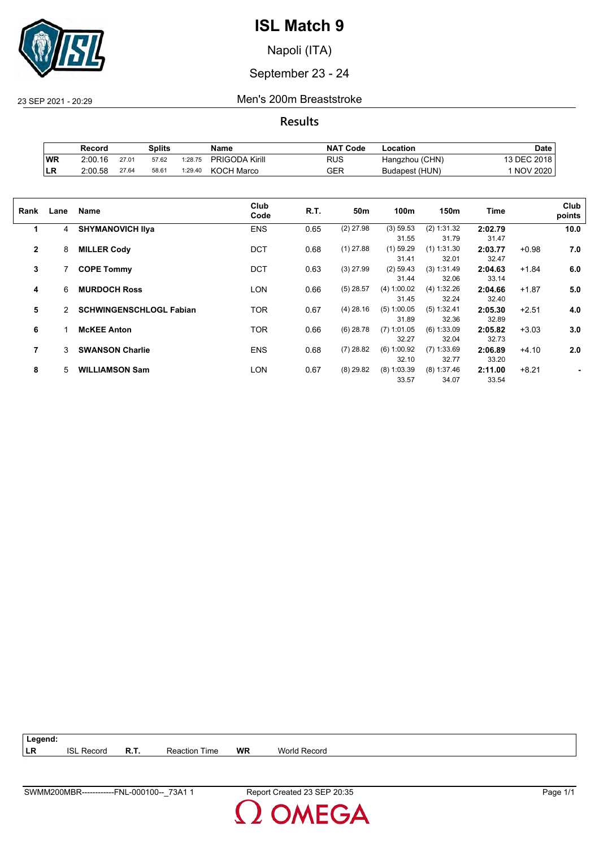

Napoli (ITA)

September 23 - 24

23 SEP 2021 - 20:29 Men's 200m Breaststroke

**Results**

|     | Record  |       | Splits |         | Name                  | <b>NAT Code</b> | ∟ocation       | <b>Date</b>     |
|-----|---------|-------|--------|---------|-----------------------|-----------------|----------------|-----------------|
| WR  | 2:00.16 | 27.01 | 57.62  | 1:28.75 | <b>PRIGODA Kirill</b> | RUS             | Hangzhou (CHN) | 13 DEC 2018     |
| ILR | 2:00.58 | 27.64 | 58.61  | 1:29.40 | <b>KOCH Marco</b>     | GER             | Budapest (HUN) | <b>NOV 2020</b> |

| Rank         | Lane | <b>Name</b>                    | Club<br>Code | R.T. | 50m         | 100m          | 150m          | Time    |         | Club<br>points |
|--------------|------|--------------------------------|--------------|------|-------------|---------------|---------------|---------|---------|----------------|
| 1            | 4    | <b>SHYMANOVICH IIva</b>        | <b>ENS</b>   | 0.65 | $(2)$ 27.98 | (3) 59.53     | (2) 1:31.32   | 2:02.79 |         | 10.0           |
|              |      |                                |              |      |             | 31.55         | 31.79         | 31.47   |         |                |
| $\mathbf{2}$ | 8    | <b>MILLER Cody</b>             | <b>DCT</b>   | 0.68 | $(1)$ 27.88 | $(1)$ 59.29   | $(1)$ 1:31.30 | 2:03.77 | $+0.98$ | 7.0            |
|              |      |                                |              |      |             | 31.41         | 32.01         | 32.47   |         |                |
| 3            |      | <b>COPE Tommy</b>              | <b>DCT</b>   | 0.63 | $(3)$ 27.99 | $(2)$ 59.43   | (3) 1:31.49   | 2:04.63 | $+1.84$ | 6.0            |
|              |      |                                |              |      |             | 31.44         | 32.06         | 33.14   |         |                |
| 4            | 6    | <b>MURDOCH Ross</b>            | LON          | 0.66 | $(5)$ 28.57 | (4) 1:00.02   | (4) 1:32.26   | 2:04.66 | $+1.87$ | 5.0            |
|              |      |                                |              |      |             | 31.45         | 32.24         | 32.40   |         |                |
| 5            | 2    | <b>SCHWINGENSCHLOGL Fabian</b> | TOR          | 0.67 | $(4)$ 28.16 | $(5)$ 1:00.05 | (5) 1:32.41   | 2:05.30 | $+2.51$ | 4.0            |
|              |      |                                |              |      |             | 31.89         | 32.36         | 32.89   |         |                |
| 6            |      | <b>McKEE Anton</b>             | TOR          | 0.66 | $(6)$ 28.78 | $(7)$ 1:01.05 | $(6)$ 1:33.09 | 2:05.82 | $+3.03$ | 3.0            |
|              |      |                                |              |      |             | 32.27         | 32.04         | 32.73   |         |                |
| 7            | 3    | <b>SWANSON Charlie</b>         | <b>ENS</b>   | 0.68 | $(7)$ 28.82 | (6) 1:00.92   | $(7)$ 1:33.69 | 2:06.89 | $+4.10$ | 2.0            |
|              |      |                                |              |      |             | 32.10         | 32.77         | 33.20   |         |                |
| 8            | 5    | <b>WILLIAMSON Sam</b>          | LON          | 0.67 | $(8)$ 29.82 | $(8)$ 1:03.39 | $(8)$ 1:37.46 | 2:11.00 | $+8.21$ |                |
|              |      |                                |              |      |             | 33.57         | 34.07         | 33.54   |         |                |

| $ $ Legend: |                   |                      |    |              |
|-------------|-------------------|----------------------|----|--------------|
| <b>LR</b>   | <b>ISL Record</b> | <b>Reaction Time</b> | WR | World Record |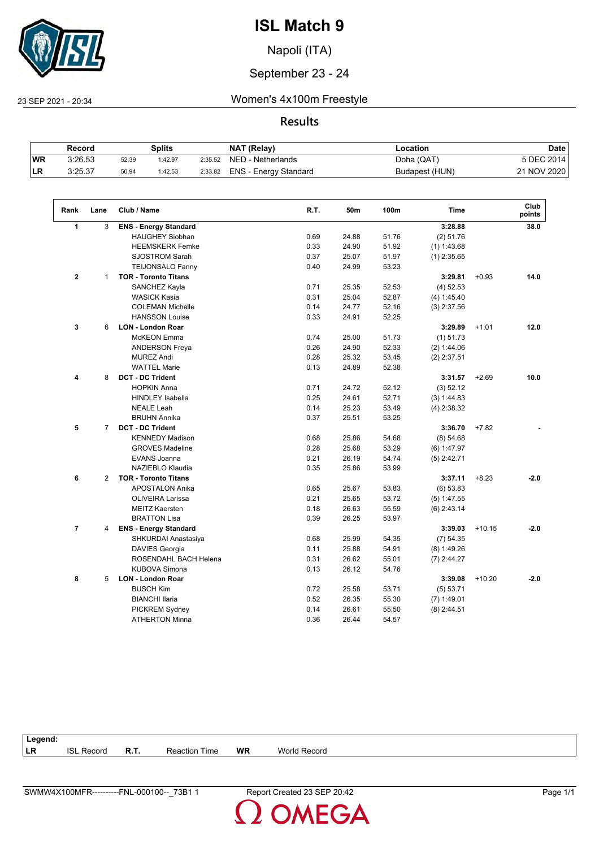

Napoli (ITA)

#### September 23 - 24

23 SEP 2021 - 20:34 Women's 4x100m Freestyle

#### **Results**

|            | Record  |       | Splits  |         | <b>NAT (Relay)</b>    | ∟ocation       | <b>Date</b> |
|------------|---------|-------|---------|---------|-----------------------|----------------|-------------|
| WR         | 3:26.53 | 52.39 | 1:42.97 | 2:35.52 | NED - Netherlands     | Doha (QAT)     | 5 DEC 2014  |
| <b>ILR</b> | 3:25.37 | 50.94 | 1:42.53 | 2:33.82 | ENS - Energy Standard | Budapest (HUN) | 21 NOV 2020 |

| Rank                 | Lane           | Club / Name                  | R.T. | 50m   | 100m  | <b>Time</b>   |          | Club<br>points |
|----------------------|----------------|------------------------------|------|-------|-------|---------------|----------|----------------|
| $\blacktriangleleft$ | 3              | <b>ENS - Energy Standard</b> |      |       |       | 3:28.88       |          | 38.0           |
|                      |                | <b>HAUGHEY Siobhan</b>       | 0.69 | 24.88 | 51.76 | (2) 51.76     |          |                |
|                      |                | <b>HEEMSKERK Femke</b>       | 0.33 | 24.90 | 51.92 | (1) 1:43.68   |          |                |
|                      |                | <b>SJOSTROM Sarah</b>        | 0.37 | 25.07 | 51.97 | $(1)$ 2:35.65 |          |                |
|                      |                | <b>TEIJONSALO Fanny</b>      | 0.40 | 24.99 | 53.23 |               |          |                |
| $\mathbf{2}$         | $\mathbf{1}$   | <b>TOR - Toronto Titans</b>  |      |       |       | 3:29.81       | $+0.93$  | 14.0           |
|                      |                | SANCHEZ Kayla                | 0.71 | 25.35 | 52.53 | $(4)$ 52.53   |          |                |
|                      |                | <b>WASICK Kasia</b>          | 0.31 | 25.04 | 52.87 | (4) 1:45.40   |          |                |
|                      |                | <b>COLEMAN Michelle</b>      | 0.14 | 24.77 | 52.16 | $(3)$ 2:37.56 |          |                |
|                      |                | <b>HANSSON Louise</b>        | 0.33 | 24.91 | 52.25 |               |          |                |
| 3                    | 6              | <b>LON - London Roar</b>     |      |       |       | 3:29.89       | $+1.01$  | 12.0           |
|                      |                | <b>McKEON</b> Emma           | 0.74 | 25.00 | 51.73 | $(1)$ 51.73   |          |                |
|                      |                | <b>ANDERSON Freya</b>        | 0.26 | 24.90 | 52.33 | (2) 1:44.06   |          |                |
|                      |                | <b>MUREZ Andi</b>            | 0.28 | 25.32 | 53.45 | $(2)$ 2:37.51 |          |                |
|                      |                | <b>WATTEL Marie</b>          | 0.13 | 24.89 | 52.38 |               |          |                |
| 4                    | 8              | <b>DCT - DC Trident</b>      |      |       |       | 3:31.57       | $+2.69$  | 10.0           |
|                      |                | <b>HOPKIN Anna</b>           | 0.71 | 24.72 | 52.12 | (3) 52.12     |          |                |
|                      |                | <b>HINDLEY Isabella</b>      | 0.25 | 24.61 | 52.71 | (3) 1:44.83   |          |                |
|                      |                | <b>NEALE Leah</b>            | 0.14 | 25.23 | 53.49 | $(4)$ 2:38.32 |          |                |
|                      |                | <b>BRUHN Annika</b>          | 0.37 | 25.51 | 53.25 |               |          |                |
| 5                    | $\overline{7}$ | <b>DCT - DC Trident</b>      |      |       |       | 3:36.70       | $+7.82$  |                |
|                      |                | <b>KENNEDY Madison</b>       | 0.68 | 25.86 | 54.68 | (8) 54.68     |          |                |
|                      |                | <b>GROVES Madeline</b>       | 0.28 | 25.68 | 53.29 | (6) 1:47.97   |          |                |
|                      |                | <b>EVANS Joanna</b>          | 0.21 | 26.19 | 54.74 | $(5)$ 2:42.71 |          |                |
|                      |                | NAZIEBLO Klaudia             | 0.35 | 25.86 | 53.99 |               |          |                |
| 6                    | $\overline{2}$ | <b>TOR - Toronto Titans</b>  |      |       |       | 3:37.11       | $+8.23$  | $-2.0$         |
|                      |                | <b>APOSTALON Anika</b>       | 0.65 | 25.67 | 53.83 | (6) 53.83     |          |                |
|                      |                | <b>OLIVEIRA Larissa</b>      | 0.21 | 25.65 | 53.72 | $(5)$ 1:47.55 |          |                |
|                      |                | <b>MEITZ Kaersten</b>        | 0.18 | 26.63 | 55.59 | $(6)$ 2:43.14 |          |                |
|                      |                | <b>BRATTON Lisa</b>          | 0.39 | 26.25 | 53.97 |               |          |                |
| $\overline{7}$       | 4              | <b>ENS - Energy Standard</b> |      |       |       | 3:39.03       | $+10.15$ | $-2.0$         |
|                      |                | SHKURDAI Anastasiya          | 0.68 | 25.99 | 54.35 | (7) 54.35     |          |                |
|                      |                | DAVIES Georgia               | 0.11 | 25.88 | 54.91 | $(8)$ 1:49.26 |          |                |
|                      |                | ROSENDAHL BACH Helena        | 0.31 | 26.62 | 55.01 | $(7)$ 2:44.27 |          |                |
|                      |                | <b>KUBOVA Simona</b>         | 0.13 | 26.12 | 54.76 |               |          |                |
| 8                    | 5              | <b>LON - London Roar</b>     |      |       |       | 3:39.08       | $+10.20$ | $-2.0$         |
|                      |                | <b>BUSCH Kim</b>             | 0.72 | 25.58 | 53.71 | (5) 53.71     |          |                |
|                      |                | <b>BIANCHI Ilaria</b>        | 0.52 | 26.35 | 55.30 | $(7)$ 1:49.01 |          |                |
|                      |                | PICKREM Sydney               | 0.14 | 26.61 | 55.50 | $(8)$ 2:44.51 |          |                |
|                      |                | <b>ATHERTON Minna</b>        | 0.36 | 26.44 | 54.57 |               |          |                |

| <b>WR</b><br> LR<br>R.T.<br>Time<br>ISI<br>. Record<br><b>World Record</b><br>⊀eaction |
|----------------------------------------------------------------------------------------|

OMEGA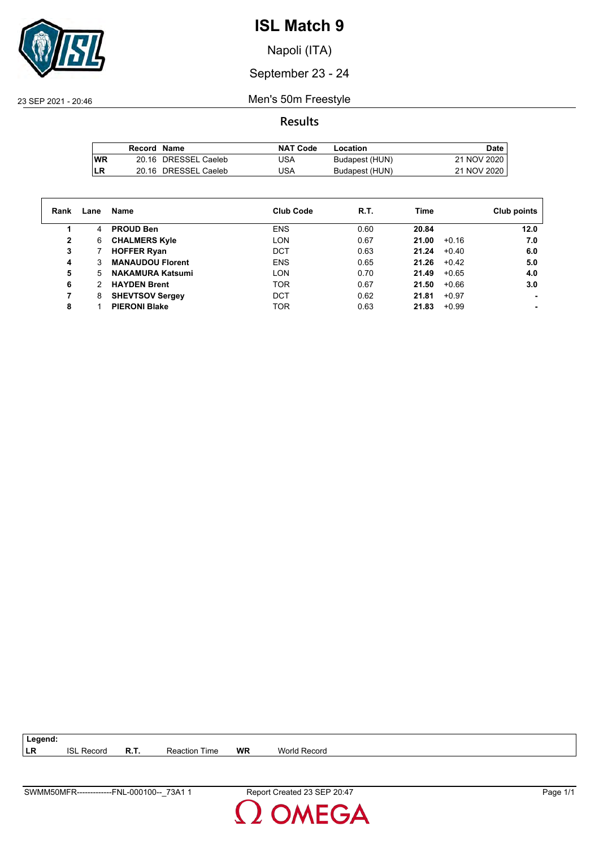

Napoli (ITA)

## September 23 - 24

23 SEP 2021 - 20:46 Men's 50m Freestyle

**Results**

|            | Record Name |                      | <b>NAT Code</b> | Location       | Date        |
|------------|-------------|----------------------|-----------------|----------------|-------------|
| <b>IWR</b> |             | 20.16 DRESSEL Caeleb | USA             | Budapest (HUN) | 21 NOV 2020 |
| LR         |             | 20.16 DRESSEL Caeleb | USA             | Budapest (HUN) | 21 NOV 2020 |

| Rank | Lane | Name                    | <b>Club Code</b> | R.T. | Time  |         | Club points |
|------|------|-------------------------|------------------|------|-------|---------|-------------|
| 1    | 4    | <b>PROUD Ben</b>        | <b>ENS</b>       | 0.60 | 20.84 |         | 12.0        |
| 2    | 6    | <b>CHALMERS Kyle</b>    | <b>LON</b>       | 0.67 | 21.00 | $+0.16$ | 7.0         |
| 3    |      | <b>HOFFER Ryan</b>      | DCT              | 0.63 | 21.24 | $+0.40$ | 6.0         |
| 4    | 3    | <b>MANAUDOU Florent</b> | <b>ENS</b>       | 0.65 | 21.26 | $+0.42$ | 5.0         |
| 5    | 5.   | <b>NAKAMURA Katsumi</b> | LON              | 0.70 | 21.49 | $+0.65$ | 4.0         |
| 6    | 2    | <b>HAYDEN Brent</b>     | <b>TOR</b>       | 0.67 | 21.50 | $+0.66$ | 3.0         |
|      | 8    | <b>SHEVTSOV Sergey</b>  | DCT              | 0.62 | 21.81 | $+0.97$ |             |
| 8    |      | <b>PIERONI Blake</b>    | <b>TOR</b>       | 0.63 | 21.83 | $+0.99$ |             |

| $\vert$ Legend: |            |      |                      |           |                     |
|-----------------|------------|------|----------------------|-----------|---------------------|
| LR              | ISI Record | R.T. | <b>Reaction Time</b> | <b>WR</b> | <b>World Record</b> |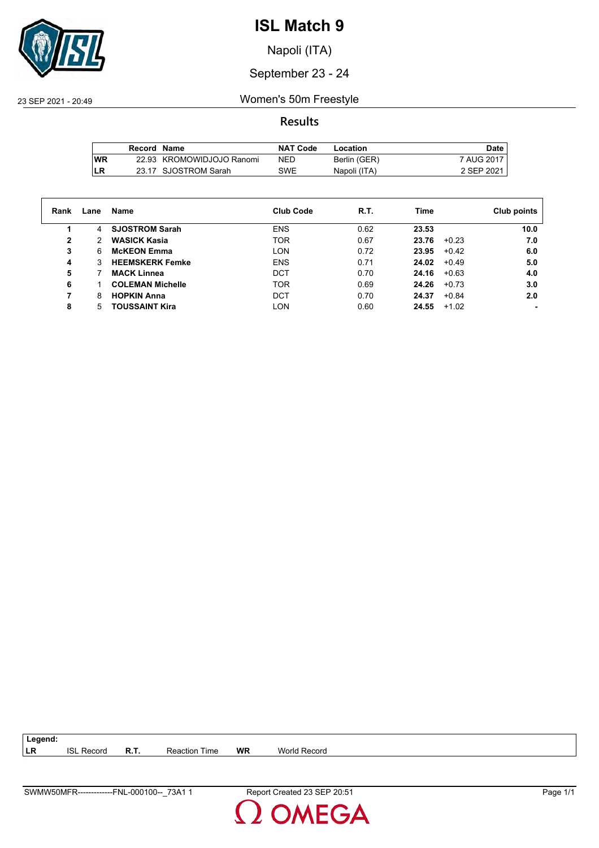

Napoli (ITA)

September 23 - 24

23 SEP 2021 - 20:49 Women's 50m Freestyle

**Results**

|      | Record Name |                           | <b>NAT Code</b> | Location     | Date,      |
|------|-------------|---------------------------|-----------------|--------------|------------|
| l WR |             | 22.93 KROMOWIDJOJO Ranomi | NED             | Berlin (GER) | 7 AUG 2017 |
| LR   |             | 23.17 SJOSTROM Sarah      | <b>SWE</b>      | Napoli (ITA) | 2 SEP 2021 |

| Rank | Lane | Name                    | <b>Club Code</b> | R.T. | Time  |         | Club points |
|------|------|-------------------------|------------------|------|-------|---------|-------------|
|      | 4    | <b>SJOSTROM Sarah</b>   | <b>ENS</b>       | 0.62 | 23.53 |         | 10.0        |
| 2    | 2    | <b>WASICK Kasia</b>     | <b>TOR</b>       | 0.67 | 23.76 | $+0.23$ | 7.0         |
| 3    | 6    | <b>McKEON Emma</b>      | <b>LON</b>       | 0.72 | 23.95 | $+0.42$ | 6.0         |
| 4    | 3    | <b>HEEMSKERK Femke</b>  | <b>ENS</b>       | 0.71 | 24.02 | $+0.49$ | 5.0         |
| 5    |      | <b>MACK Linnea</b>      | DCT              | 0.70 | 24.16 | $+0.63$ | 4.0         |
| 6    |      | <b>COLEMAN Michelle</b> | <b>TOR</b>       | 0.69 | 24.26 | $+0.73$ | 3.0         |
| 7    | 8    | <b>HOPKIN Anna</b>      | <b>DCT</b>       | 0.70 | 24.37 | $+0.84$ | 2.0         |
| 8    | 5    | <b>TOUSSAINT Kira</b>   | <b>LON</b>       | 0.60 | 24.55 | $+1.02$ |             |

**LR** ISL Record **R.T.** Reaction Time **WR** World Record



**Legend:**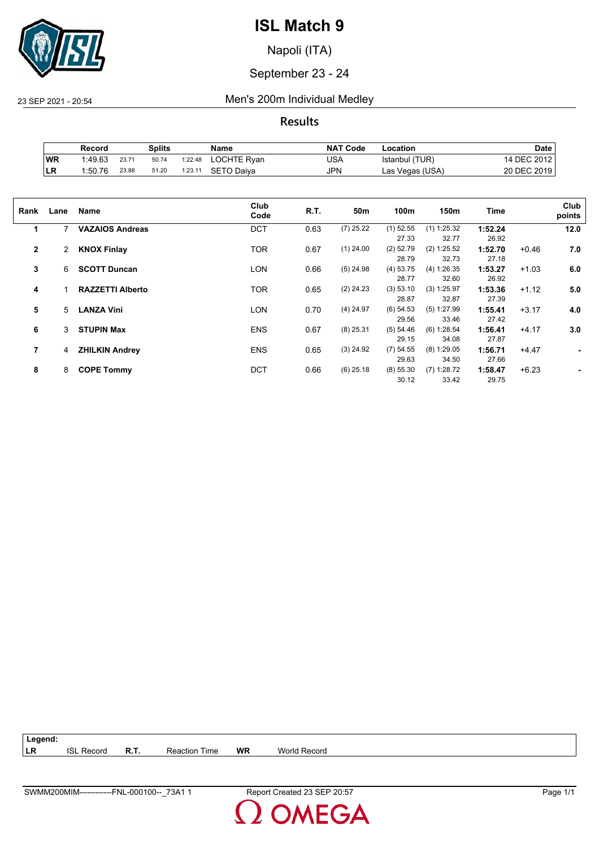

Napoli (ITA)

September 23 - 24

23 SEP 2021 - 20:54 Men's 200m Individual Medley

**Results**

|           | Record  |       | Splits |         | Name        | <b>NAT Code</b> | ∟ocation        | Date        |
|-----------|---------|-------|--------|---------|-------------|-----------------|-----------------|-------------|
| WR        | 1:49.63 | 23.71 | 50.74  | 1:22.48 | LOCHTE Ryan | USA             | Istanbul (TUR)  | 14 DEC 2012 |
| <b>LR</b> | 1:50.76 | 23.88 | 51.20  | 1:23.11 | SETO Daiva  | <b>JPN</b>      | Las Vegas (USA) | 20 DEC 2019 |

| Rank         | Lane | Name                    | Club<br>Code | R.T. | 50m         | 100m        | 150m          | Time    |         | Club<br>points |
|--------------|------|-------------------------|--------------|------|-------------|-------------|---------------|---------|---------|----------------|
| 1            | 7    | <b>VAZAIOS Andreas</b>  | <b>DCT</b>   | 0.63 | $(7)$ 25.22 | $(1)$ 52.55 | $(1)$ 1:25.32 | 1:52.24 |         | 12.0           |
|              |      |                         |              |      |             | 27.33       | 32.77         | 26.92   |         |                |
| $\mathbf{2}$ | 2    | <b>KNOX Finlay</b>      | <b>TOR</b>   | 0.67 | $(1)$ 24.00 | $(2)$ 52.79 | (2) 1:25.52   | 1:52.70 | $+0.46$ | 7.0            |
|              |      |                         |              |      |             | 28.79       | 32.73         | 27.18   |         |                |
| 3            | 6    | <b>SCOTT Duncan</b>     | LON          | 0.66 | $(5)$ 24.98 | $(4)$ 53.75 | (4) 1:26.35   | 1:53.27 | $+1.03$ | 6.0            |
|              |      |                         |              |      |             | 28.77       | 32.60         | 26.92   |         |                |
| 4            |      | <b>RAZZETTI Alberto</b> | <b>TOR</b>   | 0.65 | $(2)$ 24.23 | (3) 53.10   | (3) 1:25.97   | 1:53.36 | $+1.12$ | 5.0            |
|              |      |                         |              |      |             | 28.87       | 32.87         | 27.39   |         |                |
| 5            | 5    | <b>LANZA Vini</b>       | LON          | 0.70 | $(4)$ 24.97 | $(6)$ 54.53 | $(5)$ 1:27.99 | 1:55.41 | $+3.17$ | 4.0            |
|              |      |                         |              |      |             | 29.56       | 33.46         | 27.42   |         |                |
| 6            | 3    | <b>STUPIN Max</b>       | <b>ENS</b>   | 0.67 | $(8)$ 25.31 | (5) 54.46   | (6) 1:28.54   | 1:56.41 | $+4.17$ | 3.0            |
|              |      |                         |              |      |             | 29.15       | 34.08         | 27.87   |         |                |
| 7            | 4    | <b>ZHILKIN Andrey</b>   | <b>ENS</b>   | 0.65 | $(3)$ 24.92 | (7) 54.55   | $(8)$ 1:29.05 | 1:56.71 | $+4.47$ |                |
|              |      |                         |              |      |             | 29.63       | 34.50         | 27.66   |         |                |
| 8            | 8    | <b>COPE Tommy</b>       | <b>DCT</b>   | 0.66 | $(6)$ 25.18 | (8) 55.30   | $(7)$ 1:28.72 | 1:58.47 | $+6.23$ |                |
|              |      |                         |              |      |             | 30.12       | 33.42         | 29.75   |         |                |
|              |      |                         |              |      |             |             |               |         |         |                |

| $\vert$ Legend: |                   |             |                      |    |              |
|-----------------|-------------------|-------------|----------------------|----|--------------|
| <b>ILR</b>      | <b>ISL Record</b> | <b>R.T.</b> | <b>Reaction Time</b> | WR | World Record |

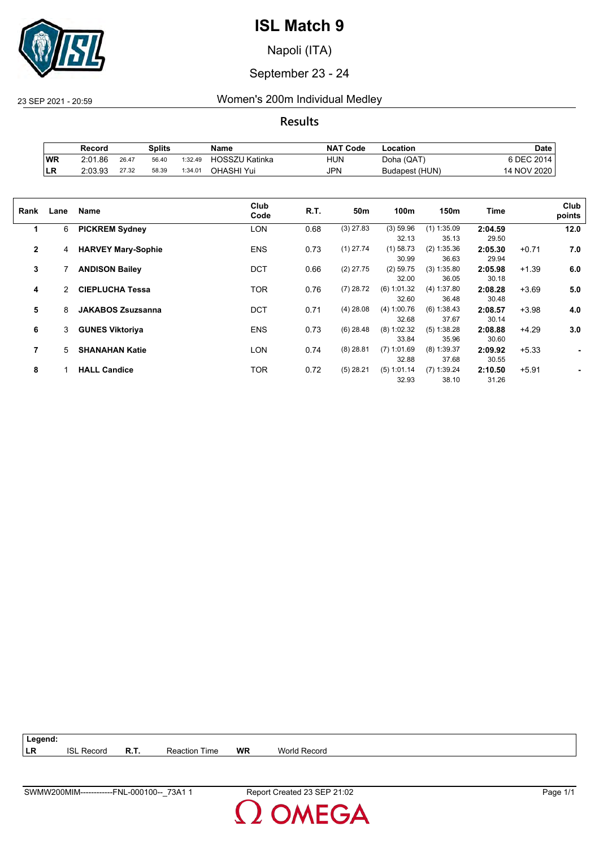

Napoli (ITA)

September 23 - 24

23 SEP 2021 - 20:59 Women's 200m Individual Medley

**Results**

|            | Record  |       | Splits |         | <b>Name</b>    | <b>NAT Code</b> | Location       | Date             |
|------------|---------|-------|--------|---------|----------------|-----------------|----------------|------------------|
| WR         | 2:01.86 | 26.47 | 56.40  | 1:32.49 | HOSSZU Katinka | HUN             | Doha (QAT)     | <b>SDEC 2014</b> |
| <b>ILR</b> | 2:03.93 | 27.32 | 58.39  | 1:34.01 | OHASHI Yui     | <b>JPN</b>      | Budapest (HUN) | 14 NOV 2020      |

| Rank         | Lane | <b>Name</b>               | Club<br>Code | R.T. | 50m         | 100m          | 150m          | Time    |         | Club<br>points |
|--------------|------|---------------------------|--------------|------|-------------|---------------|---------------|---------|---------|----------------|
| 1            | 6    | <b>PICKREM Sydney</b>     | LON          | 0.68 | $(3)$ 27.83 | (3) 59.96     | $(1)$ 1:35.09 | 2:04.59 |         | 12.0           |
|              |      |                           |              |      |             | 32.13         | 35.13         | 29.50   |         |                |
| $\mathbf{2}$ | 4    | <b>HARVEY Mary-Sophie</b> | <b>ENS</b>   | 0.73 | $(1)$ 27.74 | $(1)$ 58.73   | (2) 1:35.36   | 2:05.30 | $+0.71$ | 7.0            |
|              |      |                           |              |      |             | 30.99         | 36.63         | 29.94   |         |                |
| 3            |      | <b>ANDISON Bailey</b>     | <b>DCT</b>   | 0.66 | $(2)$ 27.75 | $(2)$ 59.75   | (3) 1:35.80   | 2:05.98 | $+1.39$ | 6.0            |
|              |      |                           |              |      |             | 32.00         | 36.05         | 30.18   |         |                |
| 4            | 2    | <b>CIEPLUCHA Tessa</b>    | TOR          | 0.76 | $(7)$ 28.72 | $(6)$ 1:01.32 | (4) 1:37.80   | 2:08.28 | $+3.69$ | 5.0            |
|              |      |                           |              |      |             | 32.60         | 36.48         | 30.48   |         |                |
| 5            | 8    | <b>JAKABOS Zsuzsanna</b>  | <b>DCT</b>   | 0.71 | $(4)$ 28.08 | (4) 1:00.76   | (6) 1:38.43   | 2:08.57 | $+3.98$ | 4.0            |
|              |      |                           |              |      |             | 32.68         | 37.67         | 30.14   |         |                |
| 6            | 3    | <b>GUNES Viktoriya</b>    | <b>ENS</b>   | 0.73 | $(6)$ 28.48 | $(8)$ 1:02.32 | (5) 1:38.28   | 2:08.88 | $+4.29$ | 3.0            |
|              |      |                           |              |      |             | 33.84         | 35.96         | 30.60   |         |                |
| 7            | 5    | <b>SHANAHAN Katie</b>     | <b>LON</b>   | 0.74 | $(8)$ 28.81 | $(7)$ 1:01.69 | $(8)$ 1:39.37 | 2:09.92 | $+5.33$ |                |
|              |      |                           |              |      |             | 32.88         | 37.68         | 30.55   |         |                |
| 8            |      | <b>HALL Candice</b>       | TOR          | 0.72 | $(5)$ 28.21 | (5) 1:01.14   | $(7)$ 1:39.24 | 2:10.50 | $+5.91$ |                |
|              |      |                           |              |      |             |               |               |         |         |                |
|              |      |                           |              |      |             | 32.93         | 38.10         | 31.26   |         |                |

| Legend:    |                   |             |                      |           |              |  |
|------------|-------------------|-------------|----------------------|-----------|--------------|--|
| <b>ILR</b> | <b>ISL Record</b> | <b>R.T.</b> | <b>Reaction Time</b> | <b>WR</b> | World Record |  |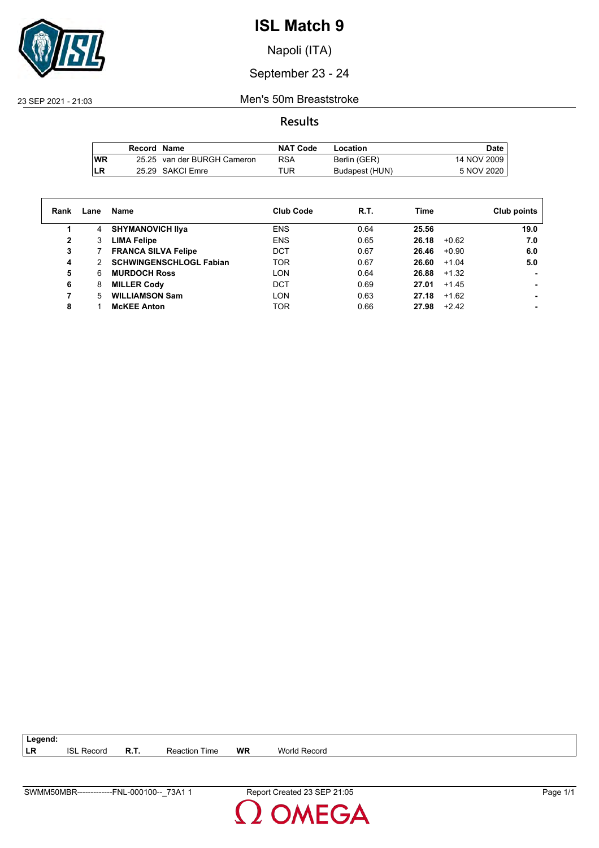

Napoli (ITA)

#### September 23 - 24

23 SEP 2021 - 21:03 Men's 50m Breaststroke

#### **Results**

|     | Record Name |                             | <b>NAT Code</b> | Location       | Date        |
|-----|-------------|-----------------------------|-----------------|----------------|-------------|
| lWR |             | 25.25 van der BURGH Cameron | RSA             | Berlin (GER)   | 14 NOV 2009 |
| LR  |             | 25.29 SAKCI Emre            | TUR             | Budapest (HUN) | 5 NOV 2020  |

| Rank         | Lane          | Name                           | <b>Club Code</b> | R.T. | Time  |         | Club points |
|--------------|---------------|--------------------------------|------------------|------|-------|---------|-------------|
| 1            | 4             | <b>SHYMANOVICH IIva</b>        | <b>ENS</b>       | 0.64 | 25.56 |         | 19.0        |
| $\mathbf{2}$ | 3             | <b>LIMA Felipe</b>             | <b>ENS</b>       | 0.65 | 26.18 | $+0.62$ | 7.0         |
| 3            |               | <b>FRANCA SILVA Felipe</b>     | DCT              | 0.67 | 26.46 | $+0.90$ | 6.0         |
| 4            | $\mathcal{P}$ | <b>SCHWINGENSCHLOGL Fabian</b> | <b>TOR</b>       | 0.67 | 26.60 | $+1.04$ | 5.0         |
| 5            | 6             | <b>MURDOCH Ross</b>            | <b>LON</b>       | 0.64 | 26.88 | $+1.32$ |             |
| 6            | 8             | <b>MILLER Cody</b>             | <b>DCT</b>       | 0.69 | 27.01 | $+1.45$ |             |
| 7            | 5             | <b>WILLIAMSON Sam</b>          | LON              | 0.63 | 27.18 | $+1.62$ |             |
| 8            |               | <b>MCKEE Anton</b>             | <b>TOR</b>       | 0.66 | 27.98 | $+2.42$ |             |

**LR** ISL Record **R.T.** Reaction Time **WR** World Record

**Legend:**

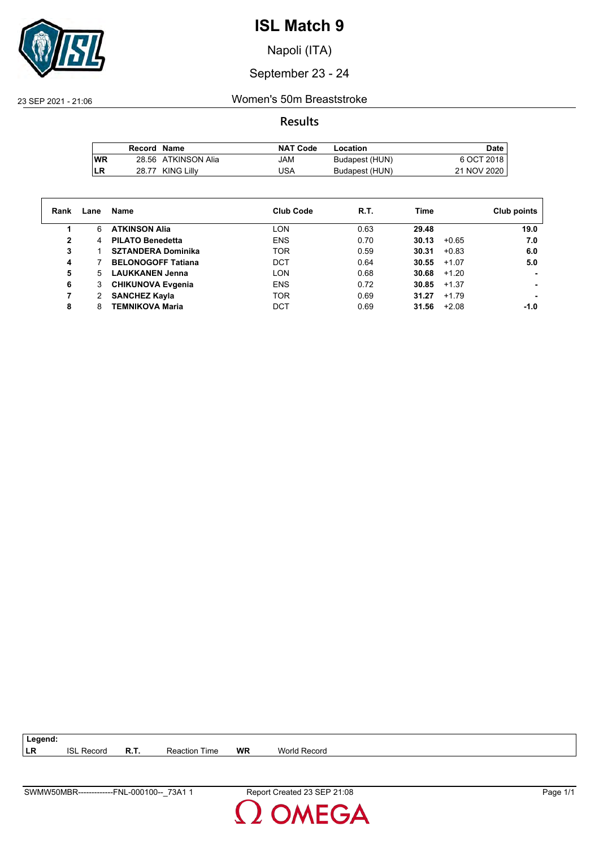

Napoli (ITA)

## September 23 - 24

23 SEP 2021 - 21:06 Women's 50m Breaststroke

**Results**

|           | Record Name |                     | <b>NAT Code</b> | Location       | Date        |
|-----------|-------------|---------------------|-----------------|----------------|-------------|
| <b>WR</b> |             | 28.56 ATKINSON Alia | JAM             | Budapest (HUN) | 6 OCT 2018  |
| LR        |             | 28.77 KING Lilly    | USA             | Budapest (HUN) | 21 NOV 2020 |

| Rank | Lane | Name                      | <b>Club Code</b> | R.T. | Time             | Club points |
|------|------|---------------------------|------------------|------|------------------|-------------|
|      | 6    | <b>ATKINSON Alia</b>      | <b>LON</b>       | 0.63 | 29.48            | 19.0        |
| 2    | 4    | <b>PILATO Benedetta</b>   | <b>ENS</b>       | 0.70 | 30.13<br>$+0.65$ | 7.0         |
| 3    |      | <b>SZTANDERA Dominika</b> | <b>TOR</b>       | 0.59 | 30.31<br>$+0.83$ | 6.0         |
| 4    |      | <b>BELONOGOFF Tatiana</b> | <b>DCT</b>       | 0.64 | 30.55<br>$+1.07$ | 5.0         |
| 5    | 5    | <b>LAUKKANEN Jenna</b>    | <b>LON</b>       | 0.68 | 30.68<br>$+1.20$ |             |
| 6    | 3    | <b>CHIKUNOVA Evgenia</b>  | <b>ENS</b>       | 0.72 | 30.85<br>$+1.37$ |             |
|      | 2    | <b>SANCHEZ Kayla</b>      | <b>TOR</b>       | 0.69 | 31.27<br>$+1.79$ |             |
| 8    | 8    | <b>TEMNIKOVA Maria</b>    | DCT              | 0.69 | 31.56<br>$+2.08$ | -1.0        |

| Record<br>6SL. | Reaction<br>ıme | <b>WR</b> | World Record |
|----------------|-----------------|-----------|--------------|
|                |                 |           |              |

**Legend:**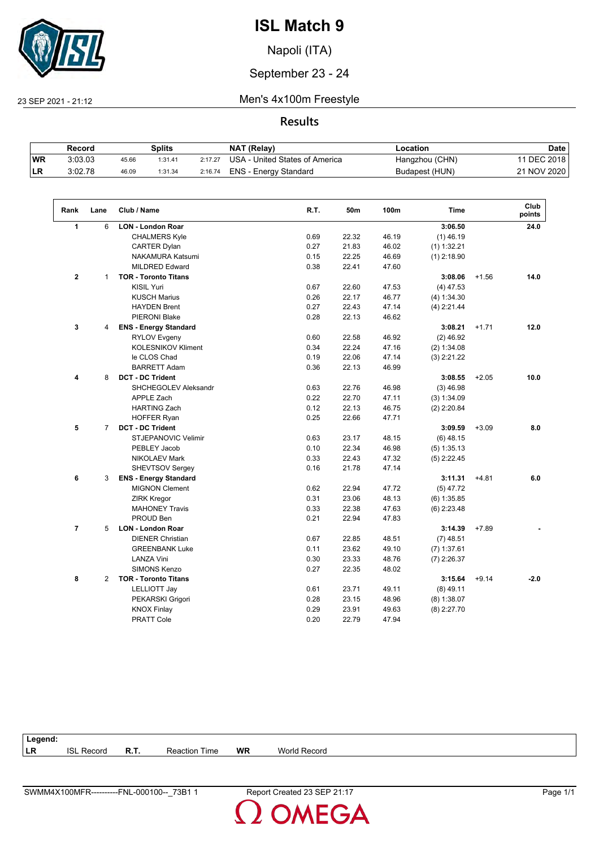

Napoli (ITA)

#### September 23 - 24

 $\sqrt{2}$ 

#### 23 SEP 2021 - 21:12 Men's 4x100m Freestyle

#### **Results**

|           | Record  |       | Splits  |         | NAT (Relay)                    | -ocation       | Date        |
|-----------|---------|-------|---------|---------|--------------------------------|----------------|-------------|
| <b>WR</b> | 3:03.03 | 45.66 | 1:31.41 | 2:17.27 | USA - United States of America | Hangzhou (CHN) | 11 DEC 2018 |
| ∣LR       | 3:02.78 | 46.09 | 1:31.34 | 2:16.74 | ENS - Energy Standard          | Budapest (HUN) | 21 NOV 2020 |

| 3:06.50<br>1<br>6<br><b>LON - London Roar</b><br>24.0<br><b>CHALMERS Kyle</b><br>0.69<br>22.32<br>46.19<br>$(1)$ 46.19<br><b>CARTER Dylan</b><br>0.27<br>21.83<br>46.02<br>$(1)$ 1:32.21<br>NAKAMURA Katsumi<br>0.15<br>22.25<br>46.69<br>$(1)$ 2:18.90<br><b>MILDRED Edward</b><br>0.38<br>22.41<br>47.60<br>$\mathbf{2}$<br><b>TOR - Toronto Titans</b><br>3:08.06<br>$+1.56$<br>14.0<br>$\mathbf{1}$<br><b>KISIL Yuri</b><br>0.67<br>22.60<br>47.53<br>$(4)$ 47.53<br>0.26<br>22.17<br>46.77<br><b>KUSCH Marius</b><br>(4) 1:34.30<br>0.27<br>22.43<br>47.14<br><b>HAYDEN Brent</b><br>$(4)$ 2:21.44<br>0.28<br>22.13<br>46.62<br><b>PIERONI Blake</b><br>3<br>3:08.21<br>$+1.71$<br>12.0<br>4<br><b>ENS - Energy Standard</b><br>0.60<br>22.58<br>46.92<br><b>RYLOV Evgeny</b><br>$(2)$ 46.92<br><b>KOLESNIKOV Kliment</b><br>0.34<br>22.24<br>47.16<br>(2) 1:34.08<br>le CLOS Chad<br>0.19<br>22.06<br>47.14<br>$(3)$ 2:21.22<br>0.36<br>22.13<br>46.99<br><b>BARRETT Adam</b><br>8<br><b>DCT - DC Trident</b><br>10.0<br>3:08.55<br>$+2.05$<br>4<br>SHCHEGOLEV Aleksandr<br>0.63<br>22.76<br>46.98<br>$(3)$ 46.98<br>0.22<br>22.70<br><b>APPLE Zach</b><br>47.11<br>(3) 1:34.09<br><b>HARTING Zach</b><br>0.12<br>22.13<br>46.75<br>$(2)$ 2:20.84<br>0.25<br>22.66<br>47.71<br><b>HOFFER Ryan</b><br>5<br>$\overline{7}$<br><b>DCT - DC Trident</b><br>3:09.59<br>8.0<br>$+3.09$<br><b>STJEPANOVIC Velimir</b><br>0.63<br>23.17<br>48.15<br>$(6)$ 48.15<br>22.34<br>PEBLEY Jacob<br>0.10<br>46.98<br>$(5)$ 1:35.13<br><b>NIKOLAEV Mark</b><br>0.33<br>22.43<br>47.32<br>$(5)$ 2:22.45<br>SHEVTSOV Sergey<br>21.78<br>47.14<br>0.16<br>6<br>3:11.31<br>$+4.81$<br>6.0<br>3<br><b>ENS - Energy Standard</b><br><b>MIGNON Clement</b><br>22.94<br>0.62<br>47.72<br>$(5)$ 47.72<br>0.31<br>23.06<br>48.13<br>$(6)$ 1:35.85<br><b>ZIRK Kregor</b><br>0.33<br>22.38<br>47.63<br><b>MAHONEY Travis</b><br>$(6)$ 2:23.48<br>PROUD Ben<br>0.21<br>22.94<br>47.83<br>$\overline{7}$<br>5<br><b>LON - London Roar</b><br>3:14.39<br>$+7.89$<br><b>DIENER Christian</b><br>0.67<br>22.85<br>48.51<br>$(7)$ 48.51<br><b>GREENBANK Luke</b><br>0.11<br>23.62<br>49.10<br>$(7)$ 1:37.61<br><b>LANZA Vini</b><br>0.30<br>23.33<br>48.76<br>$(7)$ 2:26.37<br>SIMONS Kenzo<br>0.27<br>22.35<br>48.02<br><b>TOR - Toronto Titans</b><br>8<br>2<br>3:15.64<br>$+9.14$<br>$-2.0$<br>23.71<br>49.11<br>$(8)$ 49.11<br><b>LELLIOTT Jay</b><br>0.61<br>0.28<br>23.15<br>48.96<br>$(8)$ 1:38.07<br>PEKARSKI Grigori<br><b>KNOX Finlay</b><br>0.29<br>23.91<br>49.63<br>$(8)$ 2:27.70<br><b>PRATT Cole</b><br>0.20<br>22.79<br>47.94 | Rank | Lane | Club / Name | R.T. | 50m | 100m | <b>Time</b> | Club<br>points |
|------------------------------------------------------------------------------------------------------------------------------------------------------------------------------------------------------------------------------------------------------------------------------------------------------------------------------------------------------------------------------------------------------------------------------------------------------------------------------------------------------------------------------------------------------------------------------------------------------------------------------------------------------------------------------------------------------------------------------------------------------------------------------------------------------------------------------------------------------------------------------------------------------------------------------------------------------------------------------------------------------------------------------------------------------------------------------------------------------------------------------------------------------------------------------------------------------------------------------------------------------------------------------------------------------------------------------------------------------------------------------------------------------------------------------------------------------------------------------------------------------------------------------------------------------------------------------------------------------------------------------------------------------------------------------------------------------------------------------------------------------------------------------------------------------------------------------------------------------------------------------------------------------------------------------------------------------------------------------------------------------------------------------------------------------------------------------------------------------------------------------------------------------------------------------------------------------------------------------------------------------------------------------------------------------------------------------------------------------------------------------------------------------------------------------------------------------------------------------------------------------------------------------------------------------------------------------------------------------------------|------|------|-------------|------|-----|------|-------------|----------------|
|                                                                                                                                                                                                                                                                                                                                                                                                                                                                                                                                                                                                                                                                                                                                                                                                                                                                                                                                                                                                                                                                                                                                                                                                                                                                                                                                                                                                                                                                                                                                                                                                                                                                                                                                                                                                                                                                                                                                                                                                                                                                                                                                                                                                                                                                                                                                                                                                                                                                                                                                                                                                                  |      |      |             |      |     |      |             |                |
|                                                                                                                                                                                                                                                                                                                                                                                                                                                                                                                                                                                                                                                                                                                                                                                                                                                                                                                                                                                                                                                                                                                                                                                                                                                                                                                                                                                                                                                                                                                                                                                                                                                                                                                                                                                                                                                                                                                                                                                                                                                                                                                                                                                                                                                                                                                                                                                                                                                                                                                                                                                                                  |      |      |             |      |     |      |             |                |
|                                                                                                                                                                                                                                                                                                                                                                                                                                                                                                                                                                                                                                                                                                                                                                                                                                                                                                                                                                                                                                                                                                                                                                                                                                                                                                                                                                                                                                                                                                                                                                                                                                                                                                                                                                                                                                                                                                                                                                                                                                                                                                                                                                                                                                                                                                                                                                                                                                                                                                                                                                                                                  |      |      |             |      |     |      |             |                |
|                                                                                                                                                                                                                                                                                                                                                                                                                                                                                                                                                                                                                                                                                                                                                                                                                                                                                                                                                                                                                                                                                                                                                                                                                                                                                                                                                                                                                                                                                                                                                                                                                                                                                                                                                                                                                                                                                                                                                                                                                                                                                                                                                                                                                                                                                                                                                                                                                                                                                                                                                                                                                  |      |      |             |      |     |      |             |                |
|                                                                                                                                                                                                                                                                                                                                                                                                                                                                                                                                                                                                                                                                                                                                                                                                                                                                                                                                                                                                                                                                                                                                                                                                                                                                                                                                                                                                                                                                                                                                                                                                                                                                                                                                                                                                                                                                                                                                                                                                                                                                                                                                                                                                                                                                                                                                                                                                                                                                                                                                                                                                                  |      |      |             |      |     |      |             |                |
|                                                                                                                                                                                                                                                                                                                                                                                                                                                                                                                                                                                                                                                                                                                                                                                                                                                                                                                                                                                                                                                                                                                                                                                                                                                                                                                                                                                                                                                                                                                                                                                                                                                                                                                                                                                                                                                                                                                                                                                                                                                                                                                                                                                                                                                                                                                                                                                                                                                                                                                                                                                                                  |      |      |             |      |     |      |             |                |
|                                                                                                                                                                                                                                                                                                                                                                                                                                                                                                                                                                                                                                                                                                                                                                                                                                                                                                                                                                                                                                                                                                                                                                                                                                                                                                                                                                                                                                                                                                                                                                                                                                                                                                                                                                                                                                                                                                                                                                                                                                                                                                                                                                                                                                                                                                                                                                                                                                                                                                                                                                                                                  |      |      |             |      |     |      |             |                |
|                                                                                                                                                                                                                                                                                                                                                                                                                                                                                                                                                                                                                                                                                                                                                                                                                                                                                                                                                                                                                                                                                                                                                                                                                                                                                                                                                                                                                                                                                                                                                                                                                                                                                                                                                                                                                                                                                                                                                                                                                                                                                                                                                                                                                                                                                                                                                                                                                                                                                                                                                                                                                  |      |      |             |      |     |      |             |                |
|                                                                                                                                                                                                                                                                                                                                                                                                                                                                                                                                                                                                                                                                                                                                                                                                                                                                                                                                                                                                                                                                                                                                                                                                                                                                                                                                                                                                                                                                                                                                                                                                                                                                                                                                                                                                                                                                                                                                                                                                                                                                                                                                                                                                                                                                                                                                                                                                                                                                                                                                                                                                                  |      |      |             |      |     |      |             |                |
|                                                                                                                                                                                                                                                                                                                                                                                                                                                                                                                                                                                                                                                                                                                                                                                                                                                                                                                                                                                                                                                                                                                                                                                                                                                                                                                                                                                                                                                                                                                                                                                                                                                                                                                                                                                                                                                                                                                                                                                                                                                                                                                                                                                                                                                                                                                                                                                                                                                                                                                                                                                                                  |      |      |             |      |     |      |             |                |
|                                                                                                                                                                                                                                                                                                                                                                                                                                                                                                                                                                                                                                                                                                                                                                                                                                                                                                                                                                                                                                                                                                                                                                                                                                                                                                                                                                                                                                                                                                                                                                                                                                                                                                                                                                                                                                                                                                                                                                                                                                                                                                                                                                                                                                                                                                                                                                                                                                                                                                                                                                                                                  |      |      |             |      |     |      |             |                |
|                                                                                                                                                                                                                                                                                                                                                                                                                                                                                                                                                                                                                                                                                                                                                                                                                                                                                                                                                                                                                                                                                                                                                                                                                                                                                                                                                                                                                                                                                                                                                                                                                                                                                                                                                                                                                                                                                                                                                                                                                                                                                                                                                                                                                                                                                                                                                                                                                                                                                                                                                                                                                  |      |      |             |      |     |      |             |                |
|                                                                                                                                                                                                                                                                                                                                                                                                                                                                                                                                                                                                                                                                                                                                                                                                                                                                                                                                                                                                                                                                                                                                                                                                                                                                                                                                                                                                                                                                                                                                                                                                                                                                                                                                                                                                                                                                                                                                                                                                                                                                                                                                                                                                                                                                                                                                                                                                                                                                                                                                                                                                                  |      |      |             |      |     |      |             |                |
|                                                                                                                                                                                                                                                                                                                                                                                                                                                                                                                                                                                                                                                                                                                                                                                                                                                                                                                                                                                                                                                                                                                                                                                                                                                                                                                                                                                                                                                                                                                                                                                                                                                                                                                                                                                                                                                                                                                                                                                                                                                                                                                                                                                                                                                                                                                                                                                                                                                                                                                                                                                                                  |      |      |             |      |     |      |             |                |
|                                                                                                                                                                                                                                                                                                                                                                                                                                                                                                                                                                                                                                                                                                                                                                                                                                                                                                                                                                                                                                                                                                                                                                                                                                                                                                                                                                                                                                                                                                                                                                                                                                                                                                                                                                                                                                                                                                                                                                                                                                                                                                                                                                                                                                                                                                                                                                                                                                                                                                                                                                                                                  |      |      |             |      |     |      |             |                |
|                                                                                                                                                                                                                                                                                                                                                                                                                                                                                                                                                                                                                                                                                                                                                                                                                                                                                                                                                                                                                                                                                                                                                                                                                                                                                                                                                                                                                                                                                                                                                                                                                                                                                                                                                                                                                                                                                                                                                                                                                                                                                                                                                                                                                                                                                                                                                                                                                                                                                                                                                                                                                  |      |      |             |      |     |      |             |                |
|                                                                                                                                                                                                                                                                                                                                                                                                                                                                                                                                                                                                                                                                                                                                                                                                                                                                                                                                                                                                                                                                                                                                                                                                                                                                                                                                                                                                                                                                                                                                                                                                                                                                                                                                                                                                                                                                                                                                                                                                                                                                                                                                                                                                                                                                                                                                                                                                                                                                                                                                                                                                                  |      |      |             |      |     |      |             |                |
|                                                                                                                                                                                                                                                                                                                                                                                                                                                                                                                                                                                                                                                                                                                                                                                                                                                                                                                                                                                                                                                                                                                                                                                                                                                                                                                                                                                                                                                                                                                                                                                                                                                                                                                                                                                                                                                                                                                                                                                                                                                                                                                                                                                                                                                                                                                                                                                                                                                                                                                                                                                                                  |      |      |             |      |     |      |             |                |
|                                                                                                                                                                                                                                                                                                                                                                                                                                                                                                                                                                                                                                                                                                                                                                                                                                                                                                                                                                                                                                                                                                                                                                                                                                                                                                                                                                                                                                                                                                                                                                                                                                                                                                                                                                                                                                                                                                                                                                                                                                                                                                                                                                                                                                                                                                                                                                                                                                                                                                                                                                                                                  |      |      |             |      |     |      |             |                |
|                                                                                                                                                                                                                                                                                                                                                                                                                                                                                                                                                                                                                                                                                                                                                                                                                                                                                                                                                                                                                                                                                                                                                                                                                                                                                                                                                                                                                                                                                                                                                                                                                                                                                                                                                                                                                                                                                                                                                                                                                                                                                                                                                                                                                                                                                                                                                                                                                                                                                                                                                                                                                  |      |      |             |      |     |      |             |                |
|                                                                                                                                                                                                                                                                                                                                                                                                                                                                                                                                                                                                                                                                                                                                                                                                                                                                                                                                                                                                                                                                                                                                                                                                                                                                                                                                                                                                                                                                                                                                                                                                                                                                                                                                                                                                                                                                                                                                                                                                                                                                                                                                                                                                                                                                                                                                                                                                                                                                                                                                                                                                                  |      |      |             |      |     |      |             |                |
|                                                                                                                                                                                                                                                                                                                                                                                                                                                                                                                                                                                                                                                                                                                                                                                                                                                                                                                                                                                                                                                                                                                                                                                                                                                                                                                                                                                                                                                                                                                                                                                                                                                                                                                                                                                                                                                                                                                                                                                                                                                                                                                                                                                                                                                                                                                                                                                                                                                                                                                                                                                                                  |      |      |             |      |     |      |             |                |
|                                                                                                                                                                                                                                                                                                                                                                                                                                                                                                                                                                                                                                                                                                                                                                                                                                                                                                                                                                                                                                                                                                                                                                                                                                                                                                                                                                                                                                                                                                                                                                                                                                                                                                                                                                                                                                                                                                                                                                                                                                                                                                                                                                                                                                                                                                                                                                                                                                                                                                                                                                                                                  |      |      |             |      |     |      |             |                |
|                                                                                                                                                                                                                                                                                                                                                                                                                                                                                                                                                                                                                                                                                                                                                                                                                                                                                                                                                                                                                                                                                                                                                                                                                                                                                                                                                                                                                                                                                                                                                                                                                                                                                                                                                                                                                                                                                                                                                                                                                                                                                                                                                                                                                                                                                                                                                                                                                                                                                                                                                                                                                  |      |      |             |      |     |      |             |                |
|                                                                                                                                                                                                                                                                                                                                                                                                                                                                                                                                                                                                                                                                                                                                                                                                                                                                                                                                                                                                                                                                                                                                                                                                                                                                                                                                                                                                                                                                                                                                                                                                                                                                                                                                                                                                                                                                                                                                                                                                                                                                                                                                                                                                                                                                                                                                                                                                                                                                                                                                                                                                                  |      |      |             |      |     |      |             |                |
|                                                                                                                                                                                                                                                                                                                                                                                                                                                                                                                                                                                                                                                                                                                                                                                                                                                                                                                                                                                                                                                                                                                                                                                                                                                                                                                                                                                                                                                                                                                                                                                                                                                                                                                                                                                                                                                                                                                                                                                                                                                                                                                                                                                                                                                                                                                                                                                                                                                                                                                                                                                                                  |      |      |             |      |     |      |             |                |
|                                                                                                                                                                                                                                                                                                                                                                                                                                                                                                                                                                                                                                                                                                                                                                                                                                                                                                                                                                                                                                                                                                                                                                                                                                                                                                                                                                                                                                                                                                                                                                                                                                                                                                                                                                                                                                                                                                                                                                                                                                                                                                                                                                                                                                                                                                                                                                                                                                                                                                                                                                                                                  |      |      |             |      |     |      |             |                |
|                                                                                                                                                                                                                                                                                                                                                                                                                                                                                                                                                                                                                                                                                                                                                                                                                                                                                                                                                                                                                                                                                                                                                                                                                                                                                                                                                                                                                                                                                                                                                                                                                                                                                                                                                                                                                                                                                                                                                                                                                                                                                                                                                                                                                                                                                                                                                                                                                                                                                                                                                                                                                  |      |      |             |      |     |      |             |                |
|                                                                                                                                                                                                                                                                                                                                                                                                                                                                                                                                                                                                                                                                                                                                                                                                                                                                                                                                                                                                                                                                                                                                                                                                                                                                                                                                                                                                                                                                                                                                                                                                                                                                                                                                                                                                                                                                                                                                                                                                                                                                                                                                                                                                                                                                                                                                                                                                                                                                                                                                                                                                                  |      |      |             |      |     |      |             |                |
|                                                                                                                                                                                                                                                                                                                                                                                                                                                                                                                                                                                                                                                                                                                                                                                                                                                                                                                                                                                                                                                                                                                                                                                                                                                                                                                                                                                                                                                                                                                                                                                                                                                                                                                                                                                                                                                                                                                                                                                                                                                                                                                                                                                                                                                                                                                                                                                                                                                                                                                                                                                                                  |      |      |             |      |     |      |             |                |
|                                                                                                                                                                                                                                                                                                                                                                                                                                                                                                                                                                                                                                                                                                                                                                                                                                                                                                                                                                                                                                                                                                                                                                                                                                                                                                                                                                                                                                                                                                                                                                                                                                                                                                                                                                                                                                                                                                                                                                                                                                                                                                                                                                                                                                                                                                                                                                                                                                                                                                                                                                                                                  |      |      |             |      |     |      |             |                |
|                                                                                                                                                                                                                                                                                                                                                                                                                                                                                                                                                                                                                                                                                                                                                                                                                                                                                                                                                                                                                                                                                                                                                                                                                                                                                                                                                                                                                                                                                                                                                                                                                                                                                                                                                                                                                                                                                                                                                                                                                                                                                                                                                                                                                                                                                                                                                                                                                                                                                                                                                                                                                  |      |      |             |      |     |      |             |                |
|                                                                                                                                                                                                                                                                                                                                                                                                                                                                                                                                                                                                                                                                                                                                                                                                                                                                                                                                                                                                                                                                                                                                                                                                                                                                                                                                                                                                                                                                                                                                                                                                                                                                                                                                                                                                                                                                                                                                                                                                                                                                                                                                                                                                                                                                                                                                                                                                                                                                                                                                                                                                                  |      |      |             |      |     |      |             |                |
|                                                                                                                                                                                                                                                                                                                                                                                                                                                                                                                                                                                                                                                                                                                                                                                                                                                                                                                                                                                                                                                                                                                                                                                                                                                                                                                                                                                                                                                                                                                                                                                                                                                                                                                                                                                                                                                                                                                                                                                                                                                                                                                                                                                                                                                                                                                                                                                                                                                                                                                                                                                                                  |      |      |             |      |     |      |             |                |
|                                                                                                                                                                                                                                                                                                                                                                                                                                                                                                                                                                                                                                                                                                                                                                                                                                                                                                                                                                                                                                                                                                                                                                                                                                                                                                                                                                                                                                                                                                                                                                                                                                                                                                                                                                                                                                                                                                                                                                                                                                                                                                                                                                                                                                                                                                                                                                                                                                                                                                                                                                                                                  |      |      |             |      |     |      |             |                |
|                                                                                                                                                                                                                                                                                                                                                                                                                                                                                                                                                                                                                                                                                                                                                                                                                                                                                                                                                                                                                                                                                                                                                                                                                                                                                                                                                                                                                                                                                                                                                                                                                                                                                                                                                                                                                                                                                                                                                                                                                                                                                                                                                                                                                                                                                                                                                                                                                                                                                                                                                                                                                  |      |      |             |      |     |      |             |                |
|                                                                                                                                                                                                                                                                                                                                                                                                                                                                                                                                                                                                                                                                                                                                                                                                                                                                                                                                                                                                                                                                                                                                                                                                                                                                                                                                                                                                                                                                                                                                                                                                                                                                                                                                                                                                                                                                                                                                                                                                                                                                                                                                                                                                                                                                                                                                                                                                                                                                                                                                                                                                                  |      |      |             |      |     |      |             |                |
|                                                                                                                                                                                                                                                                                                                                                                                                                                                                                                                                                                                                                                                                                                                                                                                                                                                                                                                                                                                                                                                                                                                                                                                                                                                                                                                                                                                                                                                                                                                                                                                                                                                                                                                                                                                                                                                                                                                                                                                                                                                                                                                                                                                                                                                                                                                                                                                                                                                                                                                                                                                                                  |      |      |             |      |     |      |             |                |
|                                                                                                                                                                                                                                                                                                                                                                                                                                                                                                                                                                                                                                                                                                                                                                                                                                                                                                                                                                                                                                                                                                                                                                                                                                                                                                                                                                                                                                                                                                                                                                                                                                                                                                                                                                                                                                                                                                                                                                                                                                                                                                                                                                                                                                                                                                                                                                                                                                                                                                                                                                                                                  |      |      |             |      |     |      |             |                |
|                                                                                                                                                                                                                                                                                                                                                                                                                                                                                                                                                                                                                                                                                                                                                                                                                                                                                                                                                                                                                                                                                                                                                                                                                                                                                                                                                                                                                                                                                                                                                                                                                                                                                                                                                                                                                                                                                                                                                                                                                                                                                                                                                                                                                                                                                                                                                                                                                                                                                                                                                                                                                  |      |      |             |      |     |      |             |                |

| Legend:   |               |      |      |           |                   |
|-----------|---------------|------|------|-----------|-------------------|
| <b>LR</b> | ISL<br>Record | R.T. | Time | <b>WR</b> | World<br>! Record |
|           |               |      |      |           |                   |

**OMEGA**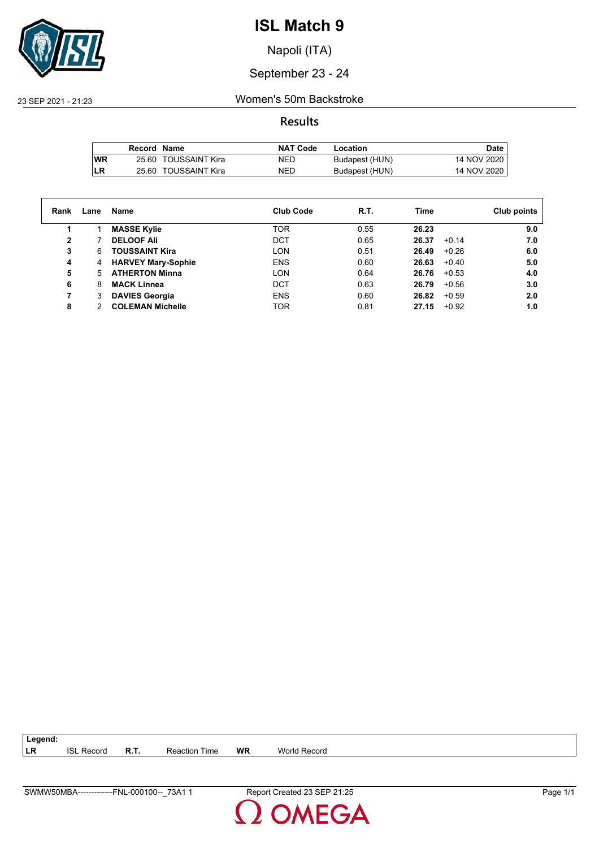

Napoli (ITA)

September 23 - 24

23 SEP 2021 - 21:23 Women's 50m Backstroke

**Results**

|            | Record Name |                      | <b>NAT Code</b> | Location       | Date        |
|------------|-------------|----------------------|-----------------|----------------|-------------|
| <b>IWR</b> |             | 25.60 TOUSSAINT Kira | NED             | Budapest (HUN) | 14 NOV 2020 |
| <b>ILR</b> |             | 25.60 TOUSSAINT Kira | NED             | Budapest (HUN) | 14 NOV 2020 |

| Rank | Lane | Name                      | <b>Club Code</b> | R.T. | Time             | Club points |
|------|------|---------------------------|------------------|------|------------------|-------------|
|      |      | <b>MASSE Kylie</b>        | <b>TOR</b>       | 0.55 | 26.23            | 9.0         |
| 2    |      | <b>DELOOF Ali</b>         | DCT              | 0.65 | $+0.14$<br>26.37 | 7.0         |
| 3    | 6    | <b>TOUSSAINT Kira</b>     | LON              | 0.51 | 26.49<br>$+0.26$ | 6.0         |
| 4    | 4    | <b>HARVEY Mary-Sophie</b> | <b>ENS</b>       | 0.60 | 26.63<br>$+0.40$ | 5.0         |
| 5    | 5.   | <b>ATHERTON Minna</b>     | LON              | 0.64 | 26.76<br>$+0.53$ | 4.0         |
| 6    | 8    | <b>MACK Linnea</b>        | <b>DCT</b>       | 0.63 | 26.79<br>$+0.56$ | 3.0         |
|      | 3    | <b>DAVIES Georgia</b>     | <b>ENS</b>       | 0.60 | 26.82<br>$+0.59$ | 2.0         |
| 8    | າ    | <b>COLEMAN Michelle</b>   | <b>TOR</b>       | 0.81 | 27.15<br>$+0.92$ | 1.0         |
|      |      |                           |                  |      |                  |             |

**LR** ISL Record **R.T.** Reaction Time **WR** World Record

**Legend:**

SWMW50MBA-------------FNL-000100--\_73A1 1 Report Created 23 SEP 21:25 Page 1/1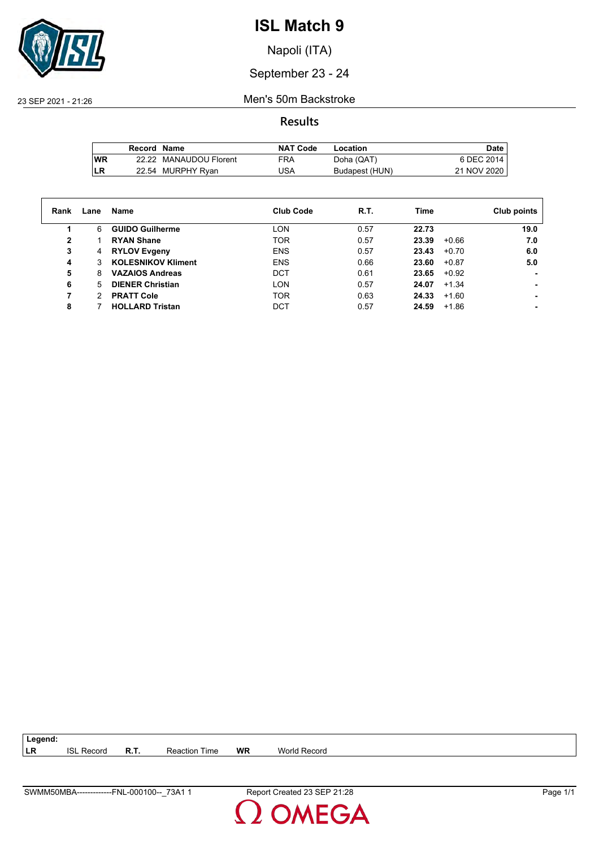

Napoli (ITA)

#### September 23 - 24

23 SEP 2021 - 21:26 Men's 50m Backstroke

**Results**

|           | Record Name |                        | <b>NAT Code</b> | Location       | Date,       |
|-----------|-------------|------------------------|-----------------|----------------|-------------|
| <b>WR</b> |             | 22.22 MANAUDOU Florent | FRA             | Doha (QAT)     | 6 DEC 2014  |
| LR        |             | 22.54 MURPHY Ryan      | 'JSA            | Budapest (HUN) | 21 NOV 2020 |

| Rank | Lane | Name                      | <b>Club Code</b> | R.T. | Time             | Club points |
|------|------|---------------------------|------------------|------|------------------|-------------|
|      | 6    | <b>GUIDO Guilherme</b>    | LON              | 0.57 | 22.73            | 19.0        |
| 2    |      | <b>RYAN Shane</b>         | <b>TOR</b>       | 0.57 | 23.39<br>$+0.66$ | 7.0         |
| 3    | 4    | <b>RYLOV Evgeny</b>       | <b>ENS</b>       | 0.57 | 23.43<br>$+0.70$ | 6.0         |
| 4    | 3    | <b>KOLESNIKOV Kliment</b> | <b>ENS</b>       | 0.66 | 23.60<br>$+0.87$ | 5.0         |
| 5    | 8    | <b>VAZAIOS Andreas</b>    | DCT              | 0.61 | 23.65<br>$+0.92$ |             |
| 6    | 5.   | <b>DIENER Christian</b>   | LON              | 0.57 | 24.07<br>$+1.34$ |             |
|      | 2    | <b>PRATT Cole</b>         | <b>TOR</b>       | 0.63 | 24.33<br>$+1.60$ |             |
| 8    |      | <b>HOLLARD Tristan</b>    | DCT              | 0.57 | 24.59<br>$+1.86$ |             |

**LR** ISL Record **R.T.** Reaction Time **WR** World Record

**Legend:**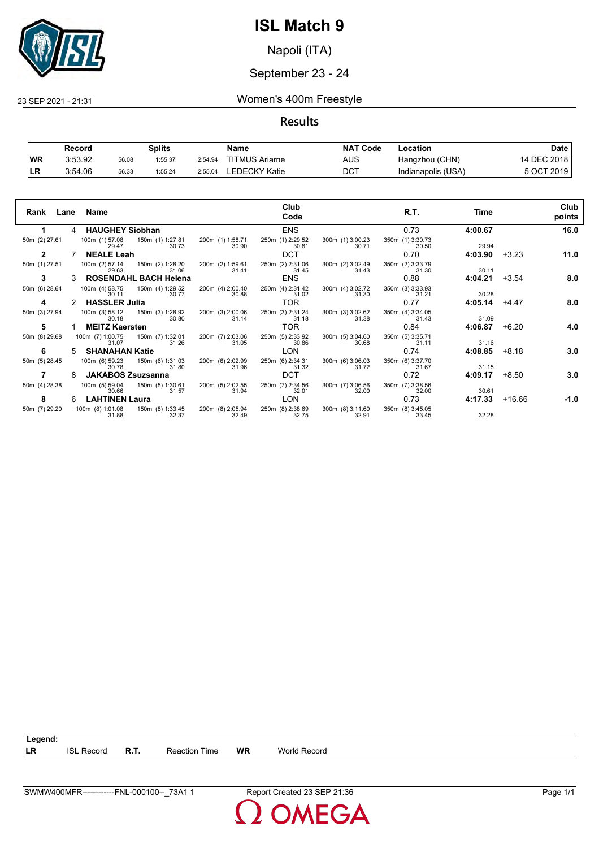

Napoli (ITA)

#### September 23 - 24

23 SEP 2021 - 21:31 Women's 400m Freestyle

#### **Results**

|           | Record  |       | Splits  |         | Name                  | <b>NAT</b><br>' Code | Location           | Date        |
|-----------|---------|-------|---------|---------|-----------------------|----------------------|--------------------|-------------|
| <b>WR</b> | 3:53.92 | 56.08 | 1:55.37 | 2:54.94 | <b>TITMUS Ariarne</b> | AUS                  | Hangzhou (CHN)     | 14 DEC 2018 |
| ьm        | 3:54.06 | 56.33 | 1:55.24 | 2:55.04 | EDECKY Katie.         | $DC^{\intercal}$     | Indianapolis (USA) | 5 OCT 2019  |

| Rank<br>Lane  |    | Name                                                   |                           | Club<br>Code              |                           | R.T.                      | Time    |          | Club<br>points |
|---------------|----|--------------------------------------------------------|---------------------------|---------------------------|---------------------------|---------------------------|---------|----------|----------------|
|               | 4  | <b>HAUGHEY Siobhan</b>                                 |                           | <b>ENS</b>                |                           | 0.73                      | 4:00.67 |          | 16.0           |
| 50m (2) 27.61 |    | 100m (1) 57.08<br>150m (1) 1:27.81<br>30.73<br>29.47   | 200m (1) 1:58.71<br>30.90 | 250m (1) 2:29.52<br>30.81 | 300m (1) 3:00.23<br>30.71 | 350m (1) 3:30.73<br>30.50 | 29.94   |          |                |
| 2             |    | <b>NEALE Leah</b>                                      |                           | DCT                       |                           | 0.70                      | 4:03.90 | $+3.23$  | 11.0           |
| 50m (1) 27.51 |    | 100m (2) 57.14<br>150m (2) 1:28.20<br>31.06<br>29.63   | 200m (2) 1:59.61<br>31.41 | 250m (2) 2:31.06<br>31.45 | 300m (2) 3:02.49<br>31.43 | 350m (2) 3:33.79<br>31.30 | 30.11   |          |                |
| 3             |    | <b>ROSENDAHL BACH Helena</b>                           |                           | <b>ENS</b>                |                           | 0.88                      | 4:04.21 | $+3.54$  | 8.0            |
| 50m (6) 28.64 |    | 100m (4) 58.75<br>150m (4) 1:29.52<br>30.77<br>30.11   | 200m (4) 2:00.40<br>30.88 | 250m (4) 2:31.42<br>31.02 | 300m (4) 3:02.72<br>31.30 | 350m (3) 3:33.93<br>31.21 | 30.28   |          |                |
| 4             |    | <b>HASSLER Julia</b>                                   |                           | TOR                       |                           | 0.77                      | 4:05.14 | $+4.47$  | 8.0            |
| 50m (3) 27.94 |    | 100m (3) 58.12<br>150m (3) 1:28.92<br>30.18<br>30.80   | 200m (3) 2:00.06<br>31.14 | 250m (3) 2:31.24<br>31.18 | 300m (3) 3:02.62<br>31.38 | 350m (4) 3:34.05<br>31.43 | 31.09   |          |                |
| 5             |    | <b>MEITZ Kaersten</b>                                  |                           | <b>TOR</b>                |                           | 0.84                      | 4:06.87 | $+6.20$  | 4.0            |
| 50m (8) 29.68 |    | 100m (7) 1:00.75<br>150m (7) 1:32.01<br>31.07<br>31.26 | 200m (7) 2:03.06<br>31.05 | 250m (5) 2:33.92<br>30.86 | 300m (5) 3:04.60<br>30.68 | 350m (5) 3:35.71<br>31.11 | 31.16   |          |                |
| 6             | 5. | <b>SHANAHAN Katie</b>                                  |                           | <b>LON</b>                |                           | 0.74                      | 4:08.85 | $+8.18$  | 3.0            |
| 50m (5) 28.45 |    | 100m (6) 59.23<br>150m (6) 1:31.03<br>30.78<br>31.80   | 200m (6) 2:02.99<br>31.96 | 250m (6) 2:34.31<br>31.32 | 300m (6) 3:06.03<br>31.72 | 350m (6) 3:37.70<br>31.67 | 31.15   |          |                |
|               | 8  | <b>JAKABOS Zsuzsanna</b>                               |                           | <b>DCT</b>                |                           | 0.72                      | 4:09.17 | $+8.50$  | 3.0            |
| 50m (4) 28.38 |    | 100m (5) 59.04<br>150m (5) 1:30.61<br>30.66<br>31.57   | 200m (5) 2:02.55<br>31.94 | 250m (7) 2:34.56<br>32.01 | 300m (7) 3:06.56<br>32.00 | 350m (7) 3:38.56<br>32.00 | 30.61   |          |                |
| 8             | 6  | <b>LAHTINEN Laura</b>                                  |                           | LON                       |                           | 0.73                      | 4:17.33 | $+16.66$ | $-1.0$         |
| 50m (7) 29.20 |    | 100m (8) 1:01.08<br>150m (8) 1:33.45<br>31.88<br>32.37 | 200m (8) 2:05.94<br>32.49 | 250m (8) 2:38.69<br>32.75 | 300m (8) 3:11.60<br>32.91 | 350m (8) 3:45.05<br>33.45 | 32.28   |          |                |

**LR** ISL Record **R.T.** Reaction Time **WR** World Record

**Legend:**

SWMW400MFR------------FNL-000100--\_73A1 1 Report Created 23 SEP 21:36 Page 1/1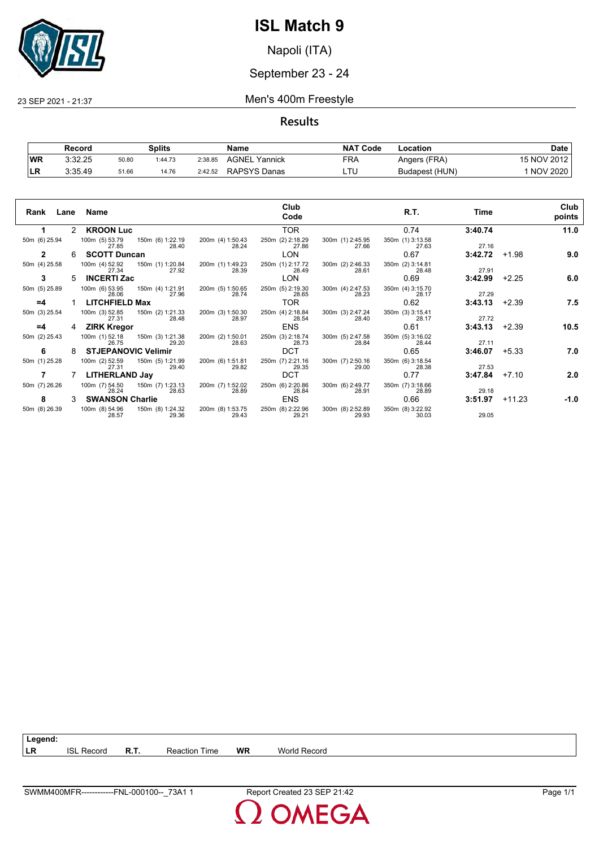

Napoli (ITA)

#### September 23 - 24

23 SEP 2021 - 21:37 Men's 400m Freestyle

**Results**

|           | Record  |       | Splits  |         | Name             | <b>NAT Code</b> | ∟ocation       | Date            |
|-----------|---------|-------|---------|---------|------------------|-----------------|----------------|-----------------|
| <b>WR</b> | 3:32.25 | 50.80 | 1:44.73 | 2:38.85 | AGNEL<br>Yannick | FRA             | Angers (FRA)   | 15 NOV 2012     |
| ∣LR       | 3:35.49 | 51.66 | 14.76   | 2:42.52 | RAPSYS Danas     | ᆸᄓ              | Budapest (HUN) | <b>NOV 2020</b> |

| Rank          |   | Lane Name                                |                                          |                           | Club<br>Code              |                           | R.T.                      | Time    |          | Club<br>points |
|---------------|---|------------------------------------------|------------------------------------------|---------------------------|---------------------------|---------------------------|---------------------------|---------|----------|----------------|
| 1.            |   | 2 KROON Luc                              |                                          |                           | TOR.                      |                           | 0.74                      | 3:40.74 |          | 11.0           |
| 50m (6) 25.94 |   | 100m (5) 53.79 150m (6) 1:22.19<br>27.85 | 28.40                                    | 200m (4) 1:50.43<br>28.24 | 250m (2) 2:18.29<br>27.86 | 300m (1) 2:45.95<br>27.66 | 350m (1) 3:13.58<br>27.63 | 27.16   |          |                |
| $\mathbf{2}$  | 6 | <b>SCOTT Duncan</b>                      |                                          |                           | <b>LON</b>                |                           | 0.67                      | 3:42.72 | $+1.98$  | 9.0            |
| 50m (4) 25.58 |   | 27.34                                    | 100m (4) 52.92 150m (1) 1:20.84<br>27.92 | 200m (1) 1:49.23<br>28.39 | 250m (1) 2:17.72<br>28.49 | 300m (2) 2:46.33<br>28.61 | 350m (2) 3:14.81<br>28.48 | 27.91   |          |                |
| 3             | 5 | <b>INCERTI Zac</b>                       |                                          |                           | <b>LON</b>                |                           | 0.69                      | 3:42.99 | $+2.25$  | 6.0            |
| 50m (5) 25.89 |   | 100m (6) 53.95<br>28.06                  | 150m (4) 1:21.91<br>27.96                | 200m (5) 1:50.65<br>28.74 | 250m (5) 2:19.30<br>28.65 | 300m (4) 2:47.53<br>28.23 | 350m (4) 3:15.70<br>28.17 | 27.29   |          |                |
| $=4$          |   | <b>LITCHFIELD Max</b>                    |                                          |                           | TOR.                      |                           | 0.62                      | 3:43.13 | $+2.39$  | 7.5            |
| 50m (3) 25.54 |   | 100m (3) 52.85<br>27.31                  | 150m (2) 1:21.33<br>28.48                | 200m (3) 1:50.30<br>28.97 | 250m (4) 2:18.84<br>28.54 | 300m (3) 2:47.24<br>28.40 | 350m (3) 3:15.41<br>28.17 | 27.72   |          |                |
| $=4$          | 4 | <b>ZIRK Kregor</b>                       |                                          |                           | <b>ENS</b>                |                           | 0.61                      | 3:43.13 | $+2.39$  | 10.5           |
| 50m (2) 25.43 |   | 100m (1) 52.18<br>26.75                  | 150m (3) 1:21.38<br>29.20                | 200m (2) 1:50.01<br>28.63 | 250m (3) 2:18.74<br>28.73 | 300m (5) 2:47.58<br>28.84 | 350m (5) 3:16.02<br>28.44 | 27.11   |          |                |
| 6             | 8 | <b>STJEPANOVIC Velimir</b>               |                                          |                           | <b>DCT</b>                |                           | 0.65                      | 3:46.07 | $+5.33$  | 7.0            |
| 50m (1) 25.28 |   | 100m (2) 52.59<br>27.31                  | 150m (5) 1:21.99<br>29.40                | 200m (6) 1:51.81<br>29.82 | 250m (7) 2:21.16<br>29.35 | 300m (7) 2:50.16<br>29.00 | 350m (6) 3:18.54<br>28.38 | 27.53   |          |                |
| 7             |   | LITHERLAND Jay                           |                                          |                           | <b>DCT</b>                |                           | 0.77                      | 3:47.84 | $+7.10$  | 2.0            |
| 50m (7) 26.26 |   | 28.24                                    | 100m (7) 54.50 150m (7) 1:23.13<br>28.63 | 200m (7) 1:52.02<br>28.89 | 250m (6) 2:20.86<br>28.84 | 300m (6) 2:49.77<br>28.91 | 350m (7) 3:18.66<br>28.89 | 29.18   |          |                |
| 8             | 3 | <b>SWANSON Charlie</b>                   |                                          |                           | ENS                       |                           | 0.66                      | 3:51.97 | $+11.23$ | $-1.0$         |
| 50m (8) 26.39 |   | 100m (8) 54.96<br>28.57                  | 150m (8) 1:24.32<br>29.36                | 200m (8) 1:53.75<br>29.43 | 250m (8) 2:22.96<br>29.21 | 300m (8) 2:52.89<br>29.93 | 350m (8) 3:22.92<br>30.03 | 29.05   |          |                |

**LR** ISL Record **R.T.** Reaction Time **WR** World Record

**Legend:**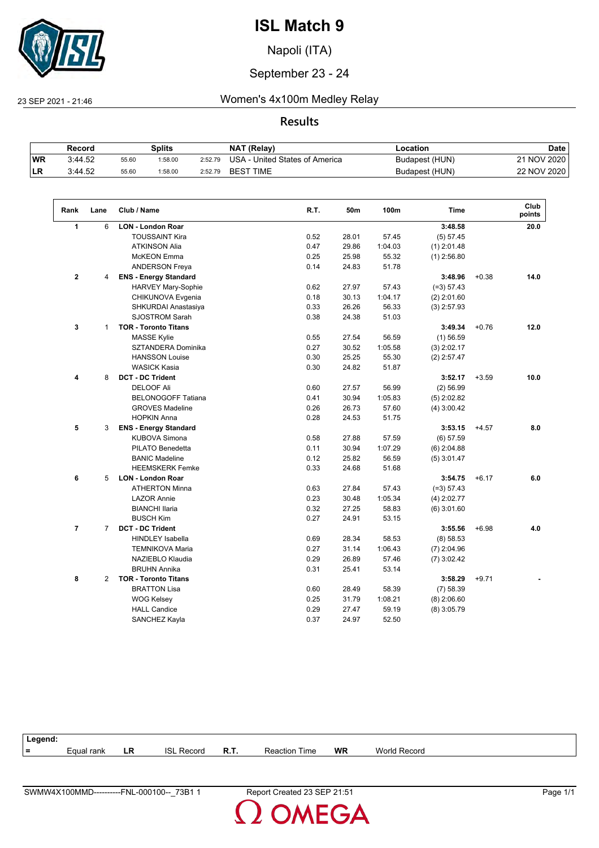

Napoli (ITA)

#### September 23 - 24

#### 23 SEP 2021 - 21:46 Women's 4x100m Medley Relay

#### **Results**

|           | Record  | Splits |         | NAT (Relay) | Location                       | <b>Date</b>    |             |
|-----------|---------|--------|---------|-------------|--------------------------------|----------------|-------------|
| <b>WR</b> | 3:44.52 | 55.60  | 1:58.00 | 2:52.79     | USA - United States of America | Budapest (HUN) | 21 NOV 2020 |
| ∣LR       | 3:44.52 | 55.60  | :58.00  | 2:52.79     | <b>BEST TIME</b>               | Budapest (HUN) | 22 NOV 2020 |

| Rank           | Lane           | Club / Name                  | R.T. | 50m   | 100m    | <b>Time</b>   |         | Club<br>points |
|----------------|----------------|------------------------------|------|-------|---------|---------------|---------|----------------|
| 1              | 6              | <b>LON - London Roar</b>     |      |       |         | 3:48.58       |         | 20.0           |
|                |                | <b>TOUSSAINT Kira</b>        | 0.52 | 28.01 | 57.45   | (5) 57.45     |         |                |
|                |                | <b>ATKINSON Alia</b>         | 0.47 | 29.86 | 1:04.03 | $(1)$ 2:01.48 |         |                |
|                |                | <b>McKEON</b> Emma           | 0.25 | 25.98 | 55.32   | $(1)$ 2:56.80 |         |                |
|                |                | <b>ANDERSON Freya</b>        | 0.14 | 24.83 | 51.78   |               |         |                |
| $\mathbf{2}$   | 4              | <b>ENS - Energy Standard</b> |      |       |         | 3:48.96       | $+0.38$ | 14.0           |
|                |                | HARVEY Mary-Sophie           | 0.62 | 27.97 | 57.43   | $(=3) 57.43$  |         |                |
|                |                | CHIKUNOVA Evgenia            | 0.18 | 30.13 | 1:04.17 | $(2)$ 2:01.60 |         |                |
|                |                | SHKURDAI Anastasiya          | 0.33 | 26.26 | 56.33   | $(3)$ 2:57.93 |         |                |
|                |                | <b>SJOSTROM Sarah</b>        | 0.38 | 24.38 | 51.03   |               |         |                |
| 3              | $\mathbf{1}$   | <b>TOR - Toronto Titans</b>  |      |       |         | 3:49.34       | $+0.76$ | 12.0           |
|                |                | <b>MASSE Kylie</b>           | 0.55 | 27.54 | 56.59   | $(1)$ 56.59   |         |                |
|                |                | SZTANDERA Dominika           | 0.27 | 30.52 | 1:05.58 | $(3)$ 2:02.17 |         |                |
|                |                | <b>HANSSON Louise</b>        | 0.30 | 25.25 | 55.30   | $(2)$ 2:57.47 |         |                |
|                |                | <b>WASICK Kasia</b>          | 0.30 | 24.82 | 51.87   |               |         |                |
| 4              | 8              | <b>DCT - DC Trident</b>      |      |       |         | 3:52.17       | $+3.59$ | 10.0           |
|                |                | <b>DELOOF Ali</b>            | 0.60 | 27.57 | 56.99   | $(2)$ 56.99   |         |                |
|                |                | <b>BELONOGOFF Tatiana</b>    | 0.41 | 30.94 | 1:05.83 | $(5)$ 2:02.82 |         |                |
|                |                | <b>GROVES Madeline</b>       | 0.26 | 26.73 | 57.60   | $(4)$ 3:00.42 |         |                |
|                |                | <b>HOPKIN Anna</b>           | 0.28 | 24.53 | 51.75   |               |         |                |
| 5              | 3              | <b>ENS - Energy Standard</b> |      |       |         | 3:53.15       | $+4.57$ | 8.0            |
|                |                | <b>KUBOVA Simona</b>         | 0.58 | 27.88 | 57.59   | $(6)$ 57.59   |         |                |
|                |                | PILATO Benedetta             | 0.11 | 30.94 | 1:07.29 | $(6)$ 2:04.88 |         |                |
|                |                | <b>BANIC Madeline</b>        | 0.12 | 25.82 | 56.59   | $(5)$ 3:01.47 |         |                |
|                |                | <b>HEEMSKERK Femke</b>       | 0.33 | 24.68 | 51.68   |               |         |                |
| 6              | 5              | <b>LON - London Roar</b>     |      |       |         | 3:54.75       | $+6.17$ | 6.0            |
|                |                | <b>ATHERTON Minna</b>        | 0.63 | 27.84 | 57.43   | $(=3) 57.43$  |         |                |
|                |                | <b>LAZOR Annie</b>           | 0.23 | 30.48 | 1:05.34 | $(4)$ 2:02.77 |         |                |
|                |                | <b>BIANCHI Ilaria</b>        | 0.32 | 27.25 | 58.83   | $(6)$ 3:01.60 |         |                |
|                |                | <b>BUSCH Kim</b>             | 0.27 | 24.91 | 53.15   |               |         |                |
| $\overline{7}$ | $\overline{7}$ | <b>DCT - DC Trident</b>      |      |       |         | 3:55.56       | $+6.98$ | 4.0            |
|                |                | <b>HINDLEY Isabella</b>      | 0.69 | 28.34 | 58.53   | (8) 58.53     |         |                |
|                |                | <b>TEMNIKOVA Maria</b>       | 0.27 | 31.14 | 1:06.43 | $(7)$ 2:04.96 |         |                |
|                |                | NAZIEBLO Klaudia             | 0.29 | 26.89 | 57.46   | $(7)$ 3:02.42 |         |                |
|                |                | <b>BRUHN Annika</b>          | 0.31 | 25.41 | 53.14   |               |         |                |
| 8              | 2              | <b>TOR - Toronto Titans</b>  |      |       |         | 3:58.29       | $+9.71$ |                |
|                |                | <b>BRATTON Lisa</b>          | 0.60 | 28.49 | 58.39   | (7) 58.39     |         |                |
|                |                | <b>WOG Kelsey</b>            | 0.25 | 31.79 | 1:08.21 | $(8)$ 2:06.60 |         |                |
|                |                | <b>HALL Candice</b>          | 0.29 | 27.47 | 59.19   | $(8)$ 3:05.79 |         |                |
|                |                | SANCHEZ Kayla                | 0.37 | 24.97 | 52.50   |               |         |                |

| Legend: |            |    |                   |             |                      |    |                     |
|---------|------------|----|-------------------|-------------|----------------------|----|---------------------|
| =       | Equal rank | LR | <b>ISL Record</b> | <b>R.T.</b> | <b>Reaction Time</b> | WR | <b>World Record</b> |
|         |            |    |                   |             |                      |    |                     |

**OMEGA**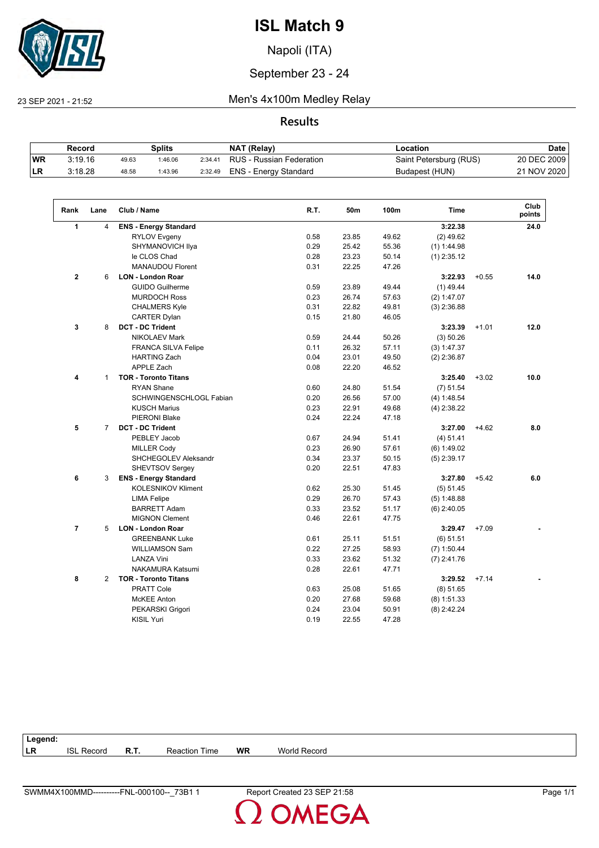

Napoli (ITA)

#### September 23 - 24

 $\sqrt{2}$ 

#### 23 SEP 2021 - 21:52 Men's 4x100m Medley Relay

#### **Results**

|            | Record  |       | Splits  |         | NAT (Relay)              | Location               | <b>Date</b> |
|------------|---------|-------|---------|---------|--------------------------|------------------------|-------------|
| <b>WR</b>  | 3:19.16 | 49.63 | 1:46.06 | 2:34.41 | RUS - Russian Federation | Saint Petersburg (RUS) | 20 DEC 2009 |
| <b>ILR</b> | 3:18.28 | 48.58 | 1:43.96 | 2:32.49 | ENS - Energy Standard    | Budapest (HUN)         | 21 NOV 2020 |

| Rank           | Lane           | Club / Name                  | R.T. | 50m   | 100m  | Time          |         | Club<br>points |
|----------------|----------------|------------------------------|------|-------|-------|---------------|---------|----------------|
| $\mathbf{1}$   | 4              | <b>ENS - Energy Standard</b> |      |       |       | 3:22.38       |         | 24.0           |
|                |                | <b>RYLOV Evgeny</b>          | 0.58 | 23.85 | 49.62 | $(2)$ 49.62   |         |                |
|                |                | SHYMANOVICH Ilya             | 0.29 | 25.42 | 55.36 | $(1)$ 1:44.98 |         |                |
|                |                | le CLOS Chad                 | 0.28 | 23.23 | 50.14 | $(1)$ 2:35.12 |         |                |
|                |                | <b>MANAUDOU Florent</b>      | 0.31 | 22.25 | 47.26 |               |         |                |
| $\overline{2}$ | 6              | <b>LON - London Roar</b>     |      |       |       | 3:22.93       | $+0.55$ | 14.0           |
|                |                | <b>GUIDO Guilherme</b>       | 0.59 | 23.89 | 49.44 | $(1)$ 49.44   |         |                |
|                |                | <b>MURDOCH Ross</b>          | 0.23 | 26.74 | 57.63 | (2) 1:47.07   |         |                |
|                |                | <b>CHALMERS Kyle</b>         | 0.31 | 22.82 | 49.81 | $(3)$ 2:36.88 |         |                |
|                |                | <b>CARTER Dylan</b>          | 0.15 | 21.80 | 46.05 |               |         |                |
| 3              | 8              | <b>DCT - DC Trident</b>      |      |       |       | 3:23.39       | $+1.01$ | 12.0           |
|                |                | <b>NIKOLAEV Mark</b>         | 0.59 | 24.44 | 50.26 | (3) 50.26     |         |                |
|                |                | <b>FRANCA SILVA Felipe</b>   | 0.11 | 26.32 | 57.11 | (3) 1:47.37   |         |                |
|                |                | <b>HARTING Zach</b>          | 0.04 | 23.01 | 49.50 | $(2)$ 2:36.87 |         |                |
|                |                | <b>APPLE Zach</b>            | 0.08 | 22.20 | 46.52 |               |         |                |
| 4              | $\mathbf{1}$   | <b>TOR - Toronto Titans</b>  |      |       |       | 3:25.40       | $+3.02$ | 10.0           |
|                |                | <b>RYAN Shane</b>            | 0.60 | 24.80 | 51.54 | (7) 51.54     |         |                |
|                |                | SCHWINGENSCHLOGL Fabian      | 0.20 | 26.56 | 57.00 | (4) 1:48.54   |         |                |
|                |                | <b>KUSCH Marius</b>          | 0.23 | 22.91 | 49.68 | $(4)$ 2:38.22 |         |                |
|                |                | <b>PIERONI Blake</b>         | 0.24 | 22.24 | 47.18 |               |         |                |
| 5              | $\overline{7}$ | <b>DCT - DC Trident</b>      |      |       |       | 3:27.00       | $+4.62$ | 8.0            |
|                |                | PEBLEY Jacob                 | 0.67 | 24.94 | 51.41 | (4) 51.41     |         |                |
|                |                | <b>MILLER Cody</b>           | 0.23 | 26.90 | 57.61 | (6) 1:49.02   |         |                |
|                |                | SHCHEGOLEV Aleksandr         | 0.34 | 23.37 | 50.15 | $(5)$ 2:39.17 |         |                |
|                |                | <b>SHEVTSOV Sergey</b>       | 0.20 | 22.51 | 47.83 |               |         |                |
| 6              | 3              | <b>ENS - Energy Standard</b> |      |       |       | 3:27.80       | $+5.42$ | 6.0            |
|                |                | <b>KOLESNIKOV Kliment</b>    | 0.62 | 25.30 | 51.45 | (5) 51.45     |         |                |
|                |                | <b>LIMA Felipe</b>           | 0.29 | 26.70 | 57.43 | (5) 1:48.88   |         |                |
|                |                | <b>BARRETT Adam</b>          | 0.33 | 23.52 | 51.17 | $(6)$ 2:40.05 |         |                |
|                |                | <b>MIGNON Clement</b>        | 0.46 | 22.61 | 47.75 |               |         |                |
| 7              | 5              | <b>LON - London Roar</b>     |      |       |       | 3:29.47       | $+7.09$ |                |
|                |                | <b>GREENBANK Luke</b>        | 0.61 | 25.11 | 51.51 | (6) 51.51     |         |                |
|                |                | <b>WILLIAMSON Sam</b>        | 0.22 | 27.25 | 58.93 | $(7)$ 1:50.44 |         |                |
|                |                | <b>LANZA Vini</b>            | 0.33 | 23.62 | 51.32 | $(7)$ 2:41.76 |         |                |
|                |                | <b>NAKAMURA Katsumi</b>      | 0.28 | 22.61 | 47.71 |               |         |                |
| 8              | 2              | <b>TOR - Toronto Titans</b>  |      |       |       | 3:29.52       | $+7.14$ |                |
|                |                | <b>PRATT Cole</b>            | 0.63 | 25.08 | 51.65 | (8) 51.65     |         |                |
|                |                | <b>McKEE Anton</b>           | 0.20 | 27.68 | 59.68 | $(8)$ 1:51.33 |         |                |
|                |                | PEKARSKI Grigori             | 0.24 | 23.04 | 50.91 | $(8)$ 2:42.24 |         |                |
|                |                |                              |      |       |       |               |         |                |

| D T                                                                                                |
|----------------------------------------------------------------------------------------------------|
| <b>WR</b><br>∣ LR<br>Record<br><b>ISI</b><br>' Record<br><b>Morld</b><br>Time<br>Reaction<br>к. І. |

**OMEGA**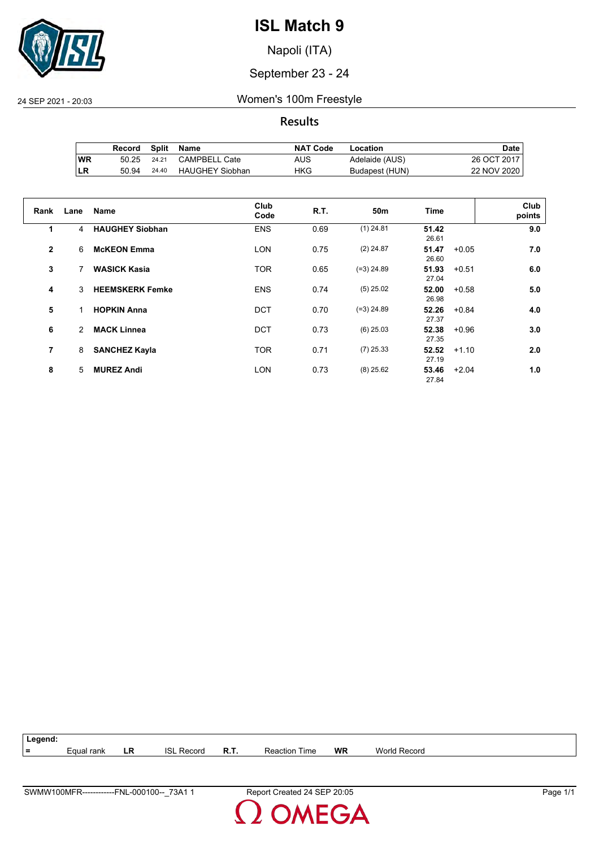

Napoli (ITA)

#### September 23 - 24

24 SEP 2021 - 20:03 Women's 100m Freestyle

**Results**

|     | Record | Split | Name                   | <b>NAT Code</b> | Location       | Date        |
|-----|--------|-------|------------------------|-----------------|----------------|-------------|
| 'WR | 50.25  | 24.21 | CAMPBELL Cate          | AUS             | Adelaide (AUS) | 26 OCT 2017 |
| ∣LR | 50.94  | 24.40 | <b>HAUGHEY Siobhan</b> | HKG             | Budapest (HUN) | 22 NOV 2020 |

| Rank           | Lane | <b>Name</b>            | Club<br>Code | R.T. | 50 <sub>m</sub> | <b>Time</b>    | Club<br>points |
|----------------|------|------------------------|--------------|------|-----------------|----------------|----------------|
| 1              | 4    | <b>HAUGHEY Siobhan</b> | <b>ENS</b>   | 0.69 | $(1)$ 24.81     | 51.42<br>26.61 | 9.0            |
| $\overline{2}$ | 6    | <b>McKEON Emma</b>     | <b>LON</b>   | 0.75 | $(2)$ 24.87     | 51.47<br>26.60 | 7.0<br>$+0.05$ |
| 3              | 7    | <b>WASICK Kasia</b>    | <b>TOR</b>   | 0.65 | $(=3)$ 24.89    | 51.93<br>27.04 | $+0.51$<br>6.0 |
| 4              | 3    | <b>HEEMSKERK Femke</b> | <b>ENS</b>   | 0.74 | $(5)$ 25.02     | 52.00<br>26.98 | 5.0<br>$+0.58$ |
| 5              | 1    | <b>HOPKIN Anna</b>     | <b>DCT</b>   | 0.70 | $(=3)$ 24.89    | 52.26<br>27.37 | $+0.84$<br>4.0 |
| 6              | 2    | <b>MACK Linnea</b>     | <b>DCT</b>   | 0.73 | $(6)$ 25.03     | 52.38<br>27.35 | 3.0<br>$+0.96$ |
| 7              | 8    | <b>SANCHEZ Kayla</b>   | <b>TOR</b>   | 0.71 | $(7)$ 25.33     | 52.52<br>27.19 | 2.0<br>$+1.10$ |
| 8              | 5.   | <b>MUREZ Andi</b>      | <b>LON</b>   | 0.73 | $(8)$ 25.62     | 53.46<br>27.84 | $+2.04$<br>1.0 |

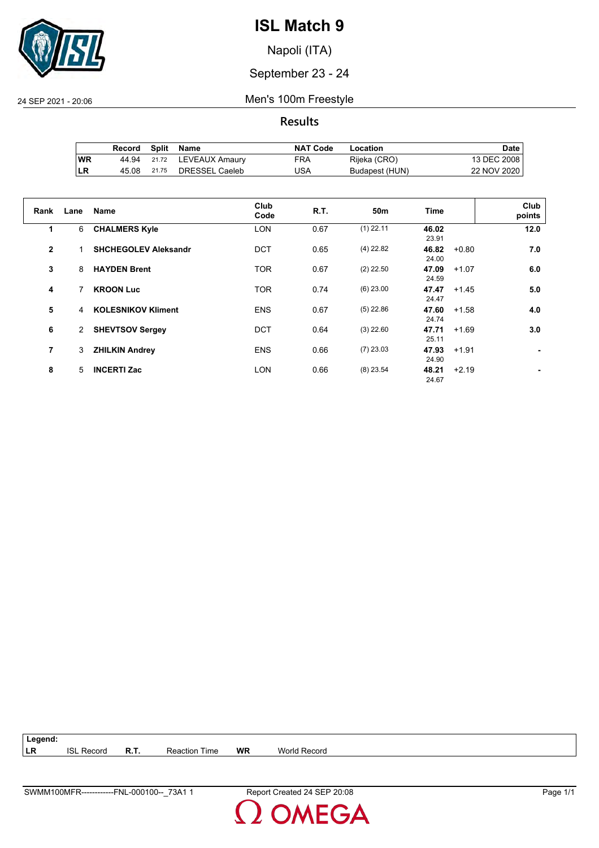

Napoli (ITA)

September 23 - 24

24 SEP 2021 - 20:06 Men's 100m Freestyle

**Results**

|            | Record | Split | Name           | <b>NAT Code</b> | Location       | Date i      |
|------------|--------|-------|----------------|-----------------|----------------|-------------|
| ∣WR        | 44.94  | 21.72 | LEVEAUX Amaury | FRA             | Rijeka (CRO)   | 13 DEC 2008 |
| <b>ILR</b> | 45.08  | 21.75 | DRESSEL Caeleb | USA             | Budapest (HUN) | 22 NOV 2020 |

| Rank         | Lane | <b>Name</b>                 | Club<br>Code | R.T. | 50m         | <b>Time</b>    | Club<br>points |
|--------------|------|-----------------------------|--------------|------|-------------|----------------|----------------|
| 1            | 6    | <b>CHALMERS Kyle</b>        | <b>LON</b>   | 0.67 | $(1)$ 22.11 | 46.02<br>23.91 | 12.0           |
| $\mathbf{2}$ |      | <b>SHCHEGOLEV Aleksandr</b> | <b>DCT</b>   | 0.65 | $(4)$ 22.82 | 46.82<br>24.00 | 7.0<br>$+0.80$ |
| 3            | 8    | <b>HAYDEN Brent</b>         | <b>TOR</b>   | 0.67 | $(2)$ 22.50 | 47.09<br>24.59 | 6.0<br>$+1.07$ |
| 4            | 7    | <b>KROON Luc</b>            | <b>TOR</b>   | 0.74 | $(6)$ 23.00 | 47.47<br>24.47 | 5.0<br>$+1.45$ |
| 5            | 4    | <b>KOLESNIKOV Kliment</b>   | <b>ENS</b>   | 0.67 | $(5)$ 22.86 | 47.60<br>24.74 | 4.0<br>$+1.58$ |
| 6            | 2    | <b>SHEVTSOV Sergey</b>      | <b>DCT</b>   | 0.64 | $(3)$ 22.60 | 47.71<br>25.11 | $+1.69$<br>3.0 |
| 7            | 3    | <b>ZHILKIN Andrey</b>       | <b>ENS</b>   | 0.66 | $(7)$ 23.03 | 47.93<br>24.90 | $+1.91$        |
| 8            | 5    | <b>INCERTI Zac</b>          | <b>LON</b>   | 0.66 | $(8)$ 23.54 | 48.21<br>24.67 | $+2.19$        |

**Legend: LR** ISL Record **R.T.** Reaction Time **WR** World Record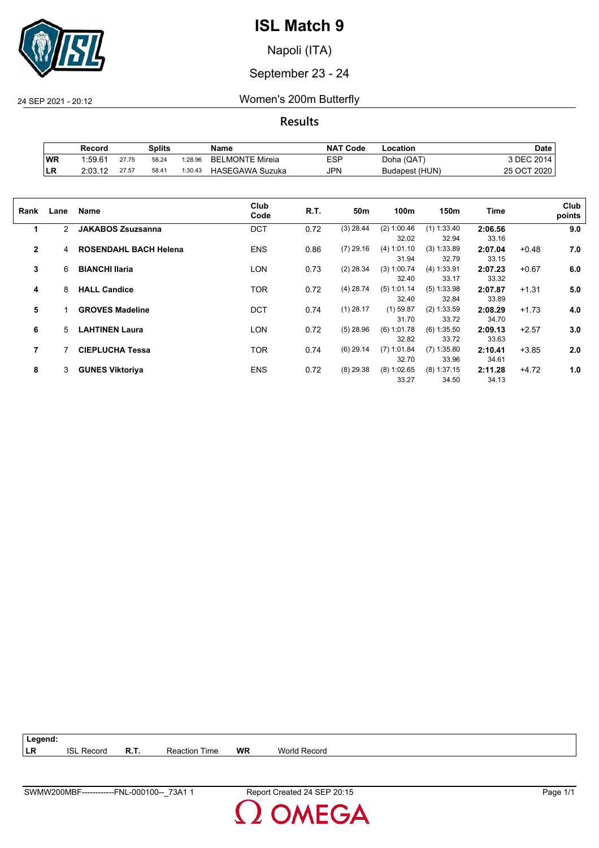

Napoli (ITA)

#### September 23 - 24

24 SEP 2021 - 20:12 Women's 200m Butterfly

**Results**

|            | Splits<br>Record    |       | <b>NAT Code</b><br>Name |         | Location               | Date       |                |             |
|------------|---------------------|-------|-------------------------|---------|------------------------|------------|----------------|-------------|
| <b>WR</b>  | 1.59.6 <sup>4</sup> | 27.75 | 58.24                   | 1:28.96 | <b>BELMONTE Mireia</b> | <b>ESP</b> | Doha (QAT)     | 3 DEC 2014. |
| <b>ILR</b> | 2:03.12             | 27.57 | 58.41                   | 1:30.43 | <b>HASEGAWA Suzuka</b> | JPN        | Budapest (HUN) | 25 OCT 2020 |

| Rank           | Lane | Name                         | Club<br>Code | R.T. | 50m         | 100m                   | 150m                   | Time             |         | Club<br>points |
|----------------|------|------------------------------|--------------|------|-------------|------------------------|------------------------|------------------|---------|----------------|
| 1              | 2    | <b>JAKABOS Zsuzsanna</b>     | <b>DCT</b>   | 0.72 | $(3)$ 28.44 | (2) 1:00.46<br>32.02   | $(1)$ 1:33.40<br>32.94 | 2:06.56<br>33.16 |         | 9.0            |
| $\overline{2}$ | 4    | <b>ROSENDAHL BACH Helena</b> | <b>ENS</b>   | 0.86 | $(7)$ 29.16 | (4) 1:01.10<br>31.94   | $(3)$ 1:33.89<br>32.79 | 2:07.04<br>33.15 | $+0.48$ | 7.0            |
| 3              | 6    | <b>BIANCHI Ilaria</b>        | LON          | 0.73 | $(2)$ 28.34 | $(3)$ 1:00.74<br>32.40 | (4) 1:33.91<br>33.17   | 2:07.23<br>33.32 | $+0.67$ | 6.0            |
| 4              | 8    | <b>HALL Candice</b>          | <b>TOR</b>   | 0.72 | $(4)$ 28.74 | (5) 1:01.14<br>32.40   | $(5)$ 1:33.98<br>32.84 | 2:07.87<br>33.89 | $+1.31$ | 5.0            |
| 5              |      | <b>GROVES Madeline</b>       | <b>DCT</b>   | 0.74 | $(1)$ 28.17 | $(1)$ 59.87<br>31.70   | $(2)$ 1:33.59<br>33.72 | 2:08.29<br>34.70 | $+1.73$ | 4.0            |
| 6              | 5    | <b>LAHTINEN Laura</b>        | LON          | 0.72 | $(5)$ 28.96 | $(6)$ 1:01.78<br>32.82 | $(6)$ 1:35.50<br>33.72 | 2:09.13<br>33.63 | $+2.57$ | 3.0            |
| 7              |      | <b>CIEPLUCHA Tessa</b>       | <b>TOR</b>   | 0.74 | $(6)$ 29.14 | $(7)$ 1:01.84<br>32.70 | $(7)$ 1:35.80<br>33.96 | 2:10.41<br>34.61 | $+3.85$ | 2.0            |
| 8              | 3    | <b>GUNES Viktoriya</b>       | <b>ENS</b>   | 0.72 | $(8)$ 29.38 | (8) 1:02.65<br>33.27   | $(8)$ 1:37.15<br>34.50 | 2:11.28<br>34.13 | $+4.72$ | 1.0            |

| $\vert$ Legend: |                   |                      |    |                     |
|-----------------|-------------------|----------------------|----|---------------------|
| I LR            | <b>ISL Record</b> | <b>Reaction Time</b> | WR | <b>World Record</b> |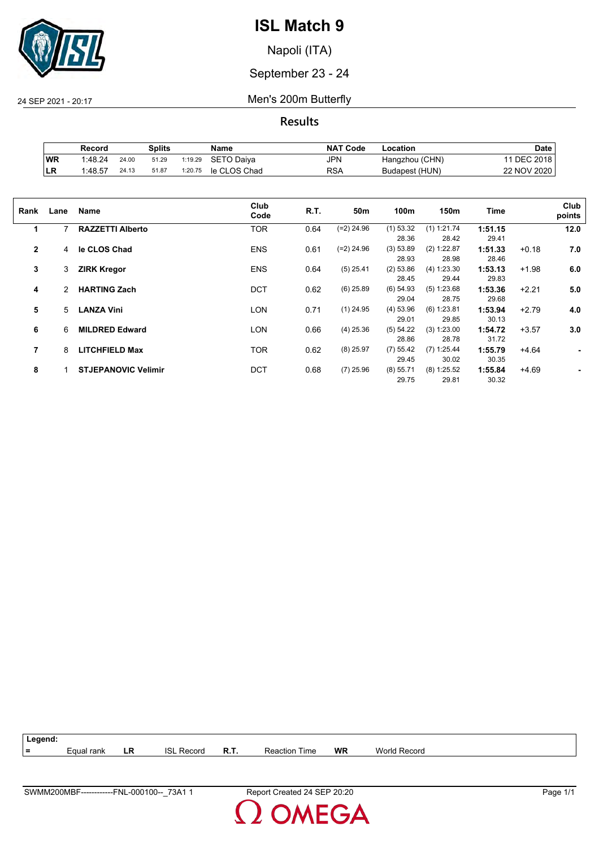

Napoli (ITA)

September 23 - 24

24 SEP 2021 - 20:17 Men's 200m Butterfly

**Results**

|           | Record  |       | Splits |         | Name         | <b>NAT Code</b> | -ocation       | Date        |
|-----------|---------|-------|--------|---------|--------------|-----------------|----------------|-------------|
| <b>WR</b> | 1:48.24 | 24.00 | 51.29  | 1:19.29 | SETO Daiva   | JPN             | Hangzhou (CHN) | DEC 2018    |
| LR        | 1:48.57 | 24.13 | 51.87  | 1:20.75 | le CLOS Chad | RSA             | Budapest (HUN) | 22 NOV 2020 |

| Rank         | Lane | Name                       | Club<br>Code | R.T. | 50m          | 100m        | 150m          | Time    |         | Club<br>points |
|--------------|------|----------------------------|--------------|------|--------------|-------------|---------------|---------|---------|----------------|
| 1            | 7    | <b>RAZZETTI Alberto</b>    | TOR          | 0.64 | $(=2)$ 24.96 | $(1)$ 53.32 | (1) 1:21.74   | 1:51.15 |         | 12.0           |
|              |      |                            |              |      |              | 28.36       | 28.42         | 29.41   |         |                |
| $\mathbf{2}$ | 4    | le CLOS Chad               | <b>ENS</b>   | 0.61 | $(=2)$ 24.96 | (3) 53.89   | (2) 1:22.87   | 1:51.33 | $+0.18$ | 7.0            |
|              |      |                            |              |      |              | 28.93       | 28.98         | 28.46   |         |                |
| 3            | 3    | <b>ZIRK Kregor</b>         | <b>ENS</b>   | 0.64 | $(5)$ 25.41  | (2) 53.86   | (4) 1:23.30   | 1:53.13 | $+1.98$ | 6.0            |
|              |      |                            |              |      |              | 28.45       | 29.44         | 29.83   |         |                |
| 4            | 2    | <b>HARTING Zach</b>        | <b>DCT</b>   | 0.62 | $(6)$ 25.89  | $(6)$ 54.93 | (5) 1:23.68   | 1:53.36 | $+2.21$ | 5.0            |
|              |      |                            |              |      |              | 29.04       | 28.75         | 29.68   |         |                |
| 5            | 5    | <b>LANZA Vini</b>          | LON          | 0.71 | $(1)$ 24.95  | $(4)$ 53.96 | $(6)$ 1:23.81 | 1:53.94 | $+2.79$ | 4.0            |
|              |      |                            |              |      |              | 29.01       | 29.85         | 30.13   |         |                |
| 6            | 6    | <b>MILDRED Edward</b>      | LON          | 0.66 | $(4)$ 25.36  | (5) 54.22   | (3) 1:23.00   | 1:54.72 | $+3.57$ | 3.0            |
|              |      |                            |              |      |              | 28.86       | 28.78         | 31.72   |         |                |
| 7            | 8    | <b>LITCHFIELD Max</b>      | <b>TOR</b>   | 0.62 | $(8)$ 25.97  | (7) 55.42   | $(7)$ 1:25.44 | 1:55.79 | $+4.64$ |                |
|              |      |                            |              |      |              | 29.45       | 30.02         | 30.35   |         |                |
| 8            |      | <b>STJEPANOVIC Velimir</b> | <b>DCT</b>   | 0.68 | $(7)$ 25.96  | (8) 55.71   | $(8)$ 1:25.52 | 1:55.84 | $+4.69$ |                |
|              |      |                            |              |      |              | 29.75       | 29.81         | 30.32   |         |                |
|              |      |                            |              |      |              |             |               |         |         |                |

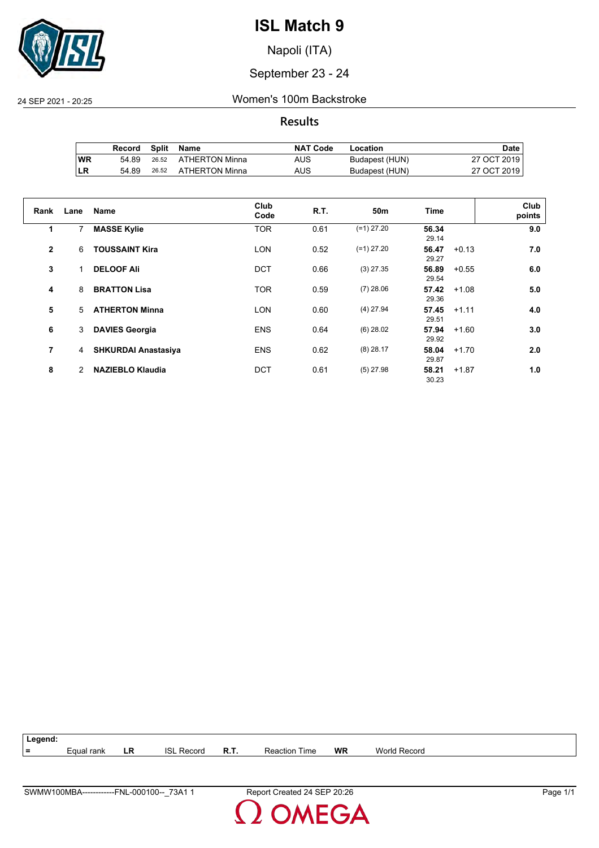

Napoli (ITA)

#### September 23 - 24

24 SEP 2021 - 20:25 Women's 100m Backstroke

#### **Results**

|           | Record | Split | Name                 | <b>NAT Code</b> | Location       | Date I      |
|-----------|--------|-------|----------------------|-----------------|----------------|-------------|
| <b>WR</b> | 54.89  |       | 26.52 ATHERTON Minna | AUS             | Budapest (HUN) | 27 OCT 2019 |
| LR        | 54.89  | 26.52 | ATHERTON Minna       | AUS             | Budapest (HUN) | 27 OCT 2019 |

| Rank         | Lane | <b>Name</b>                | Club<br>Code | R.T. | 50 <sub>m</sub> | <b>Time</b>    | Club<br>points |
|--------------|------|----------------------------|--------------|------|-----------------|----------------|----------------|
|              |      |                            |              |      |                 |                |                |
| 1            | 7    | <b>MASSE Kylie</b>         | <b>TOR</b>   | 0.61 | $(=1)$ 27.20    | 56.34<br>29.14 | 9.0            |
| $\mathbf{2}$ | 6    | <b>TOUSSAINT Kira</b>      | <b>LON</b>   | 0.52 | $(=1)$ 27.20    | 56.47<br>29.27 | $+0.13$<br>7.0 |
| 3            |      | <b>DELOOF Ali</b>          | <b>DCT</b>   | 0.66 | $(3)$ 27.35     | 56.89<br>29.54 | 6.0<br>$+0.55$ |
| 4            | 8    | <b>BRATTON Lisa</b>        | <b>TOR</b>   | 0.59 | $(7)$ 28.06     | 57.42<br>29.36 | 5.0<br>$+1.08$ |
| 5            | 5    | <b>ATHERTON Minna</b>      | <b>LON</b>   | 0.60 | $(4)$ 27.94     | 57.45<br>29.51 | 4.0<br>$+1.11$ |
| 6            | 3    | <b>DAVIES Georgia</b>      | <b>ENS</b>   | 0.64 | $(6)$ 28.02     | 57.94<br>29.92 | 3.0<br>$+1.60$ |
| 7            | 4    | <b>SHKURDAI Anastasiya</b> | <b>ENS</b>   | 0.62 | $(8)$ 28.17     | 58.04<br>29.87 | $+1.70$<br>2.0 |
| 8            | 2    | <b>NAZIEBLO Klaudia</b>    | <b>DCT</b>   | 0.61 | $(5)$ 27.98     | 58.21<br>30.23 | $+1.87$<br>1.0 |

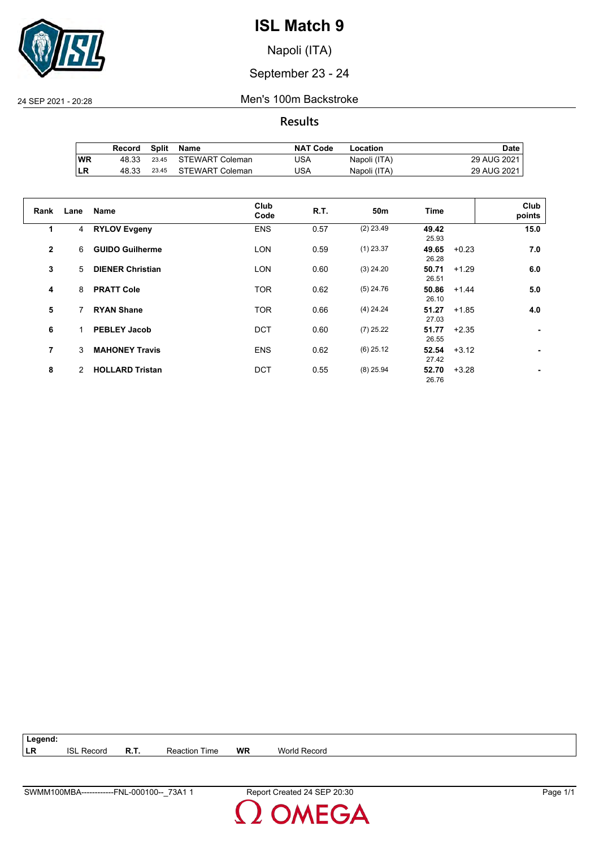

Napoli (ITA)

September 23 - 24

24 SEP 2021 - 20:28 Men's 100m Backstroke

**Results**

|           | Record | Split | Name                  | <b>NAT Code</b> | Location     | Date I      |
|-----------|--------|-------|-----------------------|-----------------|--------------|-------------|
| <b>WR</b> | 48.33  |       | 23.45 STEWART Coleman | USA             | Napoli (ITA) | 29 AUG 2021 |
| LR        | 48.33  | 23.45 | STEWART Coleman       | USA             | Napoli (ITA) | 29 AUG 2021 |

| Rank         | Lane | Name                    | Club<br>Code | R.T. | 50 <sub>m</sub> | <b>Time</b>    |         | Club<br>points |
|--------------|------|-------------------------|--------------|------|-----------------|----------------|---------|----------------|
| 1            | 4    | <b>RYLOV Evgeny</b>     | <b>ENS</b>   | 0.57 | $(2)$ 23.49     | 49.42<br>25.93 |         | 15.0           |
| $\mathbf{2}$ | 6    | <b>GUIDO Guilherme</b>  | <b>LON</b>   | 0.59 | $(1)$ 23.37     | 49.65<br>26.28 | $+0.23$ | 7.0            |
| 3            | 5    | <b>DIENER Christian</b> | <b>LON</b>   | 0.60 | $(3)$ 24.20     | 50.71<br>26.51 | $+1.29$ | 6.0            |
| 4            | 8    | <b>PRATT Cole</b>       | <b>TOR</b>   | 0.62 | $(5)$ 24.76     | 50.86<br>26.10 | $+1.44$ | 5.0            |
| 5            |      | <b>RYAN Shane</b>       | <b>TOR</b>   | 0.66 | $(4)$ 24.24     | 51.27<br>27.03 | $+1.85$ | 4.0            |
| 6            |      | <b>PEBLEY Jacob</b>     | <b>DCT</b>   | 0.60 | $(7)$ 25.22     | 51.77<br>26.55 | $+2.35$ |                |
| 7            | 3    | <b>MAHONEY Travis</b>   | <b>ENS</b>   | 0.62 | $(6)$ 25.12     | 52.54<br>27.42 | $+3.12$ |                |
| 8            | 2    | <b>HOLLARD Tristan</b>  | <b>DCT</b>   | 0.55 | $(8)$ 25.94     | 52.70<br>26.76 | $+3.28$ |                |

**Legend: LR** ISL Record **R.T.** Reaction Time **WR** World Record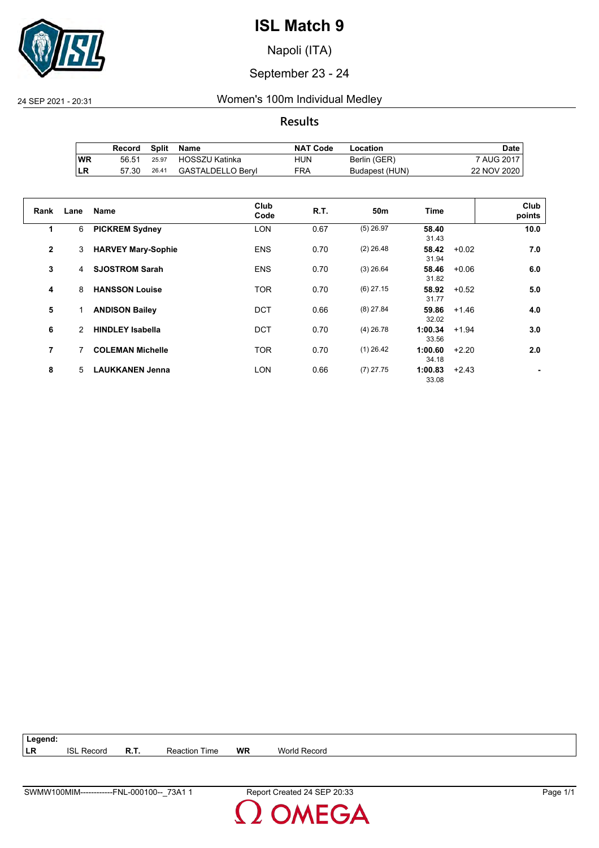

Napoli (ITA)

#### September 23 - 24

#### 24 SEP 2021 - 20:31 Women's 100m Individual Medley

#### **Results**

|           | Record |       | Split Name           | <b>NAT Code</b> | Location       | Date        |
|-----------|--------|-------|----------------------|-----------------|----------------|-------------|
| <b>WR</b> | 56.51  |       | 25.97 HOSSZU Katinka | HUN             | Berlin (GER)   | 7 AUG 2017  |
| ILR       | 57.30  | 26.41 | GASTALDELLO Beryl    | FRA             | Budapest (HUN) | 22 NOV 2020 |

| Rank         | Lane | <b>Name</b>               | Club<br>Code | R.T. | 50 <sub>m</sub> | <b>Time</b>      |         | Club<br>points |
|--------------|------|---------------------------|--------------|------|-----------------|------------------|---------|----------------|
| 1            | 6    | <b>PICKREM Sydney</b>     | <b>LON</b>   | 0.67 | $(5)$ 26.97     | 58.40<br>31.43   |         | 10.0           |
| $\mathbf{2}$ | 3    | <b>HARVEY Mary-Sophie</b> | <b>ENS</b>   | 0.70 | $(2)$ 26.48     | 58.42<br>31.94   | $+0.02$ | 7.0            |
| 3            | 4    | <b>SJOSTROM Sarah</b>     | <b>ENS</b>   | 0.70 | $(3)$ 26.64     | 58.46<br>31.82   | $+0.06$ | 6.0            |
| 4            | 8    | <b>HANSSON Louise</b>     | <b>TOR</b>   | 0.70 | $(6)$ 27.15     | 58.92<br>31.77   | $+0.52$ | 5.0            |
| 5            |      | <b>ANDISON Bailey</b>     | <b>DCT</b>   | 0.66 | $(8)$ 27.84     | 59.86<br>32.02   | $+1.46$ | 4.0            |
| 6            | 2    | <b>HINDLEY Isabella</b>   | <b>DCT</b>   | 0.70 | $(4)$ 26.78     | 1:00.34<br>33.56 | $+1.94$ | 3.0            |
| 7            | 7    | <b>COLEMAN Michelle</b>   | <b>TOR</b>   | 0.70 | $(1)$ 26.42     | 1:00.60<br>34.18 | $+2.20$ | 2.0            |
| 8            | 5    | <b>LAUKKANEN Jenna</b>    | <b>LON</b>   | 0.66 | $(7)$ 27.75     | 1:00.83<br>33.08 | $+2.43$ |                |

**Legend: LR** ISL Record **R.T.** Reaction Time **WR** World Record

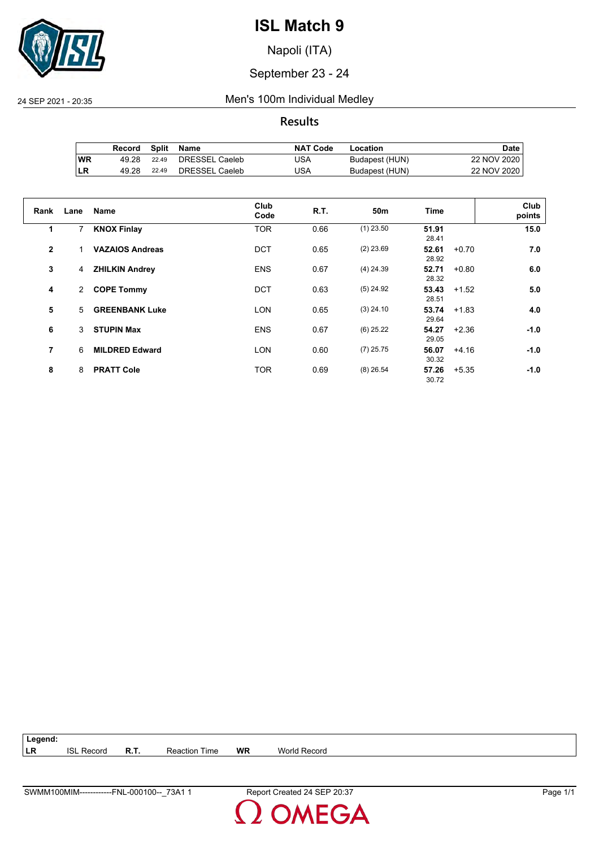

Napoli (ITA)

#### September 23 - 24

#### 24 SEP 2021 - 20:35 Men's 100m Individual Medley

#### **Results**

|           | Record |       | Split Name     | <b>NAT Code</b> | Location       | Date        |
|-----------|--------|-------|----------------|-----------------|----------------|-------------|
| <b>WR</b> | 49.28  | 22.49 | DRESSEL Caeleb | USA             | Budapest (HUN) | 22 NOV 2020 |
| ∣LR       | 49.28  | 22.49 | DRESSEL Caeleb | USA             | Budapest (HUN) | 22 NOV 2020 |

| Rank         | Lane           | <b>Name</b>            | Club<br>Code | R.T. | 50 <sub>m</sub> | <b>Time</b>               | Club<br>points |
|--------------|----------------|------------------------|--------------|------|-----------------|---------------------------|----------------|
| 1            | $\overline{7}$ | <b>KNOX Finlay</b>     | <b>TOR</b>   | 0.66 | $(1)$ 23.50     | 51.91<br>28.41            | 15.0           |
| $\mathbf{2}$ |                | <b>VAZAIOS Andreas</b> | <b>DCT</b>   | 0.65 | $(2)$ 23.69     | 52.61<br>$+0.70$<br>28.92 | 7.0            |
| 3            | 4              | <b>ZHILKIN Andrey</b>  | <b>ENS</b>   | 0.67 | $(4)$ 24.39     | 52.71<br>$+0.80$<br>28.32 | 6.0            |
| 4            | $\overline{2}$ | <b>COPE Tommy</b>      | <b>DCT</b>   | 0.63 | $(5)$ 24.92     | 53.43<br>$+1.52$<br>28.51 | 5.0            |
| 5            | 5              | <b>GREENBANK Luke</b>  | <b>LON</b>   | 0.65 | $(3)$ 24.10     | 53.74<br>$+1.83$<br>29.64 | 4.0            |
| 6            | 3              | <b>STUPIN Max</b>      | <b>ENS</b>   | 0.67 | $(6)$ 25.22     | $+2.36$<br>54.27<br>29.05 | $-1.0$         |
| 7            | 6              | <b>MILDRED Edward</b>  | <b>LON</b>   | 0.60 | $(7)$ 25.75     | 56.07<br>$+4.16$<br>30.32 | $-1.0$         |
| 8            | 8              | <b>PRATT Cole</b>      | <b>TOR</b>   | 0.69 | $(8)$ 26.54     | 57.26<br>$+5.35$<br>30.72 | $-1.0$         |

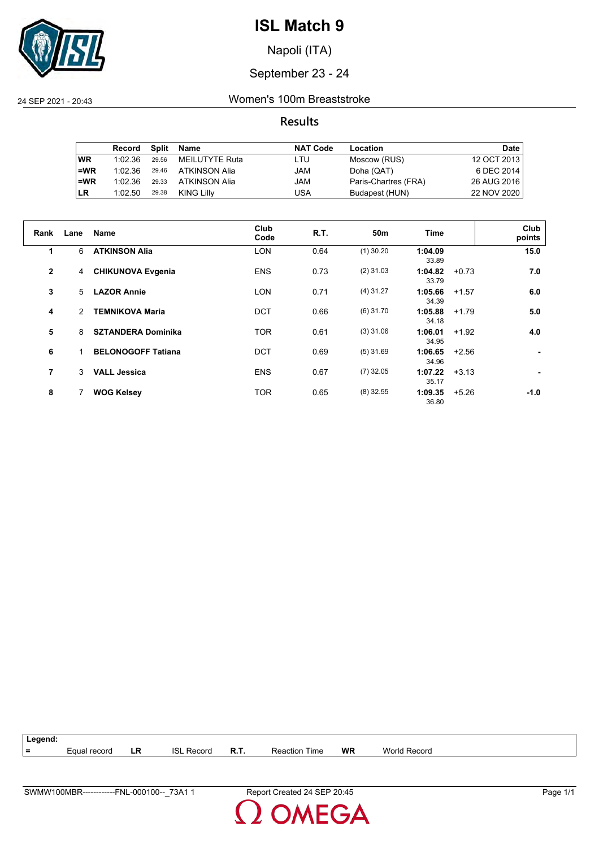

Napoli (ITA)

#### September 23 - 24

24 SEP 2021 - 20:43 Women's 100m Breaststroke

#### **Results**

|           | Record  | Split | Name           | <b>NAT Code</b> | Location             | <b>Date</b> |
|-----------|---------|-------|----------------|-----------------|----------------------|-------------|
| <b>WR</b> | 1:02.36 | 29.56 | MEILUTYTE Ruta | LTU             | Moscow (RUS)         | 12 OCT 2013 |
| $=WR$     | 1:02.36 | 29.46 | ATKINSON Alia  | JAM             | Doha (QAT)           | 6 DEC 2014  |
| $=WR$     | 1:02.36 | 29.33 | ATKINSON Alia  | JAM             | Paris-Chartres (FRA) | 26 AUG 2016 |
| <b>LR</b> | 1:02.50 | 29.38 | KING Lilly     | USA             | Budapest (HUN)       | 22 NOV 2020 |

| Rank         | Lane | <b>Name</b>               | Club<br>Code | R.T. | 50m         | Time             |         | Club<br>points |
|--------------|------|---------------------------|--------------|------|-------------|------------------|---------|----------------|
| 1            | 6    | <b>ATKINSON Alia</b>      | <b>LON</b>   | 0.64 | $(1)$ 30.20 | 1:04.09<br>33.89 |         | 15.0           |
| $\mathbf{2}$ | 4    | <b>CHIKUNOVA Evgenia</b>  | <b>ENS</b>   | 0.73 | $(2)$ 31.03 | 1:04.82<br>33.79 | $+0.73$ | 7.0            |
| 3            | 5    | <b>LAZOR Annie</b>        | <b>LON</b>   | 0.71 | $(4)$ 31.27 | 1:05.66<br>34.39 | $+1.57$ | 6.0            |
| 4            | 2    | <b>TEMNIKOVA Maria</b>    | DCT          | 0.66 | $(6)$ 31.70 | 1:05.88<br>34.18 | $+1.79$ | 5.0            |
| 5            | 8    | <b>SZTANDERA Dominika</b> | <b>TOR</b>   | 0.61 | $(3)$ 31.06 | 1:06.01<br>34.95 | $+1.92$ | 4.0            |
| 6            | 1    | <b>BELONOGOFF Tatiana</b> | DCT          | 0.69 | $(5)$ 31.69 | 1:06.65<br>34.96 | $+2.56$ |                |
| 7            | 3    | <b>VALL Jessica</b>       | <b>ENS</b>   | 0.67 | $(7)$ 32.05 | 1:07.22<br>35.17 | $+3.13$ |                |
| 8            |      | <b>WOG Kelsey</b>         | <b>TOR</b>   | 0.65 | $(8)$ 32.55 | 1:09.35<br>36.80 | $+5.26$ | $-1.0$         |

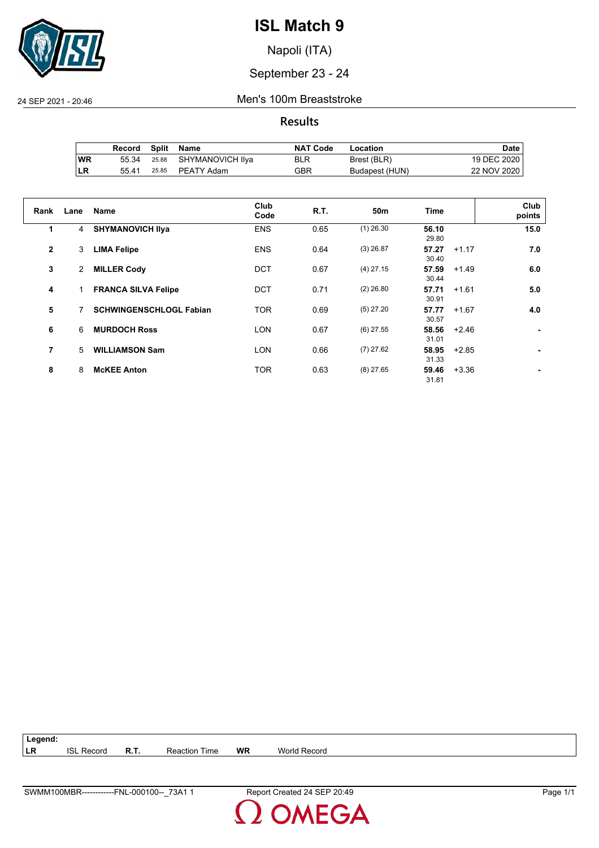

Napoli (ITA)

## September 23 - 24

24 SEP 2021 - 20:46 Men's 100m Breaststroke

#### **Results**

|           | Record | Split | Name                   | <b>NAT Code</b> | Location       | Date        |
|-----------|--------|-------|------------------------|-----------------|----------------|-------------|
| <b>WR</b> | 55.34  |       | 25.88 SHYMANOVICH IIya | <b>BLR</b>      | Brest (BLR)    | 19 DEC 2020 |
| ∣LR       | 55.41  |       | 25.85 PEATY Adam       | GBR             | Budapest (HUN) | 22 NOV 2020 |

| Rank           | Lane           | <b>Name</b>                    | Club<br>Code | <b>R.T.</b> | 50 <sub>m</sub> | <b>Time</b>    | Club<br>points |
|----------------|----------------|--------------------------------|--------------|-------------|-----------------|----------------|----------------|
| 1              | 4              | <b>SHYMANOVICH IIya</b>        | <b>ENS</b>   | 0.65        | $(1)$ 26.30     | 56.10<br>29.80 | 15.0           |
| $\overline{2}$ | 3              | <b>LIMA Felipe</b>             | <b>ENS</b>   | 0.64        | $(3)$ 26.87     | 57.27<br>30.40 | 7.0<br>$+1.17$ |
| 3              | $\overline{2}$ | <b>MILLER Cody</b>             | <b>DCT</b>   | 0.67        | $(4)$ 27.15     | 57.59<br>30.44 | $+1.49$<br>6.0 |
| 4              |                | <b>FRANCA SILVA Felipe</b>     | <b>DCT</b>   | 0.71        | $(2)$ 26.80     | 57.71<br>30.91 | $+1.61$<br>5.0 |
| 5              |                | <b>SCHWINGENSCHLOGL Fabian</b> | <b>TOR</b>   | 0.69        | $(5)$ 27.20     | 57.77<br>30.57 | 4.0<br>$+1.67$ |
| 6              | 6              | <b>MURDOCH Ross</b>            | <b>LON</b>   | 0.67        | $(6)$ 27.55     | 58.56<br>31.01 | $+2.46$        |
| 7              | 5              | <b>WILLIAMSON Sam</b>          | <b>LON</b>   | 0.66        | $(7)$ 27.62     | 58.95<br>31.33 | $+2.85$        |
| 8              | 8              | <b>McKEE Anton</b>             | <b>TOR</b>   | 0.63        | $(8)$ 27.65     | 59.46<br>31.81 | $+3.36$        |

| Legend: |                   |                      |           |                     |
|---------|-------------------|----------------------|-----------|---------------------|
| LR      | <b>ISL Record</b> | <b>Reaction Time</b> | <b>WR</b> | <b>World Record</b> |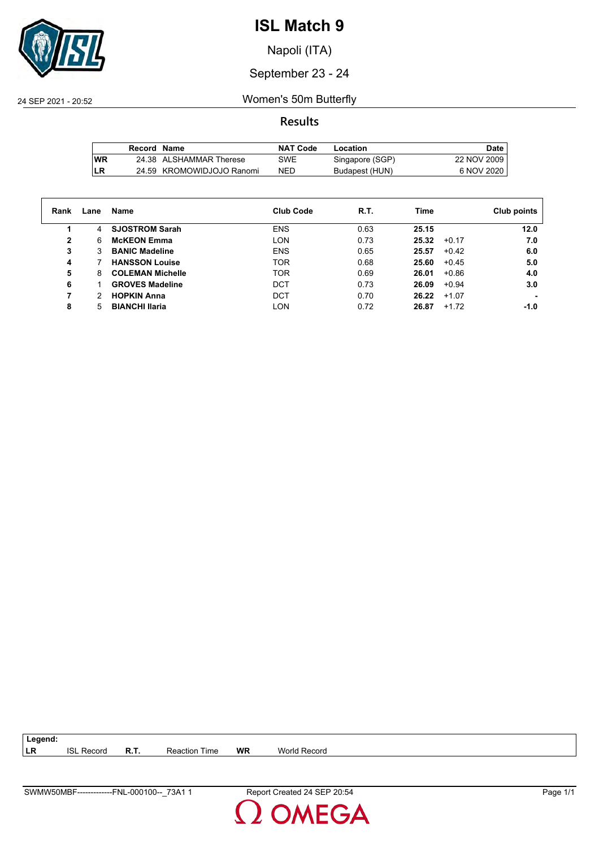

Napoli (ITA)

September 23 - 24

24 SEP 2021 - 20:52 Women's 50m Butterfly

**Results**

|           | Record Name |                           | NAT Code   | Location        | Date        |
|-----------|-------------|---------------------------|------------|-----------------|-------------|
| <b>WR</b> |             | 24.38 ALSHAMMAR Therese   | SWE        | Singapore (SGP) | 22 NOV 2009 |
| LR        |             | 24.59 KROMOWIDJOJO Ranomi | <b>NED</b> | Budapest (HUN)  | 6 NOV 2020  |

| Rank | Lane | Name                    | <b>Club Code</b> | R.T. | Time  |         | Club points |
|------|------|-------------------------|------------------|------|-------|---------|-------------|
|      | 4    | <b>SJOSTROM Sarah</b>   | <b>ENS</b>       | 0.63 | 25.15 |         | 12.0        |
| 2    | 6    | <b>McKEON Emma</b>      | <b>LON</b>       | 0.73 | 25.32 | $+0.17$ | 7.0         |
| 3    | 3    | <b>BANIC Madeline</b>   | <b>ENS</b>       | 0.65 | 25.57 | $+0.42$ | 6.0         |
| 4    |      | <b>HANSSON Louise</b>   | <b>TOR</b>       | 0.68 | 25.60 | $+0.45$ | 5.0         |
| 5    | 8    | <b>COLEMAN Michelle</b> | <b>TOR</b>       | 0.69 | 26.01 | $+0.86$ | 4.0         |
| 6    |      | <b>GROVES Madeline</b>  | DCT              | 0.73 | 26.09 | $+0.94$ | 3.0         |
|      | 2    | <b>HOPKIN Anna</b>      | <b>DCT</b>       | 0.70 | 26.22 | $+1.07$ |             |
| 8    | 5    | <b>BIANCHI Ilaria</b>   | <b>LON</b>       | 0.72 | 26.87 | $+1.72$ | -1.0        |

**LR** ISL Record **R.T.** Reaction Time **WR** World Record

**Legend:**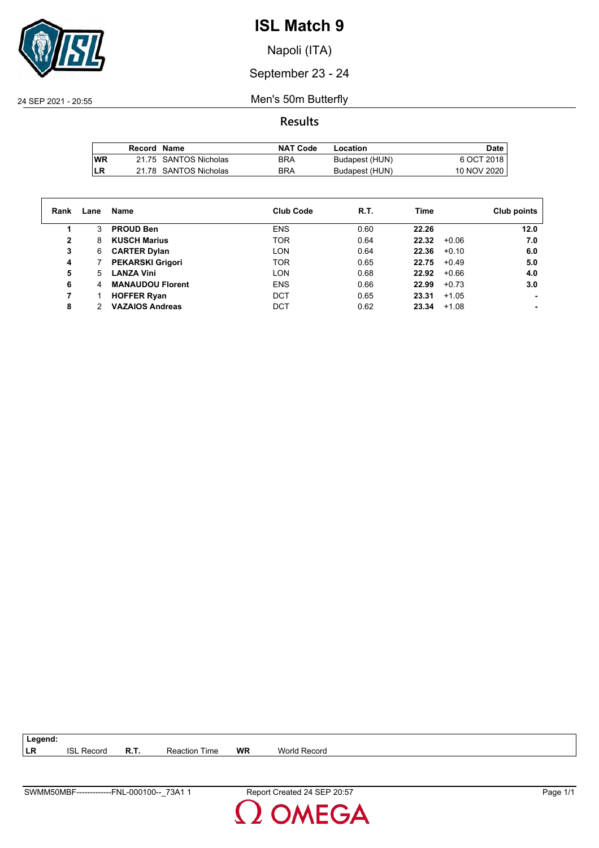

Napoli (ITA)

September 23 - 24

24 SEP 2021 - 20:55 Men's 50m Butterfly

**Results**

|           | Record Name |                       | <b>NAT Code</b> | Location       | Date        |
|-----------|-------------|-----------------------|-----------------|----------------|-------------|
| <b>WR</b> |             | 21.75 SANTOS Nicholas | BRA             | Budapest (HUN) | 6 OCT 2018  |
| LR        |             | 21.78 SANTOS Nicholas | <b>BRA</b>      | Budapest (HUN) | 10 NOV 2020 |

| Rank         | Lane | Name                    | <b>Club Code</b> | R.T. | Time  |         | Club points |
|--------------|------|-------------------------|------------------|------|-------|---------|-------------|
|              | 3    | <b>PROUD Ben</b>        | <b>ENS</b>       | 0.60 | 22.26 |         | 12.0        |
| $\mathbf{2}$ | 8    | <b>KUSCH Marius</b>     | <b>TOR</b>       | 0.64 | 22.32 | $+0.06$ | 7.0         |
| 3            | 6    | <b>CARTER Dylan</b>     | <b>LON</b>       | 0.64 | 22.36 | $+0.10$ | 6.0         |
| 4            |      | <b>PEKARSKI Grigori</b> | <b>TOR</b>       | 0.65 | 22.75 | $+0.49$ | 5.0         |
| 5            | 5.   | <b>LANZA Vini</b>       | <b>LON</b>       | 0.68 | 22.92 | $+0.66$ | 4.0         |
| 6            | 4    | <b>MANAUDOU Florent</b> | <b>ENS</b>       | 0.66 | 22.99 | $+0.73$ | 3.0         |
| 7            |      | <b>HOFFER Ryan</b>      | DCT              | 0.65 | 23.31 | $+1.05$ |             |
| 8            |      | <b>VAZAIOS Andreas</b>  | <b>DCT</b>       | 0.62 | 23.34 | $+1.08$ |             |

| ∣ Legend: |                   |      |                      |    |              |
|-----------|-------------------|------|----------------------|----|--------------|
| LR        | <b>ISL Record</b> | R.T. | <b>Reaction Time</b> | WR | World Record |

**DMEGA**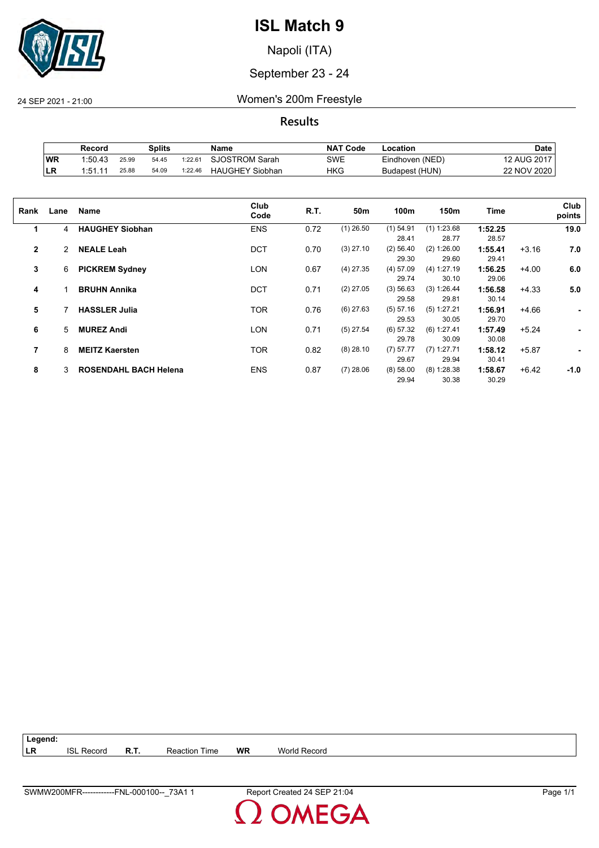

Napoli (ITA)

#### September 23 - 24

24 SEP 2021 - 21:00 Women's 200m Freestyle

**Results**

|    | Record  |       | Splits |         | Name                   | <b>NAT Code</b> | Location        | Date        |
|----|---------|-------|--------|---------|------------------------|-----------------|-----------------|-------------|
| WR | 1:50.43 | 25.99 | 54.45  | 1:22.61 | SJOSTROM Sarah         | SWE             | Eindhoven (NED) | 12 AUG 2017 |
| LR | 1.51.11 | 25.88 | 54.09  | 1:22.46 | <b>HAUGHEY Siobhan</b> | HKG             | Budapest (HUN)  | 22 NOV 2020 |

| Rank         | Lane | Name                         | Club<br>Code | R.T. | 50m         | 100m        | 150m          | Time    |         | Club<br>points |
|--------------|------|------------------------------|--------------|------|-------------|-------------|---------------|---------|---------|----------------|
| 1            | 4    | <b>HAUGHEY Siobhan</b>       | <b>ENS</b>   | 0.72 | $(1)$ 26.50 | $(1)$ 54.91 | $(1)$ 1:23.68 | 1:52.25 |         | 19.0           |
|              |      |                              |              |      |             | 28.41       | 28.77         | 28.57   |         |                |
| $\mathbf{2}$ | 2    | <b>NEALE Leah</b>            | <b>DCT</b>   | 0.70 | $(3)$ 27.10 | $(2)$ 56.40 | (2) 1:26.00   | 1:55.41 | $+3.16$ | 7.0            |
|              |      |                              |              |      |             | 29.30       | 29.60         | 29.41   |         |                |
| 3            | 6    | <b>PICKREM Sydney</b>        | <b>LON</b>   | 0.67 | $(4)$ 27.35 | $(4)$ 57.09 | (4) 1:27.19   | 1:56.25 | $+4.00$ | 6.0            |
|              |      |                              |              |      |             | 29.74       | 30.10         | 29.06   |         |                |
| 4            |      | <b>BRUHN Annika</b>          | <b>DCT</b>   | 0.71 | $(2)$ 27.05 | (3) 56.63   | (3) 1:26.44   | 1:56.58 | $+4.33$ | 5.0            |
|              |      |                              |              |      |             | 29.58       | 29.81         | 30.14   |         |                |
| 5            |      | <b>HASSLER Julia</b>         | <b>TOR</b>   | 0.76 | $(6)$ 27.63 | (5) 57.16   | (5) 1:27.21   | 1:56.91 | $+4.66$ | ٠              |
|              |      |                              |              |      |             | 29.53       | 30.05         | 29.70   |         |                |
| 6            | 5    | <b>MUREZ Andi</b>            | LON          | 0.71 | $(5)$ 27.54 | $(6)$ 57.32 | $(6)$ 1:27.41 | 1:57.49 | $+5.24$ |                |
|              |      |                              |              |      |             | 29.78       | 30.09         | 30.08   |         |                |
| 7            | 8    | <b>MEITZ Kaersten</b>        | TOR          | 0.82 | $(8)$ 28.10 | (7) 57.77   | $(7)$ 1:27.71 | 1:58.12 | $+5.87$ | ٠              |
|              |      |                              |              |      |             | 29.67       | 29.94         | 30.41   |         |                |
| 8            | 3    | <b>ROSENDAHL BACH Helena</b> | <b>ENS</b>   | 0.87 | $(7)$ 28.06 | (8) 58.00   | (8) 1:28.38   | 1:58.67 | $+6.42$ | $-1.0$         |
|              |      |                              |              |      |             | 29.94       | 30.38         | 30.29   |         |                |
|              |      |                              |              |      |             |             |               |         |         |                |

| $\vert$ Legend: |                   |                      |    |              |
|-----------------|-------------------|----------------------|----|--------------|
| ∣LR             | <b>ISL Record</b> | <b>Reaction Time</b> | WR | World Record |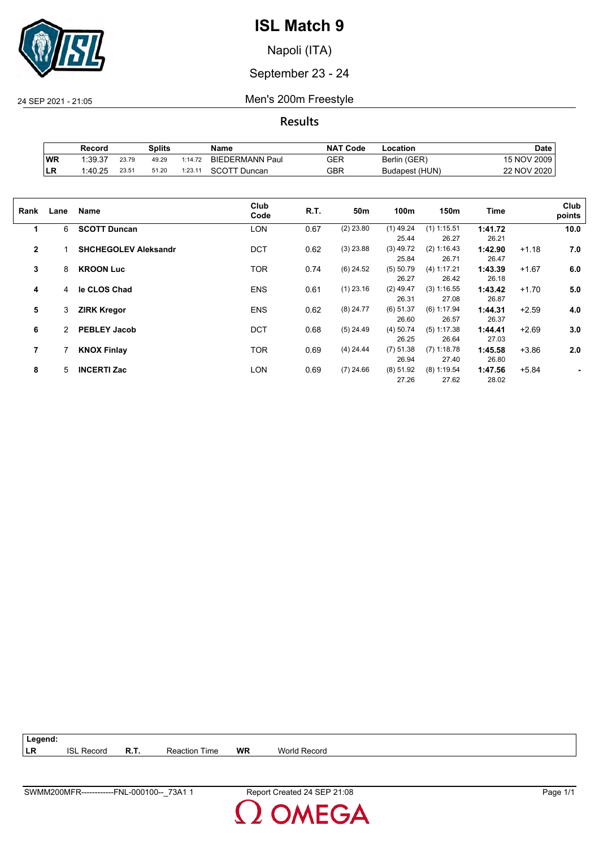

Napoli (ITA)

September 23 - 24

24 SEP 2021 - 21:05 Men's 200m Freestyle

**Results**

|           | Record  |       | Splits |         | Name                   | <b>NAT Code</b> | -ocation       | Date        |
|-----------|---------|-------|--------|---------|------------------------|-----------------|----------------|-------------|
| WR        | 1:39.37 | 23.79 | 49.29  | 1:14.72 | <b>BIEDERMANN Paul</b> | GER             | Berlin (GER)   | 15 NOV 2009 |
| <b>LR</b> | 1:40.25 | 23.51 | 51.20  | 1:23.11 | SCOTT Duncan           | GBR             | Budapest (HUN) | 22 NOV 2020 |

| Rank                    | Lane | Name                        | Club<br>Code | R.T. | 50m         | 100m                 | 150m                   | <b>Time</b>      |         | Club<br>points |
|-------------------------|------|-----------------------------|--------------|------|-------------|----------------------|------------------------|------------------|---------|----------------|
| 1                       | 6    | <b>SCOTT Duncan</b>         | <b>LON</b>   | 0.67 | $(2)$ 23.80 | $(1)$ 49.24<br>25.44 | $(1)$ 1:15.51<br>26.27 | 1:41.72<br>26.21 |         | 10.0           |
| $\overline{2}$          |      | <b>SHCHEGOLEV Aleksandr</b> | <b>DCT</b>   | 0.62 | $(3)$ 23.88 | $(3)$ 49.72<br>25.84 | (2) 1:16.43<br>26.71   | 1:42.90<br>26.47 | $+1.18$ | 7.0            |
| 3                       | 8    | <b>KROON Luc</b>            | <b>TOR</b>   | 0.74 | $(6)$ 24.52 | $(5)$ 50.79<br>26.27 | (4) 1:17.21<br>26.42   | 1:43.39<br>26.18 | $+1.67$ | 6.0            |
| 4                       | 4    | le CLOS Chad                | <b>ENS</b>   | 0.61 | $(1)$ 23.16 | $(2)$ 49.47<br>26.31 | (3) 1:16.55<br>27.08   | 1:43.42<br>26.87 | $+1.70$ | 5.0            |
| 5                       | 3    | <b>ZIRK Kregor</b>          | <b>ENS</b>   | 0.62 | $(8)$ 24.77 | $(6)$ 51.37<br>26.60 | $(6)$ 1:17.94<br>26.57 | 1:44.31<br>26.37 | $+2.59$ | 4.0            |
| 6                       | 2    | <b>PEBLEY Jacob</b>         | <b>DCT</b>   | 0.68 | $(5)$ 24.49 | $(4)$ 50.74<br>26.25 | $(5)$ 1:17.38<br>26.64 | 1:44.41<br>27.03 | $+2.69$ | 3.0            |
| $\overline{\mathbf{r}}$ |      | <b>KNOX Finlay</b>          | <b>TOR</b>   | 0.69 | $(4)$ 24.44 | $(7)$ 51.38<br>26.94 | $(7)$ 1:18.78<br>27.40 | 1:45.58<br>26.80 | $+3.86$ | 2.0            |
| 8                       | 5    | <b>INCERTI Zac</b>          | LON          | 0.69 | $(7)$ 24.66 | $(8)$ 51.92<br>27.26 | $(8)$ 1:19.54<br>27.62 | 1:47.56<br>28.02 | $+5.84$ |                |

**Legend: LR** ISL Record **R.T.** Reaction Time **WR** World Record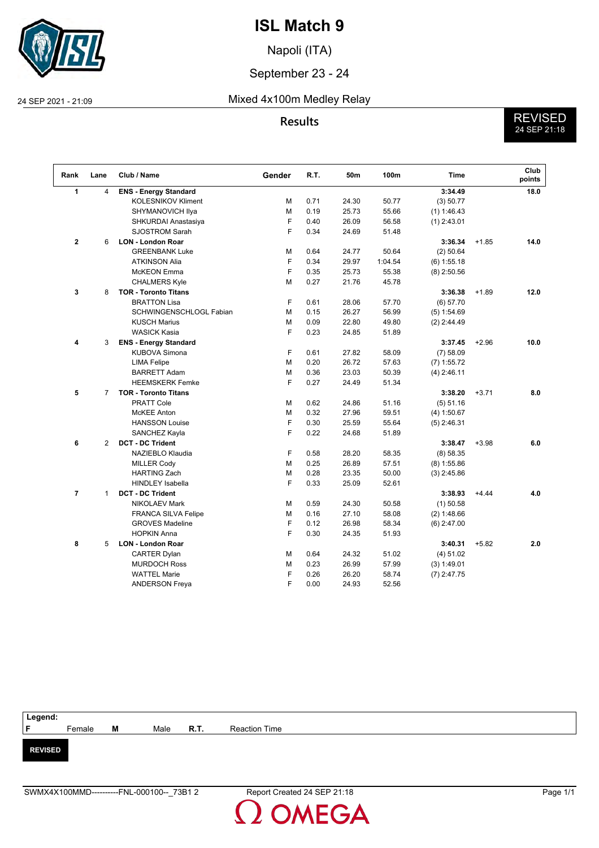

Napoli (ITA)

#### September 23 - 24

#### 24 SEP 2021 - 21:09 Mixed 4x100m Medley Relay

**Results** REVISED 24 SEP 21:18

| Rank           | Lane           | Club / Name                  | Gender | R.T. | 50m   | 100m    | <b>Time</b>   |         | Club<br>points |
|----------------|----------------|------------------------------|--------|------|-------|---------|---------------|---------|----------------|
| 1              | $\overline{4}$ | <b>ENS - Energy Standard</b> |        |      |       |         | 3:34.49       |         | 18.0           |
|                |                | <b>KOLESNIKOV Kliment</b>    | M      | 0.71 | 24.30 | 50.77   | (3) 50.77     |         |                |
|                |                | SHYMANOVICH Ilya             | М      | 0.19 | 25.73 | 55.66   | (1) 1:46.43   |         |                |
|                |                | SHKURDAI Anastasiya          | F      | 0.40 | 26.09 | 56.58   | $(1)$ 2:43.01 |         |                |
|                |                | <b>SJOSTROM Sarah</b>        | F      | 0.34 | 24.69 | 51.48   |               |         |                |
| $\mathbf{2}$   | 6              | <b>LON - London Roar</b>     |        |      |       |         | 3:36.34       | $+1.85$ | 14.0           |
|                |                | <b>GREENBANK Luke</b>        | М      | 0.64 | 24.77 | 50.64   | (2) 50.64     |         |                |
|                |                | <b>ATKINSON Alia</b>         | F      | 0.34 | 29.97 | 1:04.54 | $(6)$ 1:55.18 |         |                |
|                |                | <b>McKEON</b> Emma           | F      | 0.35 | 25.73 | 55.38   | $(8)$ 2:50.56 |         |                |
|                |                | <b>CHALMERS Kyle</b>         | M      | 0.27 | 21.76 | 45.78   |               |         |                |
| 3              | 8              | <b>TOR - Toronto Titans</b>  |        |      |       |         | 3:36.38       | $+1.89$ | 12.0           |
|                |                | <b>BRATTON Lisa</b>          | F      | 0.61 | 28.06 | 57.70   | (6) 57.70     |         |                |
|                |                | SCHWINGENSCHLOGL Fabian      | M      | 0.15 | 26.27 | 56.99   | $(5)$ 1:54.69 |         |                |
|                |                | <b>KUSCH Marius</b>          | M      | 0.09 | 22.80 | 49.80   | $(2)$ 2:44.49 |         |                |
|                |                | <b>WASICK Kasia</b>          | F      | 0.23 | 24.85 | 51.89   |               |         |                |
| 4              | 3              | <b>ENS - Energy Standard</b> |        |      |       |         | 3:37.45       | $+2.96$ | 10.0           |
|                |                | KUBOVA Simona                | F      | 0.61 | 27.82 | 58.09   | $(7)$ 58.09   |         |                |
|                |                | <b>LIMA Felipe</b>           | M      | 0.20 | 26.72 | 57.63   | $(7)$ 1:55.72 |         |                |
|                |                | <b>BARRETT Adam</b>          | M      | 0.36 | 23.03 | 50.39   | $(4)$ 2:46.11 |         |                |
|                |                | <b>HEEMSKERK Femke</b>       | F      | 0.27 | 24.49 | 51.34   |               |         |                |
| 5              | $\overline{7}$ | <b>TOR - Toronto Titans</b>  |        |      |       |         | 3:38.20       | $+3.71$ | 8.0            |
|                |                | <b>PRATT Cole</b>            | M      | 0.62 | 24.86 | 51.16   | (5) 51.16     |         |                |
|                |                | <b>McKEE Anton</b>           | M      | 0.32 | 27.96 | 59.51   | (4) 1:50.67   |         |                |
|                |                | <b>HANSSON Louise</b>        | F      | 0.30 | 25.59 | 55.64   | $(5)$ 2:46.31 |         |                |
|                |                | SANCHEZ Kayla                | F      | 0.22 | 24.68 | 51.89   |               |         |                |
| 6              | $\overline{2}$ | <b>DCT - DC Trident</b>      |        |      |       |         | 3:38.47       | $+3.98$ | 6.0            |
|                |                | NAZIEBLO Klaudia             | F      | 0.58 | 28.20 | 58.35   | (8) 58.35     |         |                |
|                |                | <b>MILLER Cody</b>           | M      | 0.25 | 26.89 | 57.51   | $(8)$ 1:55.86 |         |                |
|                |                | <b>HARTING Zach</b>          | М      | 0.28 | 23.35 | 50.00   | $(3)$ 2:45.86 |         |                |
|                |                | <b>HINDLEY Isabella</b>      | F      | 0.33 | 25.09 | 52.61   |               |         |                |
| $\overline{7}$ | 1              | <b>DCT - DC Trident</b>      |        |      |       |         | 3:38.93       | $+4.44$ | 4.0            |
|                |                | NIKOLAEV Mark                | М      | 0.59 | 24.30 | 50.58   | $(1)$ 50.58   |         |                |
|                |                | <b>FRANCA SILVA Felipe</b>   | М      | 0.16 | 27.10 | 58.08   | (2) 1:48.66   |         |                |
|                |                | <b>GROVES Madeline</b>       | F      | 0.12 | 26.98 | 58.34   | $(6)$ 2:47.00 |         |                |
|                |                | <b>HOPKIN Anna</b>           | F      | 0.30 | 24.35 | 51.93   |               |         |                |
| 8              | 5              | <b>LON - London Roar</b>     |        |      |       |         | 3:40.31       | $+5.82$ | 2.0            |
|                |                | <b>CARTER Dylan</b>          | м      | 0.64 | 24.32 | 51.02   | (4) 51.02     |         |                |
|                |                | <b>MURDOCH Ross</b>          | м      | 0.23 | 26.99 | 57.99   | (3) 1:49.01   |         |                |
|                |                | <b>WATTEL Marie</b>          | F      | 0.26 | 26.20 | 58.74   | $(7)$ 2:47.75 |         |                |
|                |                | <b>ANDERSON Freya</b>        | F      | 0.00 | 24.93 | 52.56   |               |         |                |
|                |                |                              |        |      |       |         |               |         |                |



**DMEGA**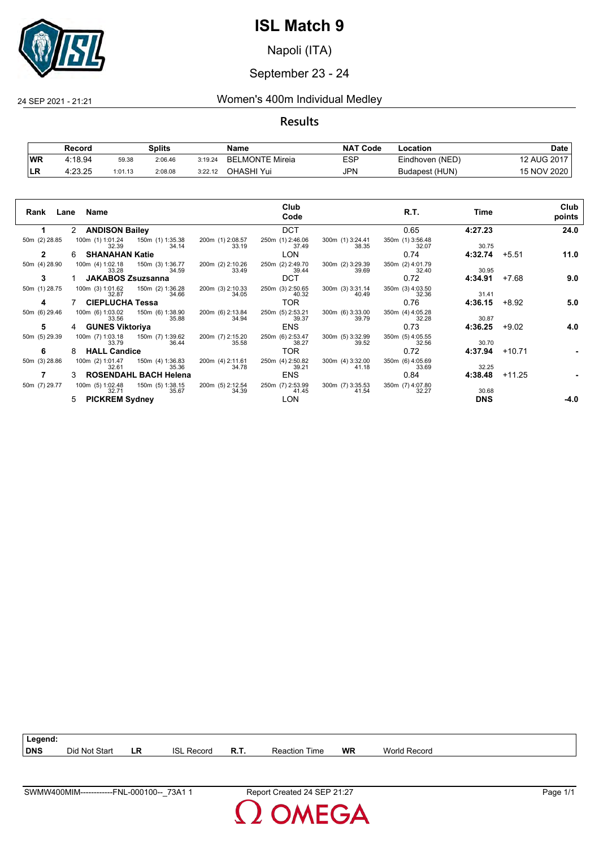

Napoli (ITA)

#### September 23 - 24

24 SEP 2021 - 21:21 Women's 400m Individual Medley

#### **Results**

|           | Record  |         | <b>Splits</b> |         | Name                   | <b>NAT Code</b> | Location        | Date        |
|-----------|---------|---------|---------------|---------|------------------------|-----------------|-----------------|-------------|
| <b>WR</b> | 4:18.94 | 59.38   | 2:06.46       | 3:19.24 | <b>BELMONTE Mireia</b> | ESP             | Eindhoven (NED) | 12 AUG 2017 |
| ILR.      | 4:23.25 | 1:01.13 | 2:08.08       | 3:22.12 | OHASHI Yui             | <b>JPN</b>      | Budapest (HUN)  | 15 NOV 2020 |

| Rank          | Lane Name                                              | Club<br>Code                                                                        | R.T.                      | Time       | Club<br>points  |
|---------------|--------------------------------------------------------|-------------------------------------------------------------------------------------|---------------------------|------------|-----------------|
| 1             | 2 ANDISON Bailey                                       | <b>DCT</b>                                                                          | 0.65                      | 4:27.23    | 24.0            |
| 50m (2) 28.85 | 100m (1) 1:01.24<br>150m (1) 1:35.38<br>32.39<br>34.14 | 250m (1) 2:46.06<br>200m (1) 2:08.57<br>300m (1) 3:24.41<br>33.19<br>37.49<br>38.35 | 350m (1) 3:56.48<br>32.07 | 30.75      |                 |
| $\mathbf{2}$  | 6 SHANAHAN Katie                                       | <b>LON</b>                                                                          | 0.74                      | 4:32.74    | 11.0<br>$+5.51$ |
| 50m (4) 28.90 | 100m (4) 1:02.18<br>150m (3) 1:36.77<br>34.59<br>33.28 | 250m (2) 2:49.70<br>200m (2) 2:10.26<br>300m (2) 3:29.39<br>33.49<br>39.69<br>39.44 | 350m (2) 4:01.79<br>32.40 | 30.95      |                 |
| 3             | JAKABOS Zsuzsanna                                      | <b>DCT</b>                                                                          | 0.72                      | 4:34.91    | +7.68<br>9.0    |
| 50m (1) 28.75 | 100m (3) 1:01.62<br>150m (2) 1:36.28<br>34.66<br>32.87 | 250m (3) 2:50.65<br>200m (3) 2:10.33<br>300m (3) 3:31.14<br>34.05<br>40.32<br>40.49 | 350m (3) 4:03.50<br>32.36 | 31.41      |                 |
| 4             | <b>CIEPLUCHA Tessa</b>                                 | TOR.                                                                                | 0.76                      | 4:36.15    | +8.92<br>5.0    |
| 50m (6) 29.46 | 100m (6) 1:03.02   150m (6) 1:38.90<br>35.88<br>33.56  | 250m (5) 2:53.21<br>200m (6) 2:13.84<br>300m (6) 3:33.00<br>34.94<br>39.37<br>39.79 | 350m (4) 4:05.28<br>32.28 | 30.87      |                 |
| 5             | 4 GUNES Viktoriya                                      | <b>ENS</b>                                                                          | 0.73                      | 4:36.25    | 4.0<br>$+9.02$  |
| 50m (5) 29.39 | 100m (7) 1:03.18   150m (7) 1:39.62<br>36.44<br>33.79  | 200m (7) 2:15.20<br>250m (6) 2:53.47<br>300m (5) 3:32.99<br>35.58<br>38.27<br>39.52 | 350m (5) 4:05.55<br>32.56 | 30.70      |                 |
| 6             | <b>HALL Candice</b><br>8                               | TOR.                                                                                | 0.72                      | 4:37.94    | $+10.71$        |
| 50m (3) 28.86 | 100m (2) 1:01.47<br>150m (4) 1:36.83<br>35.36<br>32.61 | 200m (4) 2:11.61<br>250m (4) 2:50.82<br>300m (4) 3:32.00<br>34.78<br>39.21<br>41.18 | 350m (6) 4:05.69<br>33.69 | 32.25      |                 |
|               | 3 ROSENDAHL BACH Helena                                | <b>ENS</b>                                                                          | 0.84                      | 4:38.48    | $+11.25$        |
| 50m (7) 29.77 | 150m (5) 1:38.15<br>100m (5) 1:02.48<br>32.71<br>35.67 | 200m (5) 2:12.54<br>250m (7) 2:53.99<br>300m (7) 3:35.53<br>34.39<br>41.45<br>41.54 | 350m (7) 4:07.80<br>32.27 | 30.68      |                 |
|               | 5 PICKREM Sydney                                       | <b>LON</b>                                                                          |                           | <b>DNS</b> | -4.0            |

| Legend:    |                    |    |               |               |                  |           |                   |
|------------|--------------------|----|---------------|---------------|------------------|-----------|-------------------|
| <b>DNS</b> | Did<br>l Not Start | LR | ISL<br>Record | - 1<br>- R.I. | ⊺ime<br>Reaction | <b>WR</b> | World<br>  Record |

**OMEGA**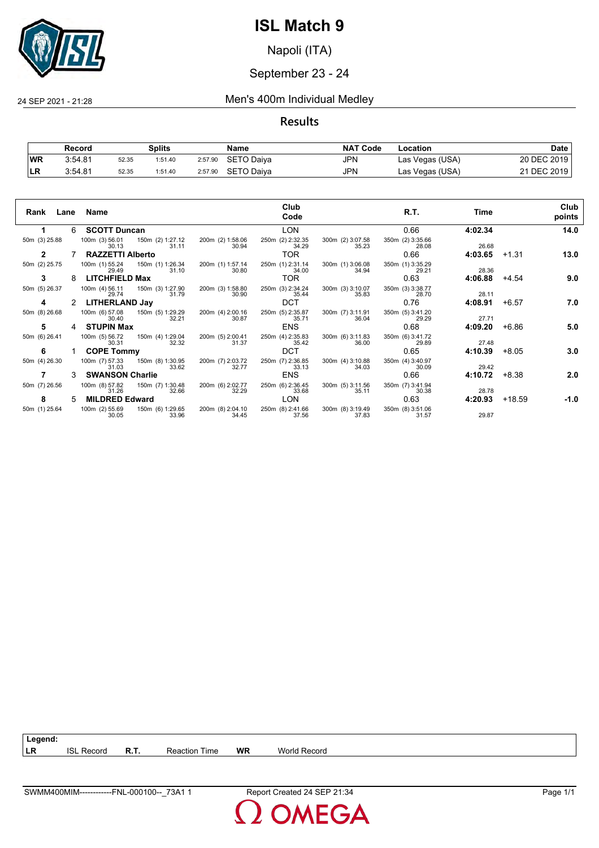

Napoli (ITA)

#### September 23 - 24

24 SEP 2021 - 21:28 Men's 400m Individual Medley

#### **Results**

|            | Record  |       | Splits  |         | Name       | <b>NAT Code</b> | Location        | Date        |
|------------|---------|-------|---------|---------|------------|-----------------|-----------------|-------------|
| <b>WR</b>  | 3:54.81 | 52.35 | 1:51.40 | 2:57.90 | SETO Daiva | JPN             | Las Vegas (USA) | 20 DEC 2019 |
| <b>ILR</b> | 3:54.81 | 52.35 | 1:51.40 | 2:57.90 | SETO Daiya | JPN             | Las Vegas (USA) | 21 DEC 2019 |

| Rank          |   | Lane Name                                |                           |                           | Club<br>Code              |                           | R.T.                      | Time    |         | Club<br>points |
|---------------|---|------------------------------------------|---------------------------|---------------------------|---------------------------|---------------------------|---------------------------|---------|---------|----------------|
| 1.            | 6 | <b>SCOTT Duncan</b>                      |                           |                           | <b>LON</b>                |                           | 0.66                      | 4:02.34 |         | 14.0           |
| 50m (3) 25.88 |   | 100m (3) 56.01 150m (2) 1:27.12<br>30.13 | 31.11                     | 200m (2) 1:58.06<br>30.94 | 250m (2) 2:32.35<br>34.29 | 300m (2) 3:07.58<br>35.23 | 350m (2) 3:35.66<br>28.08 | 26.68   |         |                |
| $\mathbf{2}$  |   | <b>RAZZETTI Alberto</b>                  |                           |                           | TOR.                      |                           | 0.66                      | 4:03.65 | $+1.31$ | 13.0           |
| 50m (2) 25.75 |   | 100m (1) 55.24<br>29.49                  | 150m (1) 1:26.34<br>31.10 | 200m (1) 1:57.14<br>30.80 | 250m (1) 2:31.14<br>34.00 | 300m (1) 3:06.08<br>34.94 | 350m (1) 3:35.29<br>29.21 | 28.36   |         |                |
| 3             | 8 | <b>LITCHFIELD Max</b>                    |                           |                           | TOR.                      |                           | 0.63                      | 4:06.88 | +4.54   | 9.0            |
| 50m (5) 26.37 |   | 100m (4) 56.11<br>29.74                  | 150m (3) 1:27.90<br>31.79 | 200m (3) 1:58.80<br>30.90 | 250m (3) 2:34.24<br>35.44 | 300m (3) 3:10.07<br>35.83 | 350m (3) 3:38.77<br>28.70 | 28.11   |         |                |
| 4             |   | LITHERLAND Jay                           |                           |                           | <b>DCT</b>                |                           | 0.76                      | 4:08.91 | $+6.57$ | 7.0            |
| 50m (8) 26.68 |   | 100m (6) 57.08<br>30.40                  | 150m (5) 1:29.29<br>32.21 | 200m (4) 2:00.16<br>30.87 | 250m (5) 2:35.87<br>35.71 | 300m (7) 3:11.91<br>36.04 | 350m (5) 3:41.20<br>29.29 | 27.71   |         |                |
| 5             | 4 | <b>STUPIN Max</b>                        |                           |                           | <b>ENS</b>                |                           | 0.68                      | 4:09.20 | +6.86   | 5.0            |
| 50m (6) 26.41 |   | 100m (5) 56.72<br>30.31                  | 150m (4) 1:29.04<br>32.32 | 200m (5) 2:00.41<br>31.37 | 250m (4) 2:35.83<br>35.42 | 300m (6) 3:11.83<br>36.00 | 350m (6) 3:41.72<br>29.89 | 27.48   |         |                |
| 6             |   | <b>COPE Tommy</b>                        |                           |                           | <b>DCT</b>                |                           | 0.65                      | 4:10.39 | $+8.05$ | 3.0            |
| 50m (4) 26.30 |   | 100m (7) 57.33<br>31.03                  | 150m (8) 1:30.95<br>33.62 | 200m (7) 2:03.72<br>32.77 | 250m (7) 2:36.85<br>33.13 | 300m (4) 3:10.88<br>34.03 | 350m (4) 3:40.97<br>30.09 | 29.42   |         |                |
|               | 3 | <b>SWANSON Charlie</b>                   |                           |                           | <b>ENS</b>                |                           | 0.66                      | 4:10.72 | +8.38   | 2.0            |
| 50m (7) 26.56 |   | 100m (8) 57.82<br>31.26                  | 150m (7) 1:30.48<br>32.66 | 200m (6) 2:02.77<br>32.29 | 250m (6) 2:36.45<br>33.68 | 300m (5) 3:11.56<br>35.11 | 350m (7) 3:41.94<br>30.38 | 28.78   |         |                |
| 8             | 5 | <b>MILDRED Edward</b>                    |                           |                           | LON                       |                           | 0.63                      | 4:20.93 | +18.59  | -1.0           |
| 50m (1) 25.64 |   | 100m (2) 55.69<br>30.05                  | 150m (6) 1:29.65<br>33.96 | 200m (8) 2:04.10<br>34.45 | 250m (8) 2:41.66<br>37.56 | 300m (8) 3:19.49<br>37.83 | 350m (8) 3:51.06<br>31.57 | 29.87   |         |                |

**LR** ISL Record **R.T.** Reaction Time **WR** World Record

**Legend:**

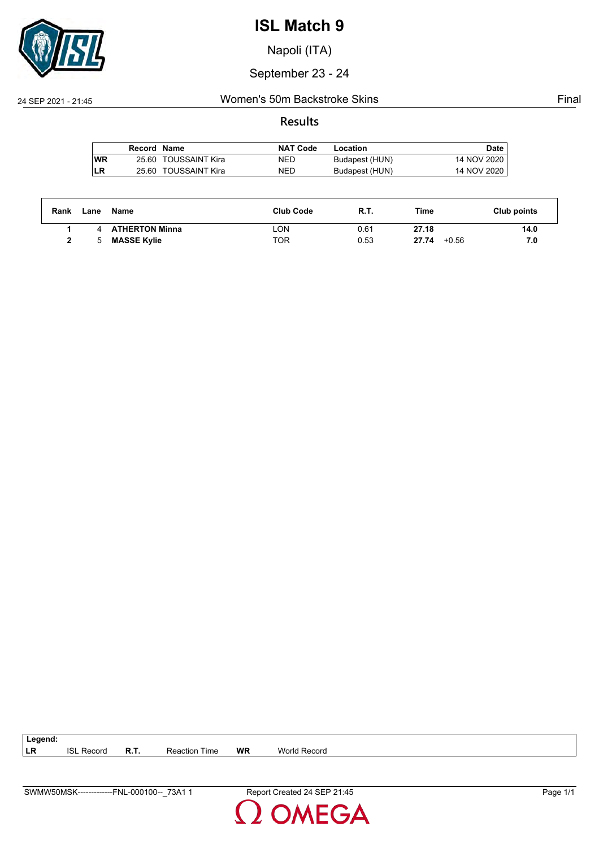

Napoli (ITA)

September 23 - 24

#### 24 SEP 2021 - 21:45 Women's 50m Backstroke Skins Final

#### **Results**

|     | Record Name |                      | <b>NAT Code</b> | Location       | Date        |
|-----|-------------|----------------------|-----------------|----------------|-------------|
| lWR |             | 25.60 TOUSSAINT Kira | NED             | Budapest (HUN) | 14 NOV 2020 |
| LR  |             | 25.60 TOUSSAINT Kira | NED             | Budapest (HUN) | 14 NOV 2020 |

| Rank | Lane | Name                  | <b>Club Code</b> | <b>R.T.</b> | Time             | Club points |
|------|------|-----------------------|------------------|-------------|------------------|-------------|
|      |      | <b>ATHERTON Minna</b> | LON.             | 0.61        | 27.18            | 14.0        |
|      | 5    | <b>MASSE Kylie</b>    | TOR              | 0.53        | $+0.56$<br>27.74 | 7.0         |

| $\vert$ Legend: |                   |                      |    |              |
|-----------------|-------------------|----------------------|----|--------------|
| ∣LR             | <b>ISL Record</b> | <b>Reaction Time</b> | WR | World Record |

**DMEGA**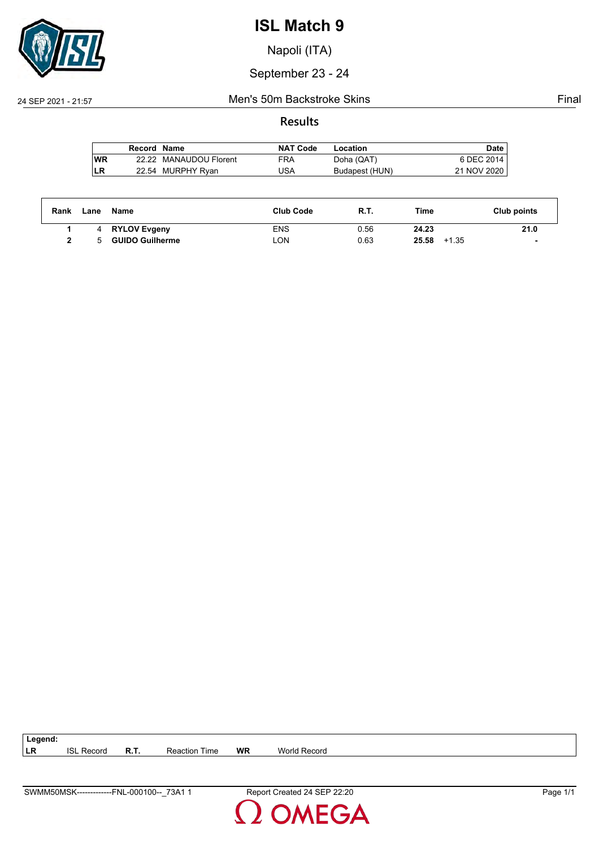

Napoli (ITA)

September 23 - 24

#### 24 SEP 2021 - 21:57 Men's 50m Backstroke Skins Final

#### **Results**

|    | Record Name |                        | <b>NAT Code</b> | Location       | Date        |
|----|-------------|------------------------|-----------------|----------------|-------------|
| WR |             | 22.22 MANAUDOU Florent | FRA             | Doha (QAT)     | 6 DEC 2014  |
| LR |             | 22.54 MURPHY Ryan      | USA             | Budapest (HUN) | 21 NOV 2020 |

| Rank | Lane | Name                   | <b>Club Code</b> | R.T. | Time             | Club points |
|------|------|------------------------|------------------|------|------------------|-------------|
|      |      | <b>RYLOV Evgeny</b>    | ENS              | 0.56 | 24.23            | 21.0        |
|      | 5.   | <b>GUIDO Guilherme</b> | _ON              | 0.63 | 25.58<br>$+1.35$ |             |

| $\vert$ Legend: |                   |             |                      |    |              |
|-----------------|-------------------|-------------|----------------------|----|--------------|
| <b>ILR</b>      | <b>ISL Record</b> | <b>R.T.</b> | <b>Reaction Time</b> | WR | World Record |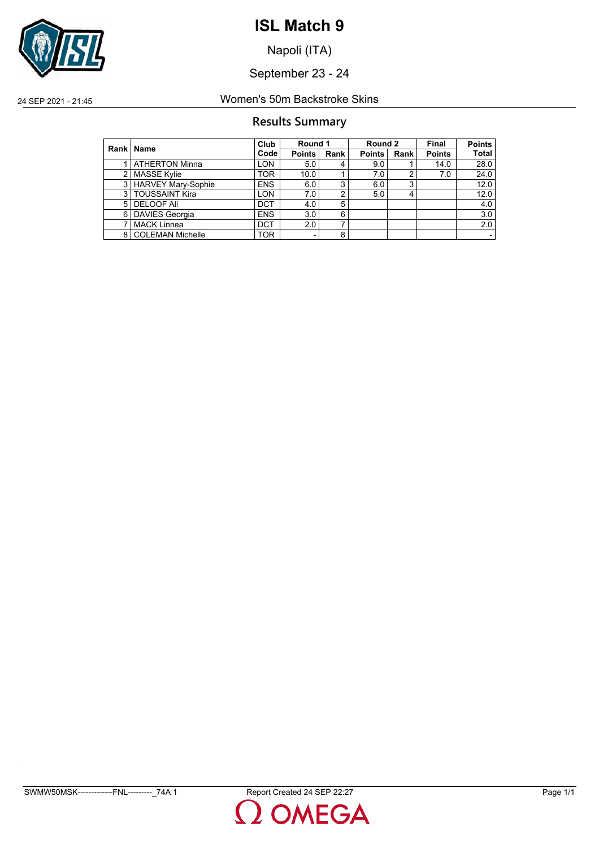

Napoli (ITA)

September 23 - 24

24 SEP 2021 - 21:45 Women's 50m Backstroke Skins

#### **Results Summary**

|               | Rank   Name               | Club       | Round 1       |      | Round 2       |      | Final         | <b>Points</b> |
|---------------|---------------------------|------------|---------------|------|---------------|------|---------------|---------------|
|               |                           | Code       | <b>Points</b> | Rank | <b>Points</b> | Rank | <b>Points</b> | <b>Total</b>  |
|               | <b>ATHERTON Minna</b>     | <b>LON</b> | 5.0           | 4    | 9.0           |      | 14.0          | 28.0          |
| $\mathcal{P}$ | <b>MASSE Kylie</b>        | <b>TOR</b> | 10.0          |      | 7.0           | າ    | 7.0           | 24.0          |
| 3             | <b>HARVEY Mary-Sophie</b> | <b>ENS</b> | 6.0           | 3    | 6.0           | 3    |               | 12.0          |
| 3             | <b>TOUSSAINT Kira</b>     | <b>LON</b> | 7.0           | 2    | 5.0           |      |               | 12.0          |
| 5             | <b>DELOOF Ali</b>         | <b>DCT</b> | 4.0           | 5    |               |      |               | 4.0           |
| 6             | <b>DAVIES Georgia</b>     | <b>ENS</b> | 3.0           | 6    |               |      |               | 3.0           |
| 7             | <b>MACK Linnea</b>        | <b>DCT</b> | 2.0           | ⇁    |               |      |               | 2.0           |
| 8             | <b>COLEMAN Michelle</b>   | <b>TOR</b> | -             | 8    |               |      |               |               |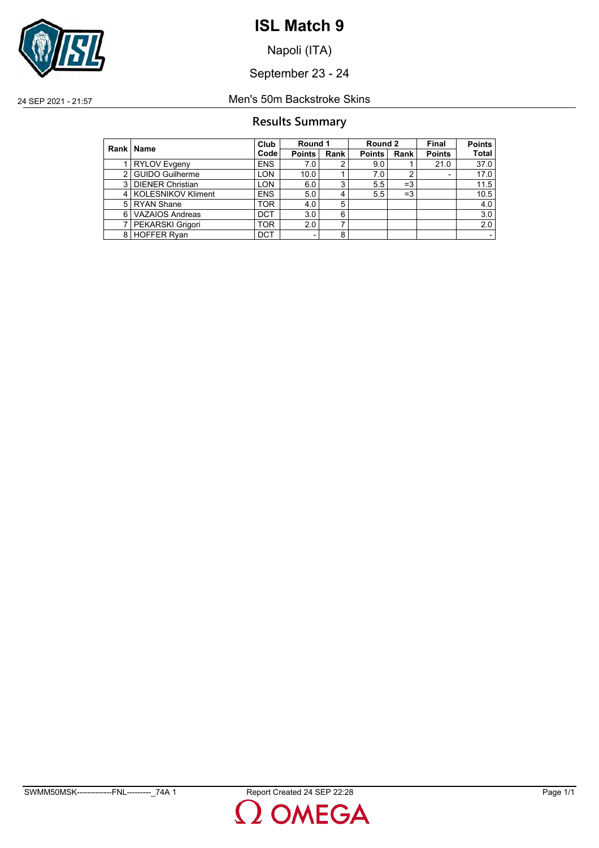

Napoli (ITA)

September 23 - 24

24 SEP 2021 - 21:57 Men's 50m Backstroke Skins

#### **Results Summary**

|   | Rank   Name             | Club       | Round 1                  |      | Round 2       |      | Final         | <b>Points</b> |
|---|-------------------------|------------|--------------------------|------|---------------|------|---------------|---------------|
|   |                         | Code       | Points                   | Rank | <b>Points</b> | Rank | <b>Points</b> | Total         |
|   | <b>RYLOV Evgeny</b>     | <b>ENS</b> | 7.0                      |      | 9.0           |      | 21.0          | 37.0          |
| 2 | <b>GUIDO Guilherme</b>  | <b>LON</b> | 10.0                     |      | 7.0           |      | ٠             | 17.0          |
| 3 | <b>DIENER Christian</b> | <b>LON</b> | 6.0                      | 3    | 5.5           | $=3$ |               | 11.5          |
| 4 | KOLESNIKOV Kliment      | <b>ENS</b> | 5.0                      | 4    | 5.5           | $=3$ |               | 10.5          |
| 5 | <b>RYAN Shane</b>       | <b>TOR</b> | 4.0                      | 5    |               |      |               | 4.0           |
| 6 | <b>VAZAIOS Andreas</b>  | <b>DCT</b> | 3.0                      | 6    |               |      |               | 3.0           |
|   | PEKARSKI Grigori        | TOR        | 2.0                      |      |               |      |               | 2.0           |
| 8 | <b>HOFFER Ryan</b>      | <b>DCT</b> | $\overline{\phantom{0}}$ | 8    |               |      |               |               |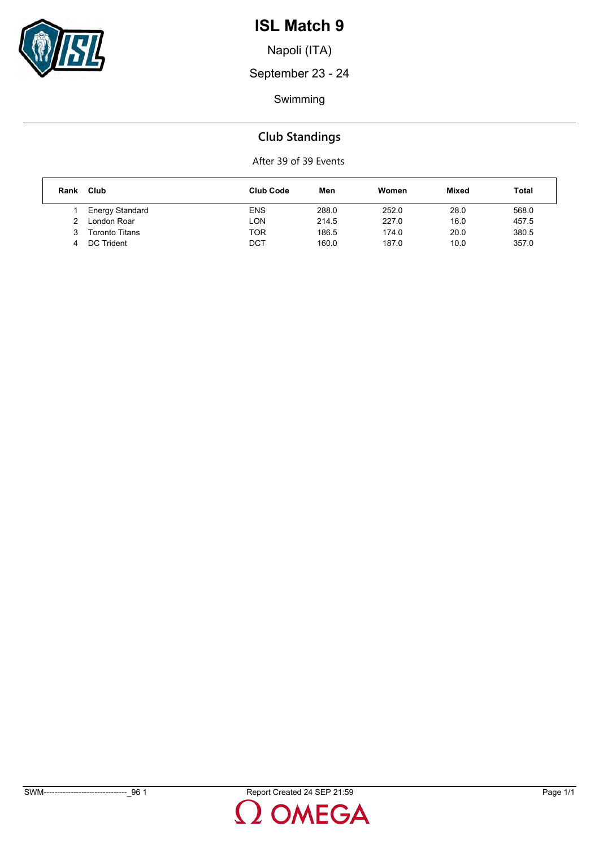

Napoli (ITA)

September 23 - 24

Swimming

## **Club Standings**

| Rank | Club                   | <b>Club Code</b> | Men   | Women | <b>Mixed</b> | Total |
|------|------------------------|------------------|-------|-------|--------------|-------|
|      | <b>Energy Standard</b> | <b>ENS</b>       | 288.0 | 252.0 | 28.0         | 568.0 |
| າ    | London Roar            | LON              | 214.5 | 227.0 | 16.0         | 457.5 |
| 3    | <b>Toronto Titans</b>  | TOR              | 186.5 | 174.0 | 20.0         | 380.5 |
|      | DC Trident             | DCT              | 160.0 | 187.0 | 10.0         | 357.0 |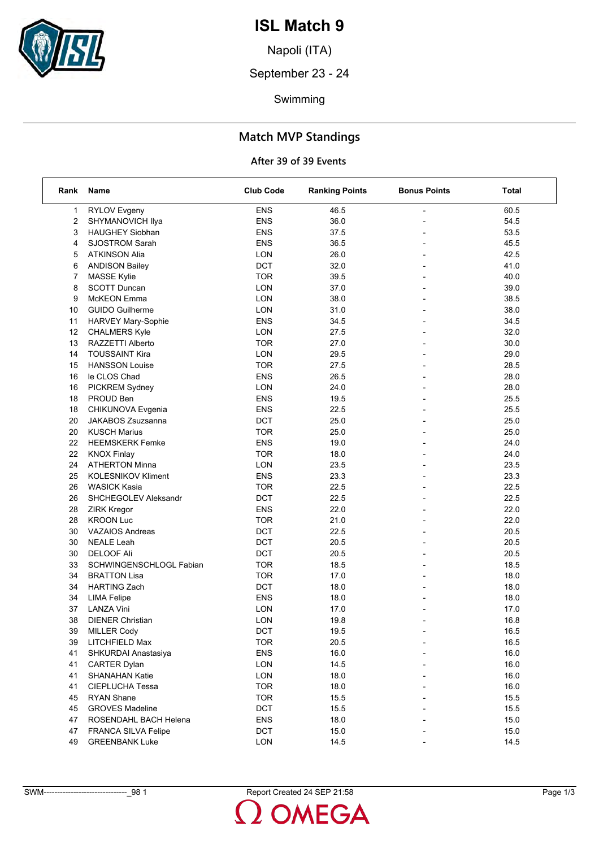

Napoli (ITA)

September 23 - 24

Swimming

## **Match MVP Standings**

| Rank           | <b>Name</b>                | <b>Club Code</b> | <b>Ranking Points</b> | <b>Bonus Points</b>      | Total |
|----------------|----------------------------|------------------|-----------------------|--------------------------|-------|
| 1              | <b>RYLOV Evgeny</b>        | <b>ENS</b>       | 46.5                  | L,                       | 60.5  |
| 2              | SHYMANOVICH Ilya           | <b>ENS</b>       | 36.0                  |                          | 54.5  |
| 3              | <b>HAUGHEY Siobhan</b>     | <b>ENS</b>       | 37.5                  |                          | 53.5  |
| 4              | <b>SJOSTROM Sarah</b>      | ENS              | 36.5                  |                          | 45.5  |
| 5              | <b>ATKINSON Alia</b>       | LON              | 26.0                  |                          | 42.5  |
| 6              | <b>ANDISON Bailey</b>      | <b>DCT</b>       | 32.0                  |                          | 41.0  |
| $\overline{7}$ | <b>MASSE Kylie</b>         | <b>TOR</b>       | 39.5                  |                          | 40.0  |
| 8              | <b>SCOTT Duncan</b>        | LON              | 37.0                  |                          | 39.0  |
| 9              | McKEON Emma                | LON              | 38.0                  |                          | 38.5  |
| 10             | <b>GUIDO Guilherme</b>     | LON              | 31.0                  | $\overline{\phantom{a}}$ | 38.0  |
| 11             | HARVEY Mary-Sophie         | <b>ENS</b>       | 34.5                  |                          | 34.5  |
| 12             | <b>CHALMERS Kyle</b>       | LON              | 27.5                  |                          | 32.0  |
| 13             | RAZZETTI Alberto           | <b>TOR</b>       | 27.0                  | $\overline{\phantom{0}}$ | 30.0  |
| 14             | <b>TOUSSAINT Kira</b>      | LON              | 29.5                  |                          | 29.0  |
| 15             | <b>HANSSON Louise</b>      | <b>TOR</b>       | 27.5                  |                          | 28.5  |
| 16             | le CLOS Chad               | <b>ENS</b>       | 26.5                  | $\overline{a}$           | 28.0  |
| 16             | PICKREM Sydney             | LON              | 24.0                  | $\overline{a}$           | 28.0  |
| 18             | PROUD Ben                  | <b>ENS</b>       | 19.5                  |                          | 25.5  |
| 18             | CHIKUNOVA Evgenia          | <b>ENS</b>       | 22.5                  |                          | 25.5  |
| 20             | <b>JAKABOS Zsuzsanna</b>   | <b>DCT</b>       | 25.0                  |                          | 25.0  |
| 20             | <b>KUSCH Marius</b>        | <b>TOR</b>       | 25.0                  |                          | 25.0  |
| 22             | <b>HEEMSKERK Femke</b>     | <b>ENS</b>       | 19.0                  | $\overline{\phantom{a}}$ | 24.0  |
| 22             | <b>KNOX Finlay</b>         | <b>TOR</b>       | 18.0                  |                          | 24.0  |
| 24             | <b>ATHERTON Minna</b>      | LON              | 23.5                  |                          | 23.5  |
| 25             | <b>KOLESNIKOV Kliment</b>  | <b>ENS</b>       | 23.3                  | $\overline{\phantom{a}}$ | 23.3  |
| 26             | <b>WASICK Kasia</b>        | <b>TOR</b>       | 22.5                  |                          | 22.5  |
| 26             | SHCHEGOLEV Aleksandr       | DCT              | 22.5                  |                          | 22.5  |
| 28             | <b>ZIRK Kregor</b>         | <b>ENS</b>       | 22.0                  | $\overline{a}$           | 22.0  |
| 28             | <b>KROON Luc</b>           | <b>TOR</b>       | 21.0                  |                          | 22.0  |
| 30             | <b>VAZAIOS Andreas</b>     | <b>DCT</b>       | 22.5                  |                          | 20.5  |
| 30             | <b>NEALE Leah</b>          | <b>DCT</b>       | 20.5                  |                          | 20.5  |
| 30             | <b>DELOOF Ali</b>          | <b>DCT</b>       | 20.5                  |                          | 20.5  |
| 33             | SCHWINGENSCHLOGL Fabian    | <b>TOR</b>       | 18.5                  |                          | 18.5  |
| 34             | <b>BRATTON Lisa</b>        | <b>TOR</b>       | 17.0                  | $\overline{\phantom{a}}$ | 18.0  |
| 34             | <b>HARTING Zach</b>        | <b>DCT</b>       | 18.0                  |                          | 18.0  |
| 34             | <b>LIMA Felipe</b>         | <b>ENS</b>       | 18.0                  |                          | 18.0  |
| 37             | <b>LANZA Vini</b>          | LON              | 17.0                  |                          | 17.0  |
| 38             | <b>DIENER Christian</b>    | LON              | 19.8                  |                          | 16.8  |
| 39             | <b>MILLER Cody</b>         | DCT              | 19.5                  |                          | 16.5  |
| 39             | LITCHFIELD Max             | <b>TOR</b>       | 20.5                  |                          | 16.5  |
| 41             | SHKURDAI Anastasiya        | <b>ENS</b>       | 16.0                  |                          | 16.0  |
| 41             | <b>CARTER Dylan</b>        | LON              | 14.5                  |                          | 16.0  |
| 41             | <b>SHANAHAN Katie</b>      | LON              | 18.0                  |                          | 16.0  |
| 41             | CIEPLUCHA Tessa            | <b>TOR</b>       | 18.0                  |                          | 16.0  |
| 45             | <b>RYAN Shane</b>          | <b>TOR</b>       | 15.5                  |                          | 15.5  |
| 45             | <b>GROVES Madeline</b>     | DCT              | 15.5                  |                          | 15.5  |
| 47             | ROSENDAHL BACH Helena      | <b>ENS</b>       | 18.0                  |                          | 15.0  |
| 47             | <b>FRANCA SILVA Felipe</b> | DCT              | 15.0                  |                          | 15.0  |
| 49             | <b>GREENBANK Luke</b>      | LON              | 14.5                  |                          | 14.5  |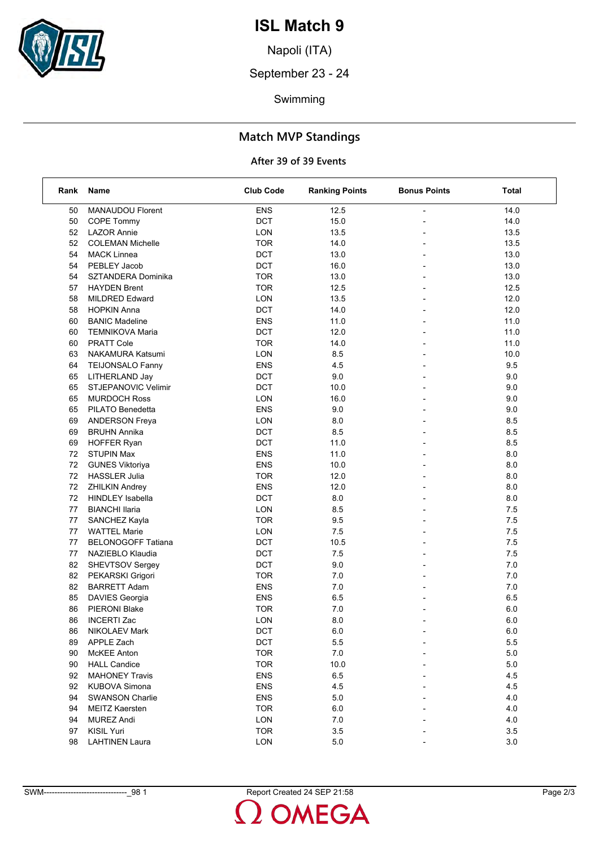

Napoli (ITA)

September 23 - 24

Swimming

## **Match MVP Standings**

| Rank | Name                      | <b>Club Code</b> | <b>Ranking Points</b> | <b>Bonus Points</b> | Total   |
|------|---------------------------|------------------|-----------------------|---------------------|---------|
| 50   | MANAUDOU Florent          | <b>ENS</b>       | 12.5                  |                     | 14.0    |
| 50   | <b>COPE Tommy</b>         | DCT              | 15.0                  |                     | 14.0    |
| 52   | <b>LAZOR Annie</b>        | LON              | 13.5                  |                     | 13.5    |
| 52   | <b>COLEMAN Michelle</b>   | <b>TOR</b>       | 14.0                  |                     | 13.5    |
| 54   | <b>MACK Linnea</b>        | DCT              | 13.0                  |                     | 13.0    |
| 54   | PEBLEY Jacob              | DCT              | 16.0                  |                     | 13.0    |
| 54   | SZTANDERA Dominika        | <b>TOR</b>       | 13.0                  |                     | 13.0    |
| 57   | <b>HAYDEN Brent</b>       | <b>TOR</b>       | 12.5                  |                     | 12.5    |
| 58   | <b>MILDRED Edward</b>     | LON              | 13.5                  |                     | 12.0    |
| 58   | <b>HOPKIN Anna</b>        | <b>DCT</b>       | 14.0                  |                     | 12.0    |
| 60   | <b>BANIC Madeline</b>     | <b>ENS</b>       | 11.0                  |                     | 11.0    |
| 60   | <b>TEMNIKOVA Maria</b>    | DCT              | 12.0                  |                     | 11.0    |
| 60   | <b>PRATT Cole</b>         | <b>TOR</b>       | 14.0                  |                     | 11.0    |
| 63   | NAKAMURA Katsumi          | LON              | 8.5                   |                     | 10.0    |
| 64   | <b>TEIJONSALO Fanny</b>   | <b>ENS</b>       | 4.5                   |                     | 9.5     |
| 65   | LITHERLAND Jay            | <b>DCT</b>       | 9.0                   |                     | 9.0     |
| 65   | STJEPANOVIC Velimir       | <b>DCT</b>       | 10.0                  |                     | 9.0     |
| 65   | <b>MURDOCH Ross</b>       | LON              | 16.0                  |                     | 9.0     |
| 65   | PILATO Benedetta          | <b>ENS</b>       | 9.0                   |                     | 9.0     |
| 69   | <b>ANDERSON Freya</b>     | LON              | 8.0                   |                     | 8.5     |
| 69   | <b>BRUHN Annika</b>       | DCT              | 8.5                   |                     | 8.5     |
| 69   | <b>HOFFER Ryan</b>        | <b>DCT</b>       | 11.0                  |                     | 8.5     |
| 72   | <b>STUPIN Max</b>         | <b>ENS</b>       | 11.0                  |                     | 8.0     |
| 72   | <b>GUNES Viktoriya</b>    | <b>ENS</b>       | 10.0                  |                     | 8.0     |
| 72   | <b>HASSLER Julia</b>      | <b>TOR</b>       | 12.0                  |                     | 8.0     |
| 72   | <b>ZHILKIN Andrey</b>     | <b>ENS</b>       | 12.0                  |                     | 8.0     |
| 72   | <b>HINDLEY Isabella</b>   | <b>DCT</b>       | 8.0                   |                     | 8.0     |
| 77   | <b>BIANCHI Ilaria</b>     | LON              | 8.5                   |                     | 7.5     |
| 77   | SANCHEZ Kayla             | <b>TOR</b>       | 9.5                   |                     | 7.5     |
| 77   | <b>WATTEL Marie</b>       | LON              | 7.5                   |                     | 7.5     |
| 77   | <b>BELONOGOFF Tatiana</b> | <b>DCT</b>       | 10.5                  |                     | 7.5     |
| 77   | NAZIEBLO Klaudia          | DCT              | 7.5                   |                     | 7.5     |
| 82   | SHEVTSOV Sergey           | <b>DCT</b>       | 9.0                   |                     | 7.0     |
| 82   | PEKARSKI Grigori          | <b>TOR</b>       | 7.0                   | $\overline{a}$      | 7.0     |
| 82   | <b>BARRETT Adam</b>       | <b>ENS</b>       | 7.0                   |                     | 7.0     |
| 85   | DAVIES Georgia            | <b>ENS</b>       | 6.5                   |                     | 6.5     |
| 86   | PIERONI Blake             | <b>TOR</b>       | 7.0                   |                     | $6.0\,$ |
| 86   | <b>INCERTI Zac</b>        | <b>LON</b>       | 8.0                   |                     | 6.0     |
| 86   | <b>NIKOLAEV Mark</b>      | DCT              | $6.0\,$               |                     | $6.0\,$ |
| 89   | APPLE Zach                | <b>DCT</b>       | 5.5                   |                     | 5.5     |
| 90   | McKEE Anton               | <b>TOR</b>       | 7.0                   |                     | 5.0     |
| 90   | <b>HALL Candice</b>       | <b>TOR</b>       | 10.0                  |                     | 5.0     |
| 92   | <b>MAHONEY Travis</b>     | <b>ENS</b>       | 6.5                   |                     | 4.5     |
| 92   | <b>KUBOVA Simona</b>      | <b>ENS</b>       | 4.5                   |                     | 4.5     |
| 94   | <b>SWANSON Charlie</b>    | <b>ENS</b>       | 5.0                   |                     | 4.0     |
| 94   | <b>MEITZ Kaersten</b>     | <b>TOR</b>       | 6.0                   |                     | 4.0     |
| 94   | <b>MUREZ Andi</b>         | <b>LON</b>       | 7.0                   |                     | 4.0     |
| 97   | <b>KISIL Yuri</b>         | <b>TOR</b>       | 3.5                   |                     | 3.5     |
| 98   | <b>LAHTINEN Laura</b>     | LON              | 5.0                   |                     | 3.0     |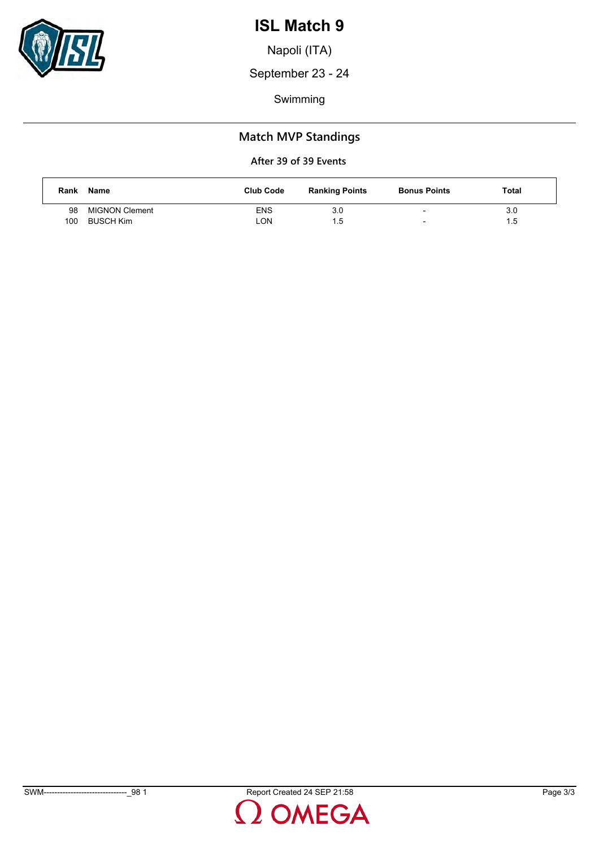

Napoli (ITA)

September 23 - 24

Swimming

## **Match MVP Standings**

| Rank | Name                  | <b>Club Code</b> | <b>Ranking Points</b> | <b>Bonus Points</b>      | Total |
|------|-----------------------|------------------|-----------------------|--------------------------|-------|
| 98   | <b>MIGNON Clement</b> | <b>ENS</b>       | 3.0                   | $\overline{\phantom{0}}$ | 3.0   |
| 100  | BUSCH Kim             | LON              | $1.5^{\circ}$         | $\overline{\phantom{0}}$ | 1.5   |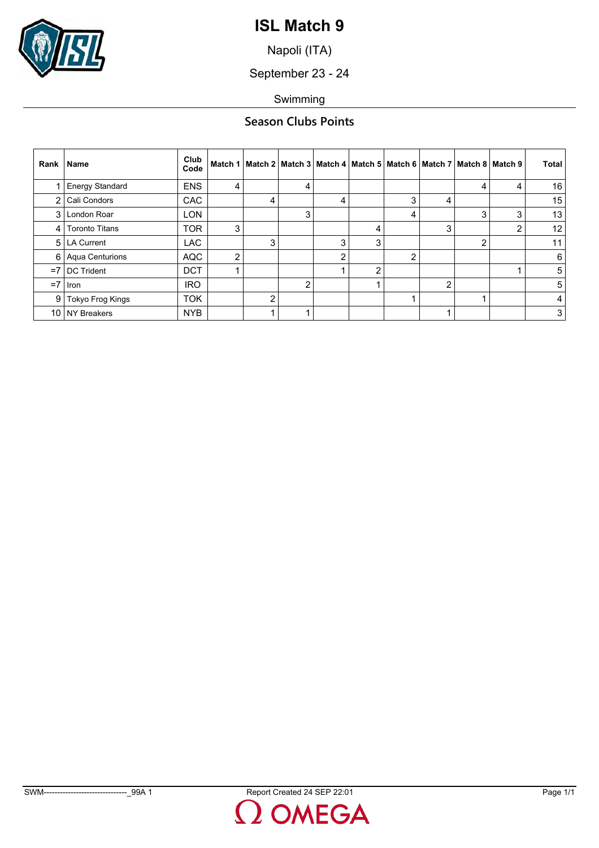

Napoli (ITA)

September 23 - 24

Swimming

## **Season Clubs Points**

| Rank           | Name                   | Club<br>Code |                |   |   |   | Match 1   Match 2   Match 3   Match 4   Match 5   Match 6   Match 7   Match 8   Match 9 |   |   |   |   | <b>Total</b> |
|----------------|------------------------|--------------|----------------|---|---|---|-----------------------------------------------------------------------------------------|---|---|---|---|--------------|
|                | <b>Energy Standard</b> | <b>ENS</b>   | 4              |   | 4 |   |                                                                                         |   |   | 4 | 4 | 16           |
| 2              | Cali Condors           | <b>CAC</b>   |                | 4 |   | 4 |                                                                                         | 3 | 4 |   |   | 15           |
| 3              | London Roar            | <b>LON</b>   |                |   | 3 |   |                                                                                         | 4 |   | 3 | 3 | 13           |
| $\vert$        | <b>Toronto Titans</b>  | <b>TOR</b>   | 3              |   |   |   | 4                                                                                       |   | 3 |   | 2 | 12           |
| 5 <sup>1</sup> | LA Current             | <b>LAC</b>   |                | 3 |   | 3 | 3                                                                                       |   |   | ∩ |   | 11           |
| $6 \mid$       | <b>Aqua Centurions</b> | <b>AQC</b>   | $\overline{2}$ |   |   | ົ |                                                                                         | ◠ |   |   |   | 6            |
| $=7$           | <b>DC Trident</b>      | <b>DCT</b>   |                |   |   |   | 2                                                                                       |   |   |   |   | 5            |
| $=7$           | Iron                   | <b>IRO</b>   |                |   | 2 |   |                                                                                         |   | 2 |   |   | 5            |
| 9              | Tokyo Frog Kings       | <b>TOK</b>   |                | n |   |   |                                                                                         |   |   |   |   | 4            |
| 10             | <b>NY Breakers</b>     | <b>NYB</b>   |                |   |   |   |                                                                                         |   |   |   |   | 3            |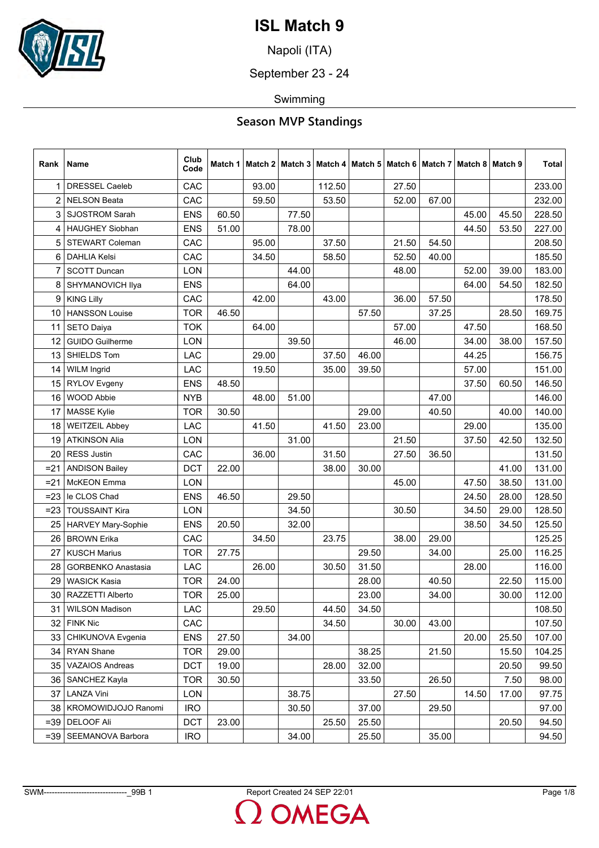

Napoli (ITA)

September 23 - 24

Swimming

| Rank           | Name                      | Club<br>Code |       |       |       |        |       |       |       | Match 1   Match 2   Match 3   Match 4   Match 5   Match 6   Match 7   Match 8   Match 9 |       | Total  |
|----------------|---------------------------|--------------|-------|-------|-------|--------|-------|-------|-------|-----------------------------------------------------------------------------------------|-------|--------|
| 1              | <b>DRESSEL Caeleb</b>     | CAC          |       | 93.00 |       | 112.50 |       | 27.50 |       |                                                                                         |       | 233.00 |
| $\overline{2}$ | <b>NELSON Beata</b>       | CAC          |       | 59.50 |       | 53.50  |       | 52.00 | 67.00 |                                                                                         |       | 232.00 |
| 3              | <b>SJOSTROM Sarah</b>     | <b>ENS</b>   | 60.50 |       | 77.50 |        |       |       |       | 45.00                                                                                   | 45.50 | 228.50 |
| 4              | <b>HAUGHEY Siobhan</b>    | <b>ENS</b>   | 51.00 |       | 78.00 |        |       |       |       | 44.50                                                                                   | 53.50 | 227.00 |
| 5              | <b>STEWART Coleman</b>    | CAC          |       | 95.00 |       | 37.50  |       | 21.50 | 54.50 |                                                                                         |       | 208.50 |
| 6              | <b>DAHLIA Kelsi</b>       | CAC          |       | 34.50 |       | 58.50  |       | 52.50 | 40.00 |                                                                                         |       | 185.50 |
| 7              | <b>SCOTT Duncan</b>       | <b>LON</b>   |       |       | 44.00 |        |       | 48.00 |       | 52.00                                                                                   | 39.00 | 183.00 |
| 8              | SHYMANOVICH Ilya          | <b>ENS</b>   |       |       | 64.00 |        |       |       |       | 64.00                                                                                   | 54.50 | 182.50 |
| 9              | <b>KING Lilly</b>         | CAC          |       | 42.00 |       | 43.00  |       | 36.00 | 57.50 |                                                                                         |       | 178.50 |
| 10             | <b>HANSSON Louise</b>     | <b>TOR</b>   | 46.50 |       |       |        | 57.50 |       | 37.25 |                                                                                         | 28.50 | 169.75 |
| 11             | <b>SETO Daiya</b>         | <b>TOK</b>   |       | 64.00 |       |        |       | 57.00 |       | 47.50                                                                                   |       | 168.50 |
| 12             | <b>GUIDO Guilherme</b>    | LON          |       |       | 39.50 |        |       | 46.00 |       | 34.00                                                                                   | 38.00 | 157.50 |
| 13             | SHIELDS Tom               | <b>LAC</b>   |       | 29.00 |       | 37.50  | 46.00 |       |       | 44.25                                                                                   |       | 156.75 |
| 14             | <b>WILM Ingrid</b>        | <b>LAC</b>   |       | 19.50 |       | 35.00  | 39.50 |       |       | 57.00                                                                                   |       | 151.00 |
| 15             | <b>RYLOV Evgeny</b>       | <b>ENS</b>   | 48.50 |       |       |        |       |       |       | 37.50                                                                                   | 60.50 | 146.50 |
| 16             | <b>WOOD Abbie</b>         | <b>NYB</b>   |       | 48.00 | 51.00 |        |       |       | 47.00 |                                                                                         |       | 146.00 |
| 17             | <b>MASSE Kylie</b>        | <b>TOR</b>   | 30.50 |       |       |        | 29.00 |       | 40.50 |                                                                                         | 40.00 | 140.00 |
| 18             | <b>WEITZEIL Abbey</b>     | <b>LAC</b>   |       | 41.50 |       | 41.50  | 23.00 |       |       | 29.00                                                                                   |       | 135.00 |
| 19             | <b>ATKINSON Alia</b>      | <b>LON</b>   |       |       | 31.00 |        |       | 21.50 |       | 37.50                                                                                   | 42.50 | 132.50 |
| 20             | <b>RESS Justin</b>        | CAC          |       | 36.00 |       | 31.50  |       | 27.50 | 36.50 |                                                                                         |       | 131.50 |
| $= 21$         | <b>ANDISON Bailey</b>     | <b>DCT</b>   | 22.00 |       |       | 38.00  | 30.00 |       |       |                                                                                         | 41.00 | 131.00 |
| $=21$          | <b>McKEON</b> Emma        | <b>LON</b>   |       |       |       |        |       | 45.00 |       | 47.50                                                                                   | 38.50 | 131.00 |
| $= 23$         | le CLOS Chad              | <b>ENS</b>   | 46.50 |       | 29.50 |        |       |       |       | 24.50                                                                                   | 28.00 | 128.50 |
| $= 23$         | <b>TOUSSAINT Kira</b>     | LON          |       |       | 34.50 |        |       | 30.50 |       | 34.50                                                                                   | 29.00 | 128.50 |
| 25             | <b>HARVEY Mary-Sophie</b> | <b>ENS</b>   | 20.50 |       | 32.00 |        |       |       |       | 38.50                                                                                   | 34.50 | 125.50 |
| 26             | <b>BROWN Erika</b>        | CAC          |       | 34.50 |       | 23.75  |       | 38.00 | 29.00 |                                                                                         |       | 125.25 |
| 27             | <b>KUSCH Marius</b>       | <b>TOR</b>   | 27.75 |       |       |        | 29.50 |       | 34.00 |                                                                                         | 25.00 | 116.25 |
| 28             | <b>GORBENKO Anastasia</b> | <b>LAC</b>   |       | 26.00 |       | 30.50  | 31.50 |       |       | 28.00                                                                                   |       | 116.00 |
| 29             | <b>WASICK Kasia</b>       | <b>TOR</b>   | 24.00 |       |       |        | 28.00 |       | 40.50 |                                                                                         | 22.50 | 115.00 |
| 30             | RAZZETTI Alberto          | <b>TOR</b>   | 25.00 |       |       |        | 23.00 |       | 34.00 |                                                                                         | 30.00 | 112.00 |
| 31             | WILSON Madison            | <b>LAC</b>   |       | 29.50 |       | 44.50  | 34.50 |       |       |                                                                                         |       | 108.50 |
| 32             | <b>FINK Nic</b>           | CAC          |       |       |       | 34.50  |       | 30.00 | 43.00 |                                                                                         |       | 107.50 |
| 33             | CHIKUNOVA Evgenia         | <b>ENS</b>   | 27.50 |       | 34.00 |        |       |       |       | 20.00                                                                                   | 25.50 | 107.00 |
| 34             | <b>RYAN Shane</b>         | <b>TOR</b>   | 29.00 |       |       |        | 38.25 |       | 21.50 |                                                                                         | 15.50 | 104.25 |
| 35             | <b>VAZAIOS Andreas</b>    | <b>DCT</b>   | 19.00 |       |       | 28.00  | 32.00 |       |       |                                                                                         | 20.50 | 99.50  |
| 36             | <b>SANCHEZ Kayla</b>      | <b>TOR</b>   | 30.50 |       |       |        | 33.50 |       | 26.50 |                                                                                         | 7.50  | 98.00  |
| 37             | LANZA Vini                | <b>LON</b>   |       |       | 38.75 |        |       | 27.50 |       | 14.50                                                                                   | 17.00 | 97.75  |
|                | 38   KROMOWIDJOJO Ranomi  | <b>IRO</b>   |       |       | 30.50 |        | 37.00 |       | 29.50 |                                                                                         |       | 97.00  |
| $=39$          | <b>DELOOF Ali</b>         | <b>DCT</b>   | 23.00 |       |       | 25.50  | 25.50 |       |       |                                                                                         | 20.50 | 94.50  |
| $=39$          | SEEMANOVA Barbora         | <b>IRO</b>   |       |       | 34.00 |        | 25.50 |       | 35.00 |                                                                                         |       | 94.50  |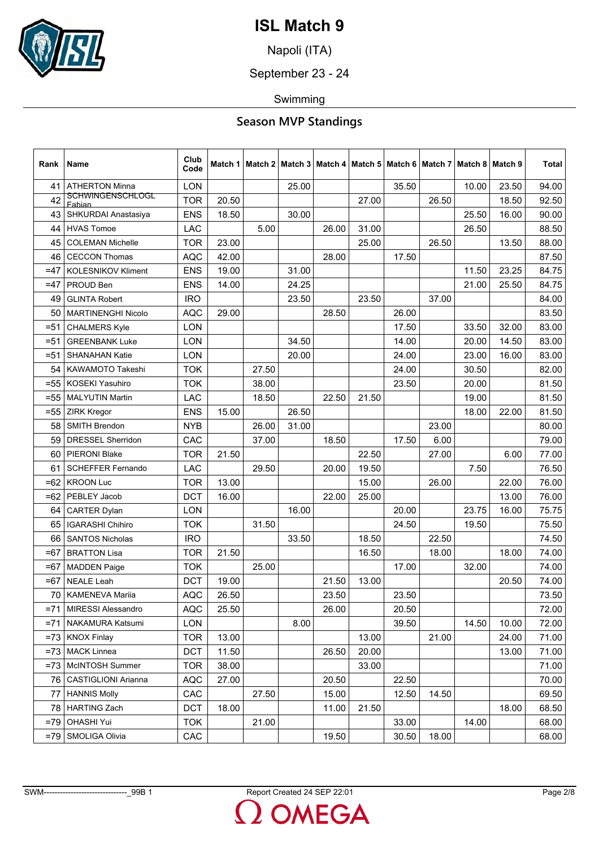

Napoli (ITA)

September 23 - 24

Swimming

| Rank   | Name                              | Club<br>Code |       |       | Match 1   Match 2   Match 3   Match 4   Match 5 |       |       |       |       | Match 6   Match 7   Match 8   Match 9 |       | Total |
|--------|-----------------------------------|--------------|-------|-------|-------------------------------------------------|-------|-------|-------|-------|---------------------------------------|-------|-------|
| 41     | <b>ATHERTON Minna</b>             | <b>LON</b>   |       |       | 25.00                                           |       |       | 35.50 |       | 10.00                                 | 23.50 | 94.00 |
| 42     | <b>SCHWINGENSCHLOGL</b><br>Fabian | <b>TOR</b>   | 20.50 |       |                                                 |       | 27.00 |       | 26.50 |                                       | 18.50 | 92.50 |
| 43     | SHKURDAI Anastasiya               | <b>ENS</b>   | 18.50 |       | 30.00                                           |       |       |       |       | 25.50                                 | 16.00 | 90.00 |
| 44     | <b>HVAS Tomoe</b>                 | LAC          |       | 5.00  |                                                 | 26.00 | 31.00 |       |       | 26.50                                 |       | 88.50 |
| 45     | <b>COLEMAN Michelle</b>           | <b>TOR</b>   | 23.00 |       |                                                 |       | 25.00 |       | 26.50 |                                       | 13.50 | 88.00 |
| 46     | <b>CECCON Thomas</b>              | <b>AQC</b>   | 42.00 |       |                                                 | 28.00 |       | 17.50 |       |                                       |       | 87.50 |
| $=47$  | <b>KOLESNIKOV Kliment</b>         | <b>ENS</b>   | 19.00 |       | 31.00                                           |       |       |       |       | 11.50                                 | 23.25 | 84.75 |
| $=47$  | PROUD Ben                         | <b>ENS</b>   | 14.00 |       | 24.25                                           |       |       |       |       | 21.00                                 | 25.50 | 84.75 |
| 49     | <b>GLINTA Robert</b>              | <b>IRO</b>   |       |       | 23.50                                           |       | 23.50 |       | 37.00 |                                       |       | 84.00 |
| 50     | <b>MARTINENGHI Nicolo</b>         | <b>AQC</b>   | 29.00 |       |                                                 | 28.50 |       | 26.00 |       |                                       |       | 83.50 |
| $= 51$ | <b>CHALMERS Kyle</b>              | <b>LON</b>   |       |       |                                                 |       |       | 17.50 |       | 33.50                                 | 32.00 | 83.00 |
| $= 51$ | <b>GREENBANK Luke</b>             | <b>LON</b>   |       |       | 34.50                                           |       |       | 14.00 |       | 20.00                                 | 14.50 | 83.00 |
| $= 51$ | <b>SHANAHAN Katie</b>             | <b>LON</b>   |       |       | 20.00                                           |       |       | 24.00 |       | 23.00                                 | 16.00 | 83.00 |
| 54     | KAWAMOTO Takeshi                  | <b>TOK</b>   |       | 27.50 |                                                 |       |       | 24.00 |       | 30.50                                 |       | 82.00 |
| $= 55$ | <b>KOSEKI Yasuhiro</b>            | <b>TOK</b>   |       | 38.00 |                                                 |       |       | 23.50 |       | 20.00                                 |       | 81.50 |
| $= 55$ | <b>MALYUTIN Martin</b>            | <b>LAC</b>   |       | 18.50 |                                                 | 22.50 | 21.50 |       |       | 19.00                                 |       | 81.50 |
| $=55$  | <b>ZIRK Kregor</b>                | <b>ENS</b>   | 15.00 |       | 26.50                                           |       |       |       |       | 18.00                                 | 22.00 | 81.50 |
| 58     | SMITH Brendon                     | <b>NYB</b>   |       | 26.00 | 31.00                                           |       |       |       | 23.00 |                                       |       | 80.00 |
| 59     | <b>DRESSEL Sherridon</b>          | CAC          |       | 37.00 |                                                 | 18.50 |       | 17.50 | 6.00  |                                       |       | 79.00 |
| 60     | <b>PIERONI Blake</b>              | <b>TOR</b>   | 21.50 |       |                                                 |       | 22.50 |       | 27.00 |                                       | 6.00  | 77.00 |
| 61     | <b>SCHEFFER Fernando</b>          | LAC          |       | 29.50 |                                                 | 20.00 | 19.50 |       |       | 7.50                                  |       | 76.50 |
| $=62$  | <b>KROON Luc</b>                  | <b>TOR</b>   | 13.00 |       |                                                 |       | 15.00 |       | 26.00 |                                       | 22.00 | 76.00 |
| $=62$  | PEBLEY Jacob                      | <b>DCT</b>   | 16.00 |       |                                                 | 22.00 | 25.00 |       |       |                                       | 13.00 | 76.00 |
| 64     | <b>CARTER Dylan</b>               | <b>LON</b>   |       |       | 16.00                                           |       |       | 20.00 |       | 23.75                                 | 16.00 | 75.75 |
| 65     | <b>IGARASHI Chihiro</b>           | <b>TOK</b>   |       | 31.50 |                                                 |       |       | 24.50 |       | 19.50                                 |       | 75.50 |
| 66     | <b>SANTOS Nicholas</b>            | <b>IRO</b>   |       |       | 33.50                                           |       | 18.50 |       | 22.50 |                                       |       | 74.50 |
| $=67$  | <b>BRATTON Lisa</b>               | <b>TOR</b>   | 21.50 |       |                                                 |       | 16.50 |       | 18.00 |                                       | 18.00 | 74.00 |
| $=67$  | <b>MADDEN Paige</b>               | <b>TOK</b>   |       | 25.00 |                                                 |       |       | 17.00 |       | 32.00                                 |       | 74.00 |
| $=67$  | <b>NEALE Leah</b>                 | <b>DCT</b>   | 19.00 |       |                                                 | 21.50 | 13.00 |       |       |                                       | 20.50 | 74.00 |
| 70     | <b>KAMENEVA Marija</b>            | <b>AQC</b>   | 26.50 |       |                                                 | 23.50 |       | 23.50 |       |                                       |       | 73.50 |
| $= 71$ | MIRESSI Alessandro                | <b>AQC</b>   | 25.50 |       |                                                 | 26.00 |       | 20.50 |       |                                       |       | 72.00 |
| $= 71$ | NAKAMURA Katsumi                  | LON          |       |       | 8.00                                            |       |       | 39.50 |       | 14.50                                 | 10.00 | 72.00 |
|        | $=73$ KNOX Finlay                 | <b>TOR</b>   | 13.00 |       |                                                 |       | 13.00 |       | 21.00 |                                       | 24.00 | 71.00 |
| $= 73$ | <b>MACK Linnea</b>                | <b>DCT</b>   | 11.50 |       |                                                 | 26.50 | 20.00 |       |       |                                       | 13.00 | 71.00 |
| $= 73$ | McINTOSH Summer                   | <b>TOR</b>   | 38.00 |       |                                                 |       | 33.00 |       |       |                                       |       | 71.00 |
| 761    | CASTIGLIONI Arianna               | <b>AQC</b>   | 27.00 |       |                                                 | 20.50 |       | 22.50 |       |                                       |       | 70.00 |
| 77     | <b>HANNIS Molly</b>               | CAC          |       | 27.50 |                                                 | 15.00 |       | 12.50 | 14.50 |                                       |       | 69.50 |
|        | 78   HARTING Zach                 | <b>DCT</b>   | 18.00 |       |                                                 | 11.00 | 21.50 |       |       |                                       | 18.00 | 68.50 |
| $=79$  | <b>OHASHI Yui</b>                 | <b>TOK</b>   |       | 21.00 |                                                 |       |       | 33.00 |       | 14.00                                 |       | 68.00 |
| $=79$  | SMOLIGA Olivia                    | CAC          |       |       |                                                 | 19.50 |       | 30.50 | 18.00 |                                       |       | 68.00 |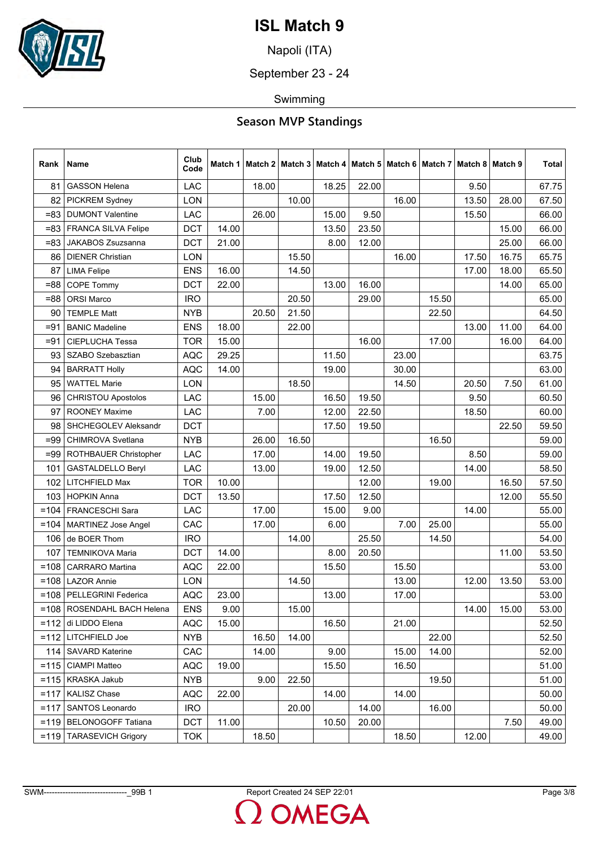

Napoli (ITA)

September 23 - 24

Swimming

| Rank    | Name                         | Club<br>Code |       | Match 1   Match 2   Match 3   Match 4   Match 5   Match 6   Match 7   Match 8   Match 9 |       |       |       |       |       |       |       | Total |
|---------|------------------------------|--------------|-------|-----------------------------------------------------------------------------------------|-------|-------|-------|-------|-------|-------|-------|-------|
| 81      | <b>GASSON Helena</b>         | LAC          |       | 18.00                                                                                   |       | 18.25 | 22.00 |       |       | 9.50  |       | 67.75 |
| 82      | <b>PICKREM Sydney</b>        | <b>LON</b>   |       |                                                                                         | 10.00 |       |       | 16.00 |       | 13.50 | 28.00 | 67.50 |
| $= 83$  | <b>DUMONT Valentine</b>      | <b>LAC</b>   |       | 26.00                                                                                   |       | 15.00 | 9.50  |       |       | 15.50 |       | 66.00 |
| $= 83$  | <b>FRANCA SILVA Felipe</b>   | <b>DCT</b>   | 14.00 |                                                                                         |       | 13.50 | 23.50 |       |       |       | 15.00 | 66.00 |
| =83     | JAKABOS Zsuzsanna            | <b>DCT</b>   | 21.00 |                                                                                         |       | 8.00  | 12.00 |       |       |       | 25.00 | 66.00 |
| 86      | <b>DIENER Christian</b>      | LON          |       |                                                                                         | 15.50 |       |       | 16.00 |       | 17.50 | 16.75 | 65.75 |
| 87      | <b>LIMA Felipe</b>           | <b>ENS</b>   | 16.00 |                                                                                         | 14.50 |       |       |       |       | 17.00 | 18.00 | 65.50 |
| =88     | <b>COPE Tommy</b>            | <b>DCT</b>   | 22.00 |                                                                                         |       | 13.00 | 16.00 |       |       |       | 14.00 | 65.00 |
| $= 88$  | <b>ORSI Marco</b>            | <b>IRO</b>   |       |                                                                                         | 20.50 |       | 29.00 |       | 15.50 |       |       | 65.00 |
| 90      | <b>TEMPLE Matt</b>           | <b>NYB</b>   |       | 20.50                                                                                   | 21.50 |       |       |       | 22.50 |       |       | 64.50 |
| $= 91$  | <b>BANIC Madeline</b>        | <b>ENS</b>   | 18.00 |                                                                                         | 22.00 |       |       |       |       | 13.00 | 11.00 | 64.00 |
| $= 91$  | <b>CIEPLUCHA Tessa</b>       | <b>TOR</b>   | 15.00 |                                                                                         |       |       | 16.00 |       | 17.00 |       | 16.00 | 64.00 |
| 93      | SZABO Szebasztian            | <b>AQC</b>   | 29.25 |                                                                                         |       | 11.50 |       | 23.00 |       |       |       | 63.75 |
| 94      | <b>BARRATT Holly</b>         | <b>AQC</b>   | 14.00 |                                                                                         |       | 19.00 |       | 30.00 |       |       |       | 63.00 |
| 95      | <b>WATTEL Marie</b>          | LON          |       |                                                                                         | 18.50 |       |       | 14.50 |       | 20.50 | 7.50  | 61.00 |
| 96      | <b>CHRISTOU Apostolos</b>    | LAC          |       | 15.00                                                                                   |       | 16.50 | 19.50 |       |       | 9.50  |       | 60.50 |
| 97      | <b>ROONEY Maxime</b>         | <b>LAC</b>   |       | 7.00                                                                                    |       | 12.00 | 22.50 |       |       | 18.50 |       | 60.00 |
| 98      | SHCHEGOLEV Aleksandr         | <b>DCT</b>   |       |                                                                                         |       | 17.50 | 19.50 |       |       |       | 22.50 | 59.50 |
| =99     | <b>CHIMROVA Svetlana</b>     | <b>NYB</b>   |       | 26.00                                                                                   | 16.50 |       |       |       | 16.50 |       |       | 59.00 |
| =99     | <b>ROTHBAUER Christopher</b> | <b>LAC</b>   |       | 17.00                                                                                   |       | 14.00 | 19.50 |       |       | 8.50  |       | 59.00 |
| 101     | <b>GASTALDELLO Beryl</b>     | LAC          |       | 13.00                                                                                   |       | 19.00 | 12.50 |       |       | 14.00 |       | 58.50 |
| 102     | LITCHFIELD Max               | <b>TOR</b>   | 10.00 |                                                                                         |       |       | 12.00 |       | 19.00 |       | 16.50 | 57.50 |
| 103     | <b>HOPKIN Anna</b>           | <b>DCT</b>   | 13.50 |                                                                                         |       | 17.50 | 12.50 |       |       |       | 12.00 | 55.50 |
| $=104$  | <b>FRANCESCHI Sara</b>       | <b>LAC</b>   |       | 17.00                                                                                   |       | 15.00 | 9.00  |       |       | 14.00 |       | 55.00 |
| $=104$  | <b>MARTINEZ Jose Angel</b>   | CAC          |       | 17.00                                                                                   |       | 6.00  |       | 7.00  | 25.00 |       |       | 55.00 |
| 106     | de BOER Thom                 | <b>IRO</b>   |       |                                                                                         | 14.00 |       | 25.50 |       | 14.50 |       |       | 54.00 |
| 107     | <b>TEMNIKOVA Maria</b>       | <b>DCT</b>   | 14.00 |                                                                                         |       | 8.00  | 20.50 |       |       |       | 11.00 | 53.50 |
| $=108$  | <b>CARRARO</b> Martina       | <b>AQC</b>   | 22.00 |                                                                                         |       | 15.50 |       | 15.50 |       |       |       | 53.00 |
| $=108$  | <b>LAZOR Annie</b>           | <b>LON</b>   |       |                                                                                         | 14.50 |       |       | 13.00 |       | 12.00 | 13.50 | 53.00 |
|         | =108   PELLEGRINI Federica   | <b>AQC</b>   | 23.00 |                                                                                         |       | 13.00 |       | 17.00 |       |       |       | 53.00 |
|         | =108   ROSENDAHL BACH Helena | <b>ENS</b>   | 9.00  |                                                                                         | 15.00 |       |       |       |       | 14.00 | 15.00 | 53.00 |
| $=112$  | di LIDDO Elena               | <b>AQC</b>   | 15.00 |                                                                                         |       | 16.50 |       | 21.00 |       |       |       | 52.50 |
| $=112$  | LITCHFIELD Joe               | <b>NYB</b>   |       | 16.50                                                                                   | 14.00 |       |       |       | 22.00 |       |       | 52.50 |
|         | 114   SAVARD Katerine        | CAC          |       | 14.00                                                                                   |       | 9.00  |       | 15.00 | 14.00 |       |       | 52.00 |
| $= 115$ | CIAMPI Matteo                | <b>AQC</b>   | 19.00 |                                                                                         |       | 15.50 |       | 16.50 |       |       |       | 51.00 |
| $= 115$ | KRASKA Jakub                 | <b>NYB</b>   |       | 9.00                                                                                    | 22.50 |       |       |       | 19.50 |       |       | 51.00 |
| $=117$  | <b>KALISZ Chase</b>          | <b>AQC</b>   | 22.00 |                                                                                         |       | 14.00 |       | 14.00 |       |       |       | 50.00 |
| $=117$  | <b>SANTOS Leonardo</b>       | <b>IRO</b>   |       |                                                                                         | 20.00 |       | 14.00 |       | 16.00 |       |       | 50.00 |
| $= 119$ | <b>BELONOGOFF Tatiana</b>    | <b>DCT</b>   | 11.00 |                                                                                         |       | 10.50 | 20.00 |       |       |       | 7.50  | 49.00 |
| $=119$  | <b>TARASEVICH Grigory</b>    | TOK          |       | 18.50                                                                                   |       |       |       | 18.50 |       | 12.00 |       | 49.00 |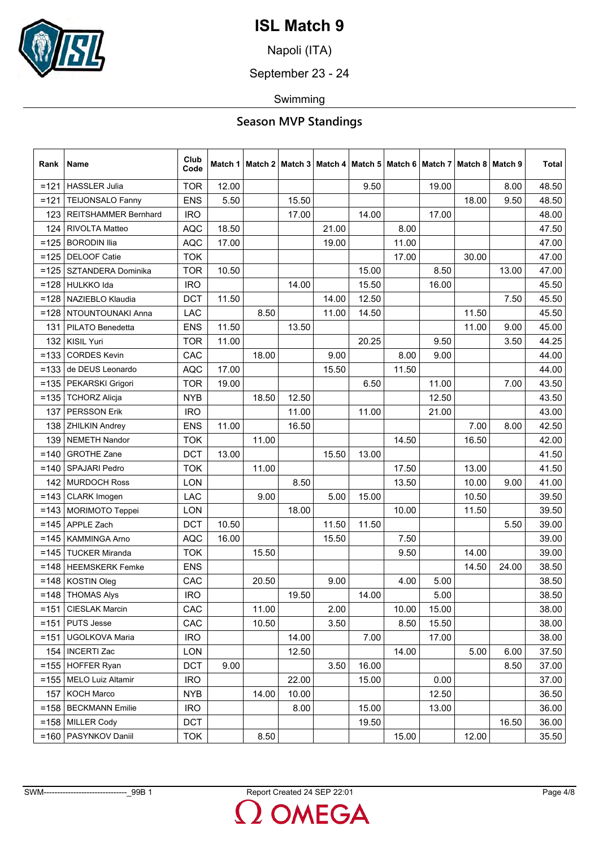

Napoli (ITA)

September 23 - 24

Swimming

| Rank    | Name                        | Club<br>Code |       |       |       |       | Match 1   Match 2   Match 3   Match 4   Match 5   Match 6 |       |       | Match 7 Match 8 Match 9 |       | Total |
|---------|-----------------------------|--------------|-------|-------|-------|-------|-----------------------------------------------------------|-------|-------|-------------------------|-------|-------|
| $=121$  | <b>HASSLER Julia</b>        | <b>TOR</b>   | 12.00 |       |       |       | 9.50                                                      |       | 19.00 |                         | 8.00  | 48.50 |
| $=121$  | <b>TEIJONSALO Fanny</b>     | <b>ENS</b>   | 5.50  |       | 15.50 |       |                                                           |       |       | 18.00                   | 9.50  | 48.50 |
| 123     | <b>REITSHAMMER Bernhard</b> | <b>IRO</b>   |       |       | 17.00 |       | 14.00                                                     |       | 17.00 |                         |       | 48.00 |
| 124     | RIVOLTA Matteo              | <b>AQC</b>   | 18.50 |       |       | 21.00 |                                                           | 8.00  |       |                         |       | 47.50 |
| $=125$  | <b>BORODIN Ilia</b>         | <b>AQC</b>   | 17.00 |       |       | 19.00 |                                                           | 11.00 |       |                         |       | 47.00 |
| $=125$  | <b>DELOOF Catie</b>         | <b>TOK</b>   |       |       |       |       |                                                           | 17.00 |       | 30.00                   |       | 47.00 |
| $=125$  | SZTANDERA Dominika          | <b>TOR</b>   | 10.50 |       |       |       | 15.00                                                     |       | 8.50  |                         | 13.00 | 47.00 |
| $=128$  | HULKKO Ida                  | <b>IRO</b>   |       |       | 14.00 |       | 15.50                                                     |       | 16.00 |                         |       | 45.50 |
| $=128$  | NAZIEBLO Klaudia            | <b>DCT</b>   | 11.50 |       |       | 14.00 | 12.50                                                     |       |       |                         | 7.50  | 45.50 |
| $=128$  | NTOUNTOUNAKI Anna           | <b>LAC</b>   |       | 8.50  |       | 11.00 | 14.50                                                     |       |       | 11.50                   |       | 45.50 |
| 131     | PILATO Benedetta            | <b>ENS</b>   | 11.50 |       | 13.50 |       |                                                           |       |       | 11.00                   | 9.00  | 45.00 |
| 132     | <b>KISIL Yuri</b>           | <b>TOR</b>   | 11.00 |       |       |       | 20.25                                                     |       | 9.50  |                         | 3.50  | 44.25 |
| $=133$  | <b>CORDES Kevin</b>         | CAC          |       | 18.00 |       | 9.00  |                                                           | 8.00  | 9.00  |                         |       | 44.00 |
| $=133$  | de DEUS Leonardo            | <b>AQC</b>   | 17.00 |       |       | 15.50 |                                                           | 11.50 |       |                         |       | 44.00 |
| $= 135$ | PEKARSKI Grigori            | <b>TOR</b>   | 19.00 |       |       |       | 6.50                                                      |       | 11.00 |                         | 7.00  | 43.50 |
| $=135$  | <b>TCHORZ Alicja</b>        | <b>NYB</b>   |       | 18.50 | 12.50 |       |                                                           |       | 12.50 |                         |       | 43.50 |
| 137     | <b>PERSSON Erik</b>         | <b>IRO</b>   |       |       | 11.00 |       | 11.00                                                     |       | 21.00 |                         |       | 43.00 |
| 138     | <b>ZHILKIN Andrey</b>       | <b>ENS</b>   | 11.00 |       | 16.50 |       |                                                           |       |       | 7.00                    | 8.00  | 42.50 |
| 139     | <b>NEMETH Nandor</b>        | <b>TOK</b>   |       | 11.00 |       |       |                                                           | 14.50 |       | 16.50                   |       | 42.00 |
| $=140$  | <b>GROTHE Zane</b>          | <b>DCT</b>   | 13.00 |       |       | 15.50 | 13.00                                                     |       |       |                         |       | 41.50 |
| $=140$  | <b>SPAJARI Pedro</b>        | <b>TOK</b>   |       | 11.00 |       |       |                                                           | 17.50 |       | 13.00                   |       | 41.50 |
| 142     | <b>MURDOCH Ross</b>         | <b>LON</b>   |       |       | 8.50  |       |                                                           | 13.50 |       | 10.00                   | 9.00  | 41.00 |
| $= 143$ | CLARK Imogen                | <b>LAC</b>   |       | 9.00  |       | 5.00  | 15.00                                                     |       |       | 10.50                   |       | 39.50 |
| $= 143$ | MORIMOTO Teppei             | <b>LON</b>   |       |       | 18.00 |       |                                                           | 10.00 |       | 11.50                   |       | 39.50 |
| $= 145$ | <b>APPLE Zach</b>           | <b>DCT</b>   | 10.50 |       |       | 11.50 | 11.50                                                     |       |       |                         | 5.50  | 39.00 |
| $= 145$ | <b>KAMMINGA Arno</b>        | <b>AQC</b>   | 16.00 |       |       | 15.50 |                                                           | 7.50  |       |                         |       | 39.00 |
| $=145$  | <b>TUCKER Miranda</b>       | <b>TOK</b>   |       | 15.50 |       |       |                                                           | 9.50  |       | 14.00                   |       | 39.00 |
| $=148$  | <b>HEEMSKERK Femke</b>      | <b>ENS</b>   |       |       |       |       |                                                           |       |       | 14.50                   | 24.00 | 38.50 |
|         | $=148$ KOSTIN Oleg          | CAC          |       | 20.50 |       | 9.00  |                                                           | 4.00  | 5.00  |                         |       | 38.50 |
|         | $=148$ THOMAS Alys          | <b>IRO</b>   |       |       | 19.50 |       | 14.00                                                     |       | 5.00  |                         |       | 38.50 |
| $=151$  | <b>CIESLAK Marcin</b>       | CAC          |       | 11.00 |       | 2.00  |                                                           | 10.00 | 15.00 |                         |       | 38.00 |
| $=151$  | <b>PUTS Jesse</b>           | CAC          |       | 10.50 |       | 3.50  |                                                           | 8.50  | 15.50 |                         |       | 38.00 |
| $= 151$ | UGOLKOVA Maria              | <b>IRO</b>   |       |       | 14.00 |       | 7.00                                                      |       | 17.00 |                         |       | 38.00 |
|         | 154   INCERTI Zac           | <b>LON</b>   |       |       | 12.50 |       |                                                           | 14.00 |       | 5.00                    | 6.00  | 37.50 |
|         | $=155$ HOFFER Ryan          | <b>DCT</b>   | 9.00  |       |       | 3.50  | 16.00                                                     |       |       |                         | 8.50  | 37.00 |
| $= 155$ | MELO Luiz Altamir           | <b>IRO</b>   |       |       | 22.00 |       | 15.00                                                     |       | 0.00  |                         |       | 37.00 |
| 157     | <b>KOCH Marco</b>           | <b>NYB</b>   |       | 14.00 | 10.00 |       |                                                           |       | 12.50 |                         |       | 36.50 |
|         | =158   BECKMANN Emilie      | <b>IRO</b>   |       |       | 8.00  |       | 15.00                                                     |       | 13.00 |                         |       | 36.00 |
|         | $=158$ MILLER Cody          | <b>DCT</b>   |       |       |       |       | 19.50                                                     |       |       |                         | 16.50 | 36.00 |
| $=160$  | PASYNKOV Daniil             | <b>TOK</b>   |       | 8.50  |       |       |                                                           | 15.00 |       | 12.00                   |       | 35.50 |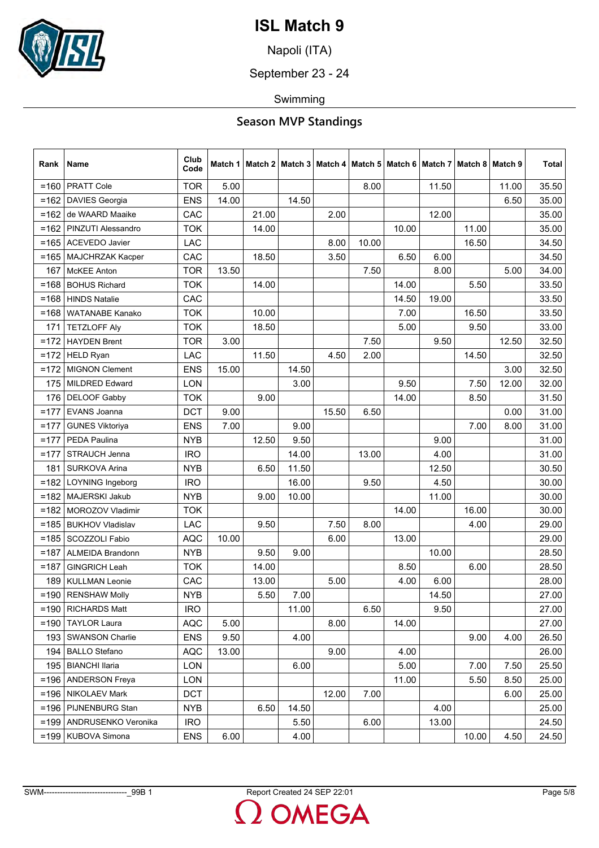

Napoli (ITA)

September 23 - 24

Swimming

| Rank    | Name                    | Club<br>Code |       |       |       |       |       |       |       | Match 1   Match 2   Match 3   Match 4   Match 5   Match 6   Match 7   Match 8   Match 9 |       | Total |
|---------|-------------------------|--------------|-------|-------|-------|-------|-------|-------|-------|-----------------------------------------------------------------------------------------|-------|-------|
| $= 160$ | <b>PRATT Cole</b>       | <b>TOR</b>   | 5.00  |       |       |       | 8.00  |       | 11.50 |                                                                                         | 11.00 | 35.50 |
| $=162$  | <b>DAVIES Georgia</b>   | <b>ENS</b>   | 14.00 |       | 14.50 |       |       |       |       |                                                                                         | 6.50  | 35.00 |
| $=162$  | de WAARD Maaike         | CAC          |       | 21.00 |       | 2.00  |       |       | 12.00 |                                                                                         |       | 35.00 |
| $=162$  | PINZUTI Alessandro      | <b>TOK</b>   |       | 14.00 |       |       |       | 10.00 |       | 11.00                                                                                   |       | 35.00 |
| $=165$  | <b>ACEVEDO Javier</b>   | <b>LAC</b>   |       |       |       | 8.00  | 10.00 |       |       | 16.50                                                                                   |       | 34.50 |
| $= 165$ | MAJCHRZAK Kacper        | CAC          |       | 18.50 |       | 3.50  |       | 6.50  | 6.00  |                                                                                         |       | 34.50 |
| 167     | <b>McKEE</b> Anton      | <b>TOR</b>   | 13.50 |       |       |       | 7.50  |       | 8.00  |                                                                                         | 5.00  | 34.00 |
| $= 168$ | <b>BOHUS Richard</b>    | <b>TOK</b>   |       | 14.00 |       |       |       | 14.00 |       | 5.50                                                                                    |       | 33.50 |
| $= 168$ | <b>HINDS Natalie</b>    | CAC          |       |       |       |       |       | 14.50 | 19.00 |                                                                                         |       | 33.50 |
| $= 168$ | <b>WATANABE Kanako</b>  | <b>TOK</b>   |       | 10.00 |       |       |       | 7.00  |       | 16.50                                                                                   |       | 33.50 |
| 171     | <b>TETZLOFF Aly</b>     | <b>TOK</b>   |       | 18.50 |       |       |       | 5.00  |       | 9.50                                                                                    |       | 33.00 |
| $=172$  | <b>HAYDEN Brent</b>     | <b>TOR</b>   | 3.00  |       |       |       | 7.50  |       | 9.50  |                                                                                         | 12.50 | 32.50 |
| $=172$  | <b>HELD Ryan</b>        | LAC          |       | 11.50 |       | 4.50  | 2.00  |       |       | 14.50                                                                                   |       | 32.50 |
| $=172$  | <b>MIGNON Clement</b>   | <b>ENS</b>   | 15.00 |       | 14.50 |       |       |       |       |                                                                                         | 3.00  | 32.50 |
| 175     | <b>MILDRED Edward</b>   | <b>LON</b>   |       |       | 3.00  |       |       | 9.50  |       | 7.50                                                                                    | 12.00 | 32.00 |
| 176     | <b>DELOOF Gabby</b>     | <b>TOK</b>   |       | 9.00  |       |       |       | 14.00 |       | 8.50                                                                                    |       | 31.50 |
| $=177$  | EVANS Joanna            | <b>DCT</b>   | 9.00  |       |       | 15.50 | 6.50  |       |       |                                                                                         | 0.00  | 31.00 |
| $=177$  | <b>GUNES Viktoriya</b>  | <b>ENS</b>   | 7.00  |       | 9.00  |       |       |       |       | 7.00                                                                                    | 8.00  | 31.00 |
| $=177$  | PEDA Paulina            | <b>NYB</b>   |       | 12.50 | 9.50  |       |       |       | 9.00  |                                                                                         |       | 31.00 |
| $=177$  | STRAUCH Jenna           | <b>IRO</b>   |       |       | 14.00 |       | 13.00 |       | 4.00  |                                                                                         |       | 31.00 |
| 181     | SURKOVA Arina           | <b>NYB</b>   |       | 6.50  | 11.50 |       |       |       | 12.50 |                                                                                         |       | 30.50 |
| $=182$  | <b>LOYNING Ingeborg</b> | <b>IRO</b>   |       |       | 16.00 |       | 9.50  |       | 4.50  |                                                                                         |       | 30.00 |
| $=182$  | <b>MAJERSKI Jakub</b>   | <b>NYB</b>   |       | 9.00  | 10.00 |       |       |       | 11.00 |                                                                                         |       | 30.00 |
| $=182$  | MOROZOV Vladimir        | <b>TOK</b>   |       |       |       |       |       | 14.00 |       | 16.00                                                                                   |       | 30.00 |
| $= 185$ | <b>BUKHOV Vladislav</b> | LAC          |       | 9.50  |       | 7.50  | 8.00  |       |       | 4.00                                                                                    |       | 29.00 |
| $=185$  | <b>SCOZZOLI Fabio</b>   | <b>AQC</b>   | 10.00 |       |       | 6.00  |       | 13.00 |       |                                                                                         |       | 29.00 |
| $=187$  | <b>ALMEIDA Brandonn</b> | <b>NYB</b>   |       | 9.50  | 9.00  |       |       |       | 10.00 |                                                                                         |       | 28.50 |
| $=187$  | <b>GINGRICH Leah</b>    | <b>TOK</b>   |       | 14.00 |       |       |       | 8.50  |       | 6.00                                                                                    |       | 28.50 |
| 189     | <b>KULLMAN Leonie</b>   | CAC          |       | 13.00 |       | 5.00  |       | 4.00  | 6.00  |                                                                                         |       | 28.00 |
|         | $=190$ RENSHAW Molly    | <b>NYB</b>   |       | 5.50  | 7.00  |       |       |       | 14.50 |                                                                                         |       | 27.00 |
|         | $=$ 190   RICHARDS Matt | <b>IRO</b>   |       |       | 11.00 |       | 6.50  |       | 9.50  |                                                                                         |       | 27.00 |
| $= 190$ | <b>TAYLOR Laura</b>     | <b>AQC</b>   | 5.00  |       |       | 8.00  |       | 14.00 |       |                                                                                         |       | 27.00 |
| 193     | <b>SWANSON Charlie</b>  | <b>ENS</b>   | 9.50  |       | 4.00  |       |       |       |       | 9.00                                                                                    | 4.00  | 26.50 |
|         | 194   BALLO Stefano     | <b>AQC</b>   | 13.00 |       |       | 9.00  |       | 4.00  |       |                                                                                         |       | 26.00 |
| 195     | <b>BIANCHI llaria</b>   | LON          |       |       | 6.00  |       |       | 5.00  |       | 7.00                                                                                    | 7.50  | 25.50 |
| $=196$  | <b>ANDERSON Freya</b>   | <b>LON</b>   |       |       |       |       |       | 11.00 |       | 5.50                                                                                    | 8.50  | 25.00 |
| $= 196$ | <b>NIKOLAEV Mark</b>    | <b>DCT</b>   |       |       |       | 12.00 | 7.00  |       |       |                                                                                         | 6.00  | 25.00 |
|         | $=196$ PIJNENBURG Stan  | <b>NYB</b>   |       | 6.50  | 14.50 |       |       |       | 4.00  |                                                                                         |       | 25.00 |
| $=199$  | ANDRUSENKO Veronika     | <b>IRO</b>   |       |       | 5.50  |       | 6.00  |       | 13.00 |                                                                                         |       | 24.50 |
| $= 199$ | <b>KUBOVA Simona</b>    | <b>ENS</b>   | 6.00  |       | 4.00  |       |       |       |       | 10.00                                                                                   | 4.50  | 24.50 |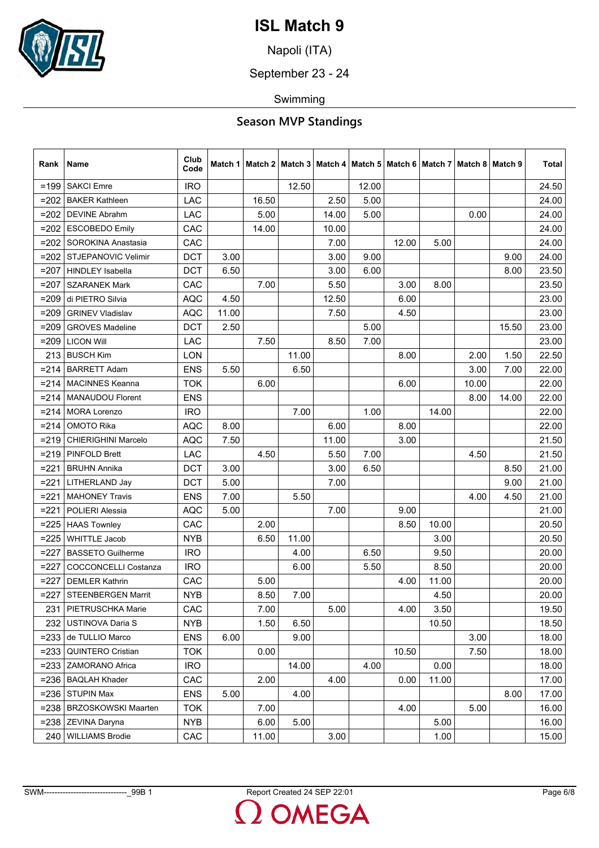

Napoli (ITA)

September 23 - 24

Swimming

| Rank    | Name                        | Club<br>Code |       | Match 1   Match 2   Match 3   Match 4   Match 5   Match 6   Match 7   Match 8   Match 9 |       |       |       |       |       |       |       | Total |
|---------|-----------------------------|--------------|-------|-----------------------------------------------------------------------------------------|-------|-------|-------|-------|-------|-------|-------|-------|
| $=199$  | <b>SAKCI Emre</b>           | <b>IRO</b>   |       |                                                                                         | 12.50 |       | 12.00 |       |       |       |       | 24.50 |
| $=202$  | <b>BAKER Kathleen</b>       | <b>LAC</b>   |       | 16.50                                                                                   |       | 2.50  | 5.00  |       |       |       |       | 24.00 |
| $=202$  | <b>DEVINE Abrahm</b>        | LAC          |       | 5.00                                                                                    |       | 14.00 | 5.00  |       |       | 0.00  |       | 24.00 |
| $= 202$ | <b>ESCOBEDO Emily</b>       | CAC          |       | 14.00                                                                                   |       | 10.00 |       |       |       |       |       | 24.00 |
| $=202$  | SOROKINA Anastasia          | CAC          |       |                                                                                         |       | 7.00  |       | 12.00 | 5.00  |       |       | 24.00 |
| $=202$  | <b>STJEPANOVIC Velimir</b>  | <b>DCT</b>   | 3.00  |                                                                                         |       | 3.00  | 9.00  |       |       |       | 9.00  | 24.00 |
| $=207$  | <b>HINDLEY Isabella</b>     | <b>DCT</b>   | 6.50  |                                                                                         |       | 3.00  | 6.00  |       |       |       | 8.00  | 23.50 |
| $=207$  | <b>SZARANEK Mark</b>        | CAC          |       | 7.00                                                                                    |       | 5.50  |       | 3.00  | 8.00  |       |       | 23.50 |
| $= 209$ | di PIETRO Silvia            | <b>AQC</b>   | 4.50  |                                                                                         |       | 12.50 |       | 6.00  |       |       |       | 23.00 |
| $= 209$ | <b>GRINEV Vladislav</b>     | <b>AQC</b>   | 11.00 |                                                                                         |       | 7.50  |       | 4.50  |       |       |       | 23.00 |
| $=209$  | <b>GROVES Madeline</b>      | <b>DCT</b>   | 2.50  |                                                                                         |       |       | 5.00  |       |       |       | 15.50 | 23.00 |
| $= 209$ | <b>LICON Will</b>           | LAC          |       | 7.50                                                                                    |       | 8.50  | 7.00  |       |       |       |       | 23.00 |
| 213     | <b>BUSCH Kim</b>            | LON          |       |                                                                                         | 11.00 |       |       | 8.00  |       | 2.00  | 1.50  | 22.50 |
| $= 214$ | <b>BARRETT Adam</b>         | <b>ENS</b>   | 5.50  |                                                                                         | 6.50  |       |       |       |       | 3.00  | 7.00  | 22.00 |
| $= 214$ | <b>MACINNES Keanna</b>      | <b>TOK</b>   |       | 6.00                                                                                    |       |       |       | 6.00  |       | 10.00 |       | 22.00 |
| =214    | <b>MANAUDOU Florent</b>     | <b>ENS</b>   |       |                                                                                         |       |       |       |       |       | 8.00  | 14.00 | 22.00 |
| $= 214$ | <b>MORA Lorenzo</b>         | <b>IRO</b>   |       |                                                                                         | 7.00  |       | 1.00  |       | 14.00 |       |       | 22.00 |
| $= 214$ | <b>OMOTO Rika</b>           | <b>AQC</b>   | 8.00  |                                                                                         |       | 6.00  |       | 8.00  |       |       |       | 22.00 |
| $= 219$ | <b>CHIERIGHINI Marcelo</b>  | <b>AQC</b>   | 7.50  |                                                                                         |       | 11.00 |       | 3.00  |       |       |       | 21.50 |
| $= 219$ | <b>PINFOLD Brett</b>        | <b>LAC</b>   |       | 4.50                                                                                    |       | 5.50  | 7.00  |       |       | 4.50  |       | 21.50 |
| $= 221$ | <b>BRUHN Annika</b>         | <b>DCT</b>   | 3.00  |                                                                                         |       | 3.00  | 6.50  |       |       |       | 8.50  | 21.00 |
| $= 221$ | LITHERLAND Jay              | <b>DCT</b>   | 5.00  |                                                                                         |       | 7.00  |       |       |       |       | 9.00  | 21.00 |
| $=221$  | <b>MAHONEY Travis</b>       | <b>ENS</b>   | 7.00  |                                                                                         | 5.50  |       |       |       |       | 4.00  | 4.50  | 21.00 |
| $=221$  | POLIERI Alessia             | <b>AQC</b>   | 5.00  |                                                                                         |       | 7.00  |       | 9.00  |       |       |       | 21.00 |
| $=225$  | <b>HAAS Townley</b>         | CAC          |       | 2.00                                                                                    |       |       |       | 8.50  | 10.00 |       |       | 20.50 |
| $=225$  | <b>WHITTLE Jacob</b>        | <b>NYB</b>   |       | 6.50                                                                                    | 11.00 |       |       |       | 3.00  |       |       | 20.50 |
| $=227$  | <b>BASSETO Guilherme</b>    | <b>IRO</b>   |       |                                                                                         | 4.00  |       | 6.50  |       | 9.50  |       |       | 20.00 |
| $=227$  | <b>COCCONCELLI Costanza</b> | <b>IRO</b>   |       |                                                                                         | 6.00  |       | 5.50  |       | 8.50  |       |       | 20.00 |
| $=227$  | <b>DEMLER Kathrin</b>       | CAC          |       | 5.00                                                                                    |       |       |       | 4.00  | 11.00 |       |       | 20.00 |
| $=227$  | <b>STEENBERGEN Marrit</b>   | <b>NYB</b>   |       | 8.50                                                                                    | 7.00  |       |       |       | 4.50  |       |       | 20.00 |
| 2311    | PIETRUSCHKA Marie           | CAC          |       | 7.00                                                                                    |       | 5.00  |       | 4.00  | 3.50  |       |       | 19.50 |
| 232     | <b>USTINOVA Daria S</b>     | <b>NYB</b>   |       | 1.50                                                                                    | 6.50  |       |       |       | 10.50 |       |       | 18.50 |
| $= 233$ | de TULLIO Marco             | <b>ENS</b>   | 6.00  |                                                                                         | 9.00  |       |       |       |       | 3.00  |       | 18.00 |
| $= 233$ | <b>QUINTERO Cristian</b>    | <b>TOK</b>   |       | 0.00                                                                                    |       |       |       | 10.50 |       | 7.50  |       | 18.00 |
| $= 233$ | ZAMORANO Africa             | <b>IRO</b>   |       |                                                                                         | 14.00 |       | 4.00  |       | 0.00  |       |       | 18.00 |
| $= 236$ | <b>BAQLAH Khader</b>        | CAC          |       | 2.00                                                                                    |       | 4.00  |       | 0.00  | 11.00 |       |       | 17.00 |
| $= 236$ | <b>STUPIN Max</b>           | <b>ENS</b>   | 5.00  |                                                                                         | 4.00  |       |       |       |       |       | 8.00  | 17.00 |
|         | =238   BRZOSKOWSKI Maarten  | <b>TOK</b>   |       | 7.00                                                                                    |       |       |       | 4.00  |       | 5.00  |       | 16.00 |
| $= 238$ | ZEVINA Daryna               | <b>NYB</b>   |       | 6.00                                                                                    | 5.00  |       |       |       | 5.00  |       |       | 16.00 |
| 240     | <b>WILLIAMS Brodie</b>      | CAC          |       | 11.00                                                                                   |       | 3.00  |       |       | 1.00  |       |       | 15.00 |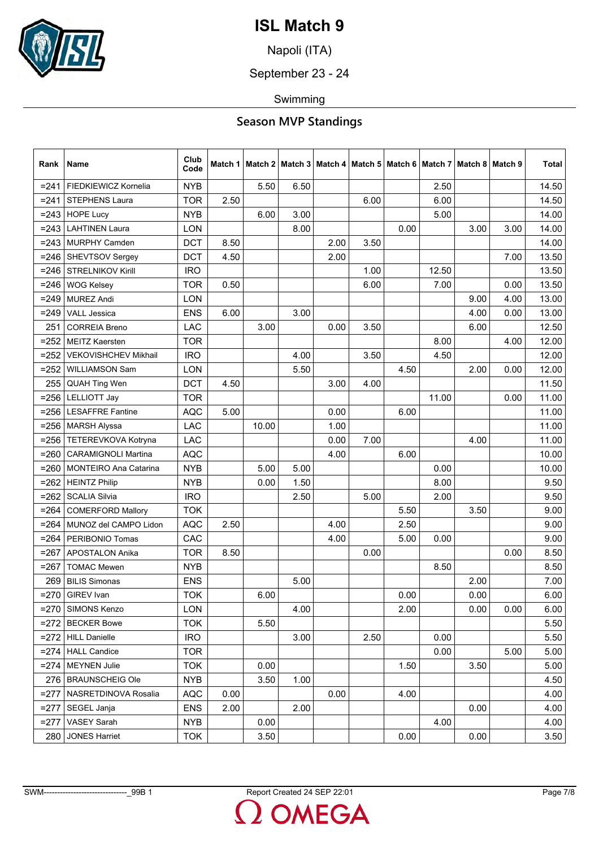

Napoli (ITA)

September 23 - 24

Swimming

| Rank    | Name                         | Club<br>Code |      | Match 1   Match 2   Match 3   Match 4   Match 5   Match 6   Match 7   Match 8   Match 9 |      |      |      |      |       |      |      | Total |
|---------|------------------------------|--------------|------|-----------------------------------------------------------------------------------------|------|------|------|------|-------|------|------|-------|
| $= 241$ | FIEDKIEWICZ Kornelia         | <b>NYB</b>   |      | 5.50                                                                                    | 6.50 |      |      |      | 2.50  |      |      | 14.50 |
| $= 241$ | STEPHENS Laura               | <b>TOR</b>   | 2.50 |                                                                                         |      |      | 6.00 |      | 6.00  |      |      | 14.50 |
| $= 243$ | <b>HOPE Lucy</b>             | <b>NYB</b>   |      | 6.00                                                                                    | 3.00 |      |      |      | 5.00  |      |      | 14.00 |
| $= 243$ | <b>LAHTINEN Laura</b>        | LON          |      |                                                                                         | 8.00 |      |      | 0.00 |       | 3.00 | 3.00 | 14.00 |
| $= 243$ | <b>MURPHY Camden</b>         | <b>DCT</b>   | 8.50 |                                                                                         |      | 2.00 | 3.50 |      |       |      |      | 14.00 |
| $= 246$ | SHEVTSOV Sergey              | <b>DCT</b>   | 4.50 |                                                                                         |      | 2.00 |      |      |       |      | 7.00 | 13.50 |
| $= 246$ | <b>STRELNIKOV Kirill</b>     | <b>IRO</b>   |      |                                                                                         |      |      | 1.00 |      | 12.50 |      |      | 13.50 |
| $= 246$ | <b>WOG Kelsey</b>            | <b>TOR</b>   | 0.50 |                                                                                         |      |      | 6.00 |      | 7.00  |      | 0.00 | 13.50 |
| $= 249$ | <b>MUREZ Andi</b>            | <b>LON</b>   |      |                                                                                         |      |      |      |      |       | 9.00 | 4.00 | 13.00 |
| $= 249$ | <b>VALL Jessica</b>          | <b>ENS</b>   | 6.00 |                                                                                         | 3.00 |      |      |      |       | 4.00 | 0.00 | 13.00 |
| 251     | <b>CORREIA Breno</b>         | LAC          |      | 3.00                                                                                    |      | 0.00 | 3.50 |      |       | 6.00 |      | 12.50 |
| $= 252$ | <b>MEITZ Kaersten</b>        | <b>TOR</b>   |      |                                                                                         |      |      |      |      | 8.00  |      | 4.00 | 12.00 |
| $= 252$ | <b>VEKOVISHCHEV Mikhail</b>  | <b>IRO</b>   |      |                                                                                         | 4.00 |      | 3.50 |      | 4.50  |      |      | 12.00 |
| $= 252$ | <b>WILLIAMSON Sam</b>        | <b>LON</b>   |      |                                                                                         | 5.50 |      |      | 4.50 |       | 2.00 | 0.00 | 12.00 |
| 255     | <b>QUAH Ting Wen</b>         | <b>DCT</b>   | 4.50 |                                                                                         |      | 3.00 | 4.00 |      |       |      |      | 11.50 |
| $= 256$ | <b>LELLIOTT Jay</b>          | <b>TOR</b>   |      |                                                                                         |      |      |      |      | 11.00 |      | 0.00 | 11.00 |
| $= 256$ | <b>LESAFFRE Fantine</b>      | <b>AQC</b>   | 5.00 |                                                                                         |      | 0.00 |      | 6.00 |       |      |      | 11.00 |
| $= 256$ | <b>MARSH Alyssa</b>          | LAC          |      | 10.00                                                                                   |      | 1.00 |      |      |       |      |      | 11.00 |
| $= 256$ | TETEREVKOVA Kotryna          | LAC          |      |                                                                                         |      | 0.00 | 7.00 |      |       | 4.00 |      | 11.00 |
| $= 260$ | <b>CARAMIGNOLI Martina</b>   | <b>AQC</b>   |      |                                                                                         |      | 4.00 |      | 6.00 |       |      |      | 10.00 |
| $= 260$ | <b>MONTEIRO Ana Catarina</b> | <b>NYB</b>   |      | 5.00                                                                                    | 5.00 |      |      |      | 0.00  |      |      | 10.00 |
| $= 262$ | <b>HEINTZ Philip</b>         | <b>NYB</b>   |      | 0.00                                                                                    | 1.50 |      |      |      | 8.00  |      |      | 9.50  |
| $= 262$ | <b>SCALIA Silvia</b>         | <b>IRO</b>   |      |                                                                                         | 2.50 |      | 5.00 |      | 2.00  |      |      | 9.50  |
| $= 264$ | <b>COMERFORD Mallory</b>     | <b>TOK</b>   |      |                                                                                         |      |      |      | 5.50 |       | 3.50 |      | 9.00  |
| $= 264$ | MUNOZ del CAMPO Lidon        | <b>AQC</b>   | 2.50 |                                                                                         |      | 4.00 |      | 2.50 |       |      |      | 9.00  |
| $= 264$ | PERIBONIO Tomas              | CAC          |      |                                                                                         |      | 4.00 |      | 5.00 | 0.00  |      |      | 9.00  |
| $= 267$ | APOSTALON Anika              | <b>TOR</b>   | 8.50 |                                                                                         |      |      | 0.00 |      |       |      | 0.00 | 8.50  |
| $= 267$ | <b>TOMAC Mewen</b>           | <b>NYB</b>   |      |                                                                                         |      |      |      |      | 8.50  |      |      | 8.50  |
| 269     | <b>BILIS Simonas</b>         | <b>ENS</b>   |      |                                                                                         | 5.00 |      |      |      |       | 2.00 |      | 7.00  |
| $= 270$ | <b>GIREV</b> Ivan            | <b>TOK</b>   |      | 6.00                                                                                    |      |      |      | 0.00 |       | 0.00 |      | 6.00  |
|         | =270   SIMONS Kenzo          | <b>LON</b>   |      |                                                                                         | 4.00 |      |      | 2.00 |       | 0.00 | 0.00 | 6.00  |
| $= 272$ | <b>BECKER Bowe</b>           | <b>TOK</b>   |      | 5.50                                                                                    |      |      |      |      |       |      |      | 5.50  |
| $= 272$ | <b>HILL Danielle</b>         | <b>IRO</b>   |      |                                                                                         | 3.00 |      | 2.50 |      | 0.00  |      |      | 5.50  |
|         | =274   HALL Candice          | <b>TOR</b>   |      |                                                                                         |      |      |      |      | 0.00  |      | 5.00 | 5.00  |
| $= 274$ | <b>MEYNEN Julie</b>          | <b>TOK</b>   |      | 0.00                                                                                    |      |      |      | 1.50 |       | 3.50 |      | 5.00  |
|         | 276   BRAUNSCHEIG Ole        | <b>NYB</b>   |      | 3.50                                                                                    | 1.00 |      |      |      |       |      |      | 4.50  |
| $=277$  | NASRETDINOVA Rosalia         | <b>AQC</b>   | 0.00 |                                                                                         |      | 0.00 |      | 4.00 |       |      |      | 4.00  |
| $=277$  | SEGEL Janja                  | <b>ENS</b>   | 2.00 |                                                                                         | 2.00 |      |      |      |       | 0.00 |      | 4.00  |
| $=277$  | <b>VASEY Sarah</b>           | <b>NYB</b>   |      | 0.00                                                                                    |      |      |      |      | 4.00  |      |      | 4.00  |
| 280     | <b>JONES Harriet</b>         | <b>TOK</b>   |      | 3.50                                                                                    |      |      |      | 0.00 |       | 0.00 |      | 3.50  |